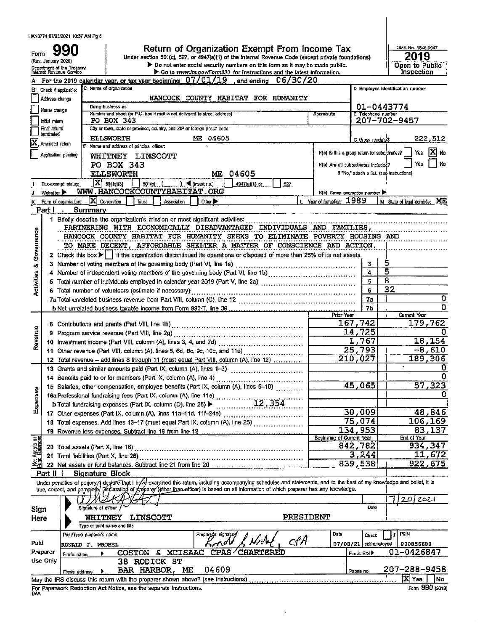|      | HAN3774 07/08/2021 10:37 AM Pa 6 |  |  |
|------|----------------------------------|--|--|
| Form | 990                              |  |  |

 $\overline{a}$ 6646 .,

Form (Rev. January 2020) Department of the Treasury<br>Internal Revenue Service

Return of Organization Exempt From Income Tax<br>
Under section 501(c), 527, or 4947(a)(1) of the Internal Revenue Code (except private foundations)<br>
Do not enter social security numbers on this form as it may be made public

OMB No. 1545-0047 2019<br>
Open to Public

|                                       |                                                               |                                                                          | For the 2019 calendar year, or tax year beginning $01/01/12$<br>, ano enoing<br>00/30/20                                                                                  |                                               |                          |                                            |  |  |  |  |
|---------------------------------------|---------------------------------------------------------------|--------------------------------------------------------------------------|---------------------------------------------------------------------------------------------------------------------------------------------------------------------------|-----------------------------------------------|--------------------------|--------------------------------------------|--|--|--|--|
|                                       | Check if applicable:                                          |                                                                          | C Name of organization                                                                                                                                                    |                                               |                          | D Employer identification number           |  |  |  |  |
|                                       | Address change                                                |                                                                          | HANCOCK COUNTY HABITAT FOR HUMANITY                                                                                                                                       |                                               |                          |                                            |  |  |  |  |
|                                       | Name change                                                   |                                                                          | Doing business as                                                                                                                                                         |                                               |                          | 01-0443774                                 |  |  |  |  |
|                                       |                                                               |                                                                          | Number and street (or P.O. box if mail is not delivered to street address)                                                                                                | Room/suite                                    | E Telephone number       |                                            |  |  |  |  |
|                                       | Initial return                                                |                                                                          | PO BOX 343                                                                                                                                                                |                                               |                          | 207-702-9457                               |  |  |  |  |
|                                       | Final return/<br>demonated                                    | City or town, state or province, country, and ZIP or foreign postal code |                                                                                                                                                                           |                                               |                          |                                            |  |  |  |  |
|                                       | <b>ELLSWORTH</b><br>ME 04605<br>222,512<br>G Gross receipts\$ |                                                                          |                                                                                                                                                                           |                                               |                          |                                            |  |  |  |  |
|                                       | Amended return<br>Name and address of principal officer:      |                                                                          |                                                                                                                                                                           |                                               |                          |                                            |  |  |  |  |
|                                       | Application pending                                           |                                                                          | WHITNEY LINSCOTT                                                                                                                                                          | H(a) is this a group return for subordinales? |                          | IX∣ №<br>Yes                               |  |  |  |  |
|                                       |                                                               |                                                                          | PO BOX 343                                                                                                                                                                | H(b) Are all subordinates included?           |                          | Yes<br>No                                  |  |  |  |  |
|                                       |                                                               |                                                                          | ME 04605<br><b>ELLSWORTH</b>                                                                                                                                              |                                               |                          | If "No," attach a fist. (see Instructions) |  |  |  |  |
|                                       |                                                               | Tax-axempt status:                                                       | ΙxΙ<br>501(c)(3)<br>501(c) (<br>$\blacksquare$ (insert no.)<br>4947(a)(1) or<br>527                                                                                       |                                               |                          |                                            |  |  |  |  |
|                                       | Website:                                                      |                                                                          | WWW.HANCOCKCOUNTYHABITAT.ORG                                                                                                                                              | H(c) Group oxemption number ▶                 |                          |                                            |  |  |  |  |
|                                       |                                                               | K Form of organization:                                                  | $ \mathbf{X} $ Corporation<br>Trust<br>Association<br>Dihar <sup>1</sup>                                                                                                  | L Year of formation: $1989$                   |                          | M State of legal domicie: ME               |  |  |  |  |
|                                       | Part I                                                        |                                                                          | Summary                                                                                                                                                                   |                                               |                          |                                            |  |  |  |  |
|                                       |                                                               |                                                                          |                                                                                                                                                                           |                                               |                          |                                            |  |  |  |  |
|                                       |                                                               |                                                                          | 1 Briefly describe the organization's mission or most significant activities:                                                                                             |                                               |                          |                                            |  |  |  |  |
|                                       |                                                               |                                                                          | PARTNERING WITH ECONOMICALLY DISADVANTAGED INDIVIDUALS AND FAMILIES,                                                                                                      |                                               |                          |                                            |  |  |  |  |
|                                       |                                                               |                                                                          | HANCOCK COUNTY HABITAT FOR HUMANITY SEEKS TO ELIMINATE POVERTY HOUSING AND                                                                                                |                                               |                          |                                            |  |  |  |  |
|                                       |                                                               |                                                                          | TO MAKE DECENT, AFFORDABLE SHELTER A MATTER OF CONSCIENCE AND ACTION.                                                                                                     |                                               |                          |                                            |  |  |  |  |
| Governance                            |                                                               |                                                                          | 2 Check this box     if the organization discontinued its operations or disposed of more than 25% of its net assets.                                                      |                                               |                          |                                            |  |  |  |  |
| 6Ś                                    |                                                               |                                                                          | 3 Number of voting members of the governing body (Part VI, line 1a)                                                                                                       |                                               | 3                        | 5                                          |  |  |  |  |
|                                       | 4                                                             |                                                                          |                                                                                                                                                                           |                                               | 4                        | 5                                          |  |  |  |  |
| Activities                            | 5.                                                            |                                                                          |                                                                                                                                                                           |                                               | 5                        | $\overline{8}$                             |  |  |  |  |
|                                       |                                                               |                                                                          | 6 Total number of volunteers (estimate if necessary)                                                                                                                      |                                               | 6                        | $\overline{32}$                            |  |  |  |  |
|                                       |                                                               |                                                                          |                                                                                                                                                                           |                                               | 7a                       | 0                                          |  |  |  |  |
|                                       |                                                               |                                                                          |                                                                                                                                                                           |                                               | 7Ь                       | O                                          |  |  |  |  |
|                                       |                                                               |                                                                          |                                                                                                                                                                           | Prior Year                                    |                          | Current Year<br>$\blacksquare$             |  |  |  |  |
|                                       |                                                               |                                                                          |                                                                                                                                                                           |                                               | 167,742                  | 179,762                                    |  |  |  |  |
| Revenue                               | 9                                                             |                                                                          |                                                                                                                                                                           |                                               | 14,725                   |                                            |  |  |  |  |
|                                       |                                                               |                                                                          |                                                                                                                                                                           |                                               | 1,767                    | 18,154                                     |  |  |  |  |
|                                       |                                                               |                                                                          | 11 Other revenue (Part VIII, column (A), lines 5, 6d, 8c, 9c, 10c, and 11e)                                                                                               |                                               | 25,793                   | $-8,610$                                   |  |  |  |  |
|                                       | 12                                                            |                                                                          | Total revenue - add lines 8 through 11 (must equal Part VIII, column (A), line 12)                                                                                        |                                               | 210,027                  | 189,306                                    |  |  |  |  |
|                                       |                                                               |                                                                          | 13 Grants and similar amounts paid (Part IX, column (A), lines 1-3)                                                                                                       |                                               |                          | Ð                                          |  |  |  |  |
|                                       |                                                               |                                                                          |                                                                                                                                                                           |                                               |                          | n                                          |  |  |  |  |
|                                       |                                                               |                                                                          | 14 Benefits paid to or for members (Part IX, column (A), line 4)<br>                                                                                                      |                                               | 45,065                   | 57,323                                     |  |  |  |  |
|                                       |                                                               |                                                                          | 15 Salaries, other compensation, employee benefits (Part IX, column (A), lines 5-10)                                                                                      |                                               |                          |                                            |  |  |  |  |
|                                       |                                                               |                                                                          |                                                                                                                                                                           |                                               |                          |                                            |  |  |  |  |
| Expenses                              |                                                               |                                                                          |                                                                                                                                                                           |                                               |                          |                                            |  |  |  |  |
|                                       |                                                               |                                                                          | 17 Other expenses (Part IX, column (A), lines 11a-11d, 11f-24e)                                                                                                           |                                               | 30,009                   | 48,846                                     |  |  |  |  |
|                                       |                                                               |                                                                          | 18 Total expenses. Add lines 13-17 (must equal Part IX, column (A), line 25) [[[[[[[[[[[[[[[[[[[[[[[[[[[[[[[[                                                             |                                               | 75,074                   | 106,169                                    |  |  |  |  |
|                                       |                                                               |                                                                          |                                                                                                                                                                           |                                               | 134,953                  | 83,137                                     |  |  |  |  |
| <b>Net Assets or</b><br>Eund Balances |                                                               |                                                                          |                                                                                                                                                                           | Beginning of Current Year                     |                          | End of Year                                |  |  |  |  |
|                                       |                                                               |                                                                          |                                                                                                                                                                           |                                               | 842,782                  | 934, 347                                   |  |  |  |  |
|                                       |                                                               |                                                                          |                                                                                                                                                                           |                                               | 3,244                    | 11,672                                     |  |  |  |  |
|                                       |                                                               |                                                                          | 22 Net assets or fund balances. Subtract line 21 from line 20                                                                                                             |                                               | 839,538                  | <u>922,675</u>                             |  |  |  |  |
|                                       | Part II                                                       |                                                                          | Signature Block                                                                                                                                                           |                                               |                          |                                            |  |  |  |  |
|                                       |                                                               |                                                                          | Under penalties of perjury/] deglate that I have examined this return, including accompanying schedules and statements, and to the best of my knowledge and bellef, it is |                                               |                          |                                            |  |  |  |  |
|                                       |                                                               |                                                                          | true, correct, and completely perflaming of preparer (piner than officer) is based on all information of which preparer has any knowledge.                                |                                               |                          |                                            |  |  |  |  |
|                                       |                                                               |                                                                          |                                                                                                                                                                           |                                               |                          | ارتحات                                     |  |  |  |  |
| Sign                                  |                                                               |                                                                          | Signature of officer                                                                                                                                                      |                                               | Date                     |                                            |  |  |  |  |
| Here                                  |                                                               |                                                                          | WHITNEY<br><b>LINSCOTT</b>                                                                                                                                                | <b>PRESIDENT</b>                              |                          |                                            |  |  |  |  |
|                                       |                                                               |                                                                          | Type or print name and title                                                                                                                                              |                                               |                          |                                            |  |  |  |  |
|                                       |                                                               |                                                                          | Print/Type preparer's name<br>Proparecs signatur                                                                                                                          | Date                                          | Check                    | <b>PTIN</b><br>١ſ                          |  |  |  |  |
| Paid                                  |                                                               |                                                                          | cfA<br>RONALD J. WROBEL                                                                                                                                                   |                                               | 07/08/21   self-employed | P00856609                                  |  |  |  |  |
|                                       | Preparer                                                      |                                                                          | <b>CHARTERED</b><br>& MCISAAC<br><b>CPAS</b><br><b>COSTON</b>                                                                                                             |                                               | Firms EIN                | 01-0426847                                 |  |  |  |  |
|                                       | Use Only                                                      | Firm's name                                                              | <b>38 RODICK ST</b>                                                                                                                                                       |                                               |                          |                                            |  |  |  |  |
|                                       |                                                               |                                                                          | 04609<br>BAR HARBOR,<br>NЕ                                                                                                                                                |                                               |                          | 207-288-9458                               |  |  |  |  |
|                                       |                                                               | Firm's address                                                           |                                                                                                                                                                           |                                               | Phone no.                | X Yes                                      |  |  |  |  |
|                                       |                                                               |                                                                          | May the IRS discuss this return with the preparer shown above? (see instructions)                                                                                         |                                               |                          | No                                         |  |  |  |  |
| DAA                                   |                                                               |                                                                          | For Paperwork Reduction Act Notice, see the separate Instructions.                                                                                                        |                                               |                          | Form 990 (2019)                            |  |  |  |  |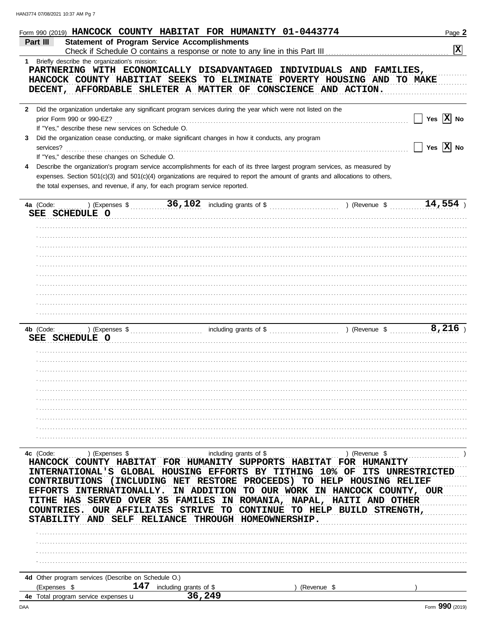HAN3774 07/08/2021 10:37 AM Pg 7

| $Form$ 990 (2019) <b>HANCOCK COUNTY HABITAT FOR HUMANITY 01-0443774</b><br><b>Statement of Program Service Accomplishments</b><br>Part III                                                                                                                                                                                                  |                                                                                                               |                                                                                                                                                                                          | Page 2                |
|---------------------------------------------------------------------------------------------------------------------------------------------------------------------------------------------------------------------------------------------------------------------------------------------------------------------------------------------|---------------------------------------------------------------------------------------------------------------|------------------------------------------------------------------------------------------------------------------------------------------------------------------------------------------|-----------------------|
| Briefly describe the organization's mission:<br>1<br>PARTNERING WITH ECONOMICALLY DISADVANTAGED INDIVIDUALS AND FAMILIES,<br>HANCOCK COUNTY HABITIAT SEEKS TO ELIMINATE POVERTY HOUSING AND TO MAKE<br>DECENT, AFFORDABLE SHLETER A MATTER OF CONSCIENCE AND ACTION.                                                                        |                                                                                                               |                                                                                                                                                                                          | $ \mathbf{x} $        |
| Did the organization undertake any significant program services during the year which were not listed on the<br>2<br>prior Form 990 or 990-EZ?                                                                                                                                                                                              |                                                                                                               |                                                                                                                                                                                          | Yes $ X $ No          |
| If "Yes," describe these new services on Schedule O.<br>Did the organization cease conducting, or make significant changes in how it conducts, any program<br>3.<br>services?<br>If "Yes," describe these changes on Schedule O.                                                                                                            |                                                                                                               |                                                                                                                                                                                          | Yes $\overline{X}$ No |
| Describe the organization's program service accomplishments for each of its three largest program services, as measured by<br>expenses. Section 501(c)(3) and 501(c)(4) organizations are required to report the amount of grants and allocations to others,<br>the total expenses, and revenue, if any, for each program service reported. |                                                                                                               |                                                                                                                                                                                          |                       |
| 4a (Code:<br>) (Expenses \$<br>SEE SCHEDULE O                                                                                                                                                                                                                                                                                               |                                                                                                               |                                                                                                                                                                                          | 14,554                |
|                                                                                                                                                                                                                                                                                                                                             |                                                                                                               |                                                                                                                                                                                          |                       |
|                                                                                                                                                                                                                                                                                                                                             |                                                                                                               |                                                                                                                                                                                          |                       |
|                                                                                                                                                                                                                                                                                                                                             |                                                                                                               |                                                                                                                                                                                          |                       |
|                                                                                                                                                                                                                                                                                                                                             |                                                                                                               |                                                                                                                                                                                          |                       |
| 4b (Code:                                                                                                                                                                                                                                                                                                                                   |                                                                                                               |                                                                                                                                                                                          | 8,216                 |
| SEE SCHEDULE O                                                                                                                                                                                                                                                                                                                              |                                                                                                               |                                                                                                                                                                                          |                       |
|                                                                                                                                                                                                                                                                                                                                             |                                                                                                               |                                                                                                                                                                                          |                       |
|                                                                                                                                                                                                                                                                                                                                             |                                                                                                               |                                                                                                                                                                                          |                       |
|                                                                                                                                                                                                                                                                                                                                             |                                                                                                               |                                                                                                                                                                                          |                       |
| 4c (Code:<br>) (Expenses \$                                                                                                                                                                                                                                                                                                                 | including grants of $\$\ldots$ .                                                                              | ) (Revenue \$                                                                                                                                                                            |                       |
| HANCOCK COUNTY HABITAT FOR HUMANITY SUPPORTS HABITAT<br>INTERNATIONAL'S GLOBAL HOUSING EFFORTS<br><b>CONTRIBUTIONS</b><br>INTERNATIONALLY.<br><b>EFFORTS</b><br>TITHE HAS SERVED OVER 35 FAMILES<br>COUNTRIES. OUR AFFILIATES STRIVE<br>STABILITY AND<br>SELF                                                                               | BY<br>(INCLUDING NET RESTORE<br><b>PROCEEDS )</b><br>TO CONTINUE<br>THROUGH HOMEOWNERSHIP.<br><b>RELIANCE</b> | FOR<br><b>HUMANITY</b><br>TITHING<br>10% OF<br>TO HELP HOUSING RELIEF<br>IN ADDITION TO OUR WORK IN HANCOCK COUNTY, OUR<br>IN ROMANIA, NAPAL, HAITI AND OTHER<br>TO HELP BUILD STRENGTH, | ITS UNRESTRICTED      |
|                                                                                                                                                                                                                                                                                                                                             |                                                                                                               |                                                                                                                                                                                          |                       |
| 4d Other program services (Describe on Schedule O.)                                                                                                                                                                                                                                                                                         |                                                                                                               |                                                                                                                                                                                          |                       |
| (Expenses \$<br>4e Total program service expenses u                                                                                                                                                                                                                                                                                         | 147 including grants of \$<br>36,249                                                                          | (Revenue \$                                                                                                                                                                              |                       |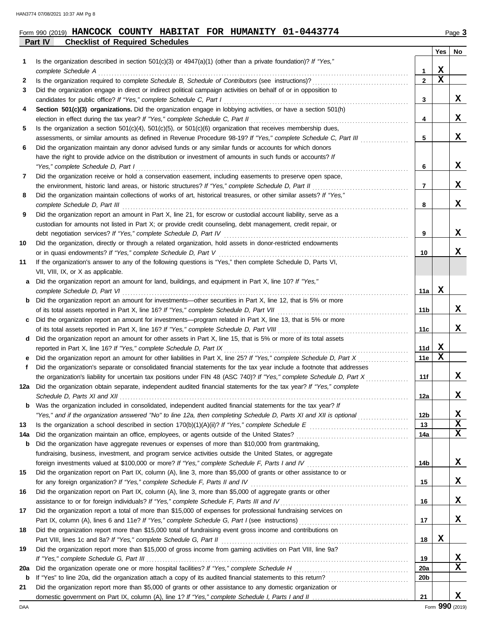**Part IV Checklist of Required Schedules**

### **Form 990 (2019) HANCOCK COUNTY HABITAT FOR HUMANITY 01-0443774** Page 3

| Is the organization described in section $501(c)(3)$ or $4947(a)(1)$ (other than a private foundation)? If "Yes,"<br>1<br>X<br>complete Schedule A<br>1<br>$\mathbf x$<br>Is the organization required to complete Schedule B, Schedule of Contributors (see instructions)?<br>$\mathbf{2}$<br>2<br>Did the organization engage in direct or indirect political campaign activities on behalf of or in opposition to<br>3<br>X<br>candidates for public office? If "Yes," complete Schedule C, Part I<br>3<br>4<br>Section 501(c)(3) organizations. Did the organization engage in lobbying activities, or have a section 501(h)<br>X<br>election in effect during the tax year? If "Yes," complete Schedule C, Part II<br>4<br>Is the organization a section $501(c)(4)$ , $501(c)(5)$ , or $501(c)(6)$ organization that receives membership dues,<br>5<br>x<br>5<br>assessments, or similar amounts as defined in Revenue Procedure 98-19? If "Yes," complete Schedule C, Part III<br>Did the organization maintain any donor advised funds or any similar funds or accounts for which donors<br>6<br>have the right to provide advice on the distribution or investment of amounts in such funds or accounts? If<br>x<br>"Yes," complete Schedule D, Part I<br>6<br>Did the organization receive or hold a conservation easement, including easements to preserve open space,<br>7<br>x<br>the environment, historic land areas, or historic structures? If "Yes," complete Schedule D, Part II<br>7<br>Did the organization maintain collections of works of art, historical treasures, or other similar assets? If "Yes,"<br>8<br>X<br>8<br>complete Schedule D, Part III<br>Did the organization report an amount in Part X, line 21, for escrow or custodial account liability, serve as a<br>9<br>custodian for amounts not listed in Part X; or provide credit counseling, debt management, credit repair, or<br>x<br>debt negotiation services? If "Yes," complete Schedule D, Part IV<br>9<br>Did the organization, directly or through a related organization, hold assets in donor-restricted endowments<br>10<br>x<br>or in quasi endowments? If "Yes," complete Schedule D, Part V<br>10<br>If the organization's answer to any of the following questions is "Yes," then complete Schedule D, Parts VI,<br>11<br>VII, VIII, IX, or X as applicable.<br>Did the organization report an amount for land, buildings, and equipment in Part X, line 10? If "Yes,"<br>a<br>X<br>complete Schedule D, Part VI<br>11a  <br>Did the organization report an amount for investments—other securities in Part X, line 12, that is 5% or more<br>b<br>X<br>of its total assets reported in Part X, line 16? If "Yes," complete Schedule D, Part VII<br>11b<br>Did the organization report an amount for investments—program related in Part X, line 13, that is 5% or more<br>c<br>X<br>of its total assets reported in Part X, line 16? If "Yes," complete Schedule D, Part VIII<br>11c<br>Did the organization report an amount for other assets in Part X, line 15, that is 5% or more of its total assets<br>d<br>X<br>reported in Part X, line 16? If "Yes," complete Schedule D, Part IX<br>11d<br>X<br>Did the organization report an amount for other liabilities in Part X, line 25? If "Yes," complete Schedule D, Part X<br>11e<br>Did the organization's separate or consolidated financial statements for the tax year include a footnote that addresses<br>f<br>X<br>the organization's liability for uncertain tax positions under FIN 48 (ASC 740)? If "Yes," complete Schedule D, Part X<br>11f<br>12a Did the organization obtain separate, independent audited financial statements for the tax year? If "Yes," complete<br>X<br>12a<br>Was the organization included in consolidated, independent audited financial statements for the tax year? If<br><u>x</u><br>"Yes," and if the organization answered "No" to line 12a, then completing Schedule D, Parts XI and XII is optional<br>12 <sub>b</sub><br>X<br>13<br>13<br>X<br>Did the organization maintain an office, employees, or agents outside of the United States?<br>14a<br>14a<br>Did the organization have aggregate revenues or expenses of more than \$10,000 from grantmaking,<br>b<br>fundraising, business, investment, and program service activities outside the United States, or aggregate<br>X,<br>foreign investments valued at \$100,000 or more? If "Yes," complete Schedule F, Parts I and IV [[[[[[[[[[[[[[[[<br>14b<br>Did the organization report on Part IX, column (A), line 3, more than \$5,000 of grants or other assistance to or<br>15<br>X,<br>for any foreign organization? If "Yes," complete Schedule F, Parts II and IV<br>15<br>Did the organization report on Part IX, column (A), line 3, more than \$5,000 of aggregate grants or other<br>16<br>X,<br>assistance to or for foreign individuals? If "Yes," complete Schedule F, Parts III and IV [[[[[[[[[[[[[[[[[[[<br>16<br>17<br>Did the organization report a total of more than \$15,000 of expenses for professional fundraising services on<br>X,<br>17<br>Did the organization report more than \$15,000 total of fundraising event gross income and contributions on<br>18<br>X<br>18<br>Did the organization report more than \$15,000 of gross income from gaming activities on Part VIII, line 9a?<br>19<br><u>x</u><br>19<br>X<br><b>20a</b><br>20a<br>20 <sub>b</sub><br>b<br>Did the organization report more than \$5,000 of grants or other assistance to any domestic organization or<br>21<br>X<br>21 |  | Yes | No |
|--------------------------------------------------------------------------------------------------------------------------------------------------------------------------------------------------------------------------------------------------------------------------------------------------------------------------------------------------------------------------------------------------------------------------------------------------------------------------------------------------------------------------------------------------------------------------------------------------------------------------------------------------------------------------------------------------------------------------------------------------------------------------------------------------------------------------------------------------------------------------------------------------------------------------------------------------------------------------------------------------------------------------------------------------------------------------------------------------------------------------------------------------------------------------------------------------------------------------------------------------------------------------------------------------------------------------------------------------------------------------------------------------------------------------------------------------------------------------------------------------------------------------------------------------------------------------------------------------------------------------------------------------------------------------------------------------------------------------------------------------------------------------------------------------------------------------------------------------------------------------------------------------------------------------------------------------------------------------------------------------------------------------------------------------------------------------------------------------------------------------------------------------------------------------------------------------------------------------------------------------------------------------------------------------------------------------------------------------------------------------------------------------------------------------------------------------------------------------------------------------------------------------------------------------------------------------------------------------------------------------------------------------------------------------------------------------------------------------------------------------------------------------------------------------------------------------------------------------------------------------------------------------------------------------------------------------------------------------------------------------------------------------------------------------------------------------------------------------------------------------------------------------------------------------------------------------------------------------------------------------------------------------------------------------------------------------------------------------------------------------------------------------------------------------------------------------------------------------------------------------------------------------------------------------------------------------------------------------------------------------------------------------------------------------------------------------------------------------------------------------------------------------------------------------------------------------------------------------------------------------------------------------------------------------------------------------------------------------------------------------------------------------------------------------------------------------------------------------------------------------------------------------------------------------------------------------------------------------------------------------------------------------------------------------------------------------------------------------------------------------------------------------------------------------------------------------------------------------------------------------------------------------------------------------------------------------------------------------------------------------------------------------------------------------------------------------------------------------------------------------------------------------------------------------------------------------------------------------------------------------------------------------------------------------------------------------------------------------------------------------------------------------------------------------------------------------------------------------------------------------------------------------------------------------------------------------------------------------------------------------------------------------------------------------------------------------------------------------------------------------------------------------------------------------------------------------------------------------------------------------------------------------------------------------------------------------------------------------|--|-----|----|
|                                                                                                                                                                                                                                                                                                                                                                                                                                                                                                                                                                                                                                                                                                                                                                                                                                                                                                                                                                                                                                                                                                                                                                                                                                                                                                                                                                                                                                                                                                                                                                                                                                                                                                                                                                                                                                                                                                                                                                                                                                                                                                                                                                                                                                                                                                                                                                                                                                                                                                                                                                                                                                                                                                                                                                                                                                                                                                                                                                                                                                                                                                                                                                                                                                                                                                                                                                                                                                                                                                                                                                                                                                                                                                                                                                                                                                                                                                                                                                                                                                                                                                                                                                                                                                                                                                                                                                                                                                                                                                                                                                                                                                                                                                                                                                                                                                                                                                                                                                                                                                                                                                                                                                                                                                                                                                                                                                                                                                                                                                                                                                                                  |  |     |    |
|                                                                                                                                                                                                                                                                                                                                                                                                                                                                                                                                                                                                                                                                                                                                                                                                                                                                                                                                                                                                                                                                                                                                                                                                                                                                                                                                                                                                                                                                                                                                                                                                                                                                                                                                                                                                                                                                                                                                                                                                                                                                                                                                                                                                                                                                                                                                                                                                                                                                                                                                                                                                                                                                                                                                                                                                                                                                                                                                                                                                                                                                                                                                                                                                                                                                                                                                                                                                                                                                                                                                                                                                                                                                                                                                                                                                                                                                                                                                                                                                                                                                                                                                                                                                                                                                                                                                                                                                                                                                                                                                                                                                                                                                                                                                                                                                                                                                                                                                                                                                                                                                                                                                                                                                                                                                                                                                                                                                                                                                                                                                                                                                  |  |     |    |
|                                                                                                                                                                                                                                                                                                                                                                                                                                                                                                                                                                                                                                                                                                                                                                                                                                                                                                                                                                                                                                                                                                                                                                                                                                                                                                                                                                                                                                                                                                                                                                                                                                                                                                                                                                                                                                                                                                                                                                                                                                                                                                                                                                                                                                                                                                                                                                                                                                                                                                                                                                                                                                                                                                                                                                                                                                                                                                                                                                                                                                                                                                                                                                                                                                                                                                                                                                                                                                                                                                                                                                                                                                                                                                                                                                                                                                                                                                                                                                                                                                                                                                                                                                                                                                                                                                                                                                                                                                                                                                                                                                                                                                                                                                                                                                                                                                                                                                                                                                                                                                                                                                                                                                                                                                                                                                                                                                                                                                                                                                                                                                                                  |  |     |    |
|                                                                                                                                                                                                                                                                                                                                                                                                                                                                                                                                                                                                                                                                                                                                                                                                                                                                                                                                                                                                                                                                                                                                                                                                                                                                                                                                                                                                                                                                                                                                                                                                                                                                                                                                                                                                                                                                                                                                                                                                                                                                                                                                                                                                                                                                                                                                                                                                                                                                                                                                                                                                                                                                                                                                                                                                                                                                                                                                                                                                                                                                                                                                                                                                                                                                                                                                                                                                                                                                                                                                                                                                                                                                                                                                                                                                                                                                                                                                                                                                                                                                                                                                                                                                                                                                                                                                                                                                                                                                                                                                                                                                                                                                                                                                                                                                                                                                                                                                                                                                                                                                                                                                                                                                                                                                                                                                                                                                                                                                                                                                                                                                  |  |     |    |
|                                                                                                                                                                                                                                                                                                                                                                                                                                                                                                                                                                                                                                                                                                                                                                                                                                                                                                                                                                                                                                                                                                                                                                                                                                                                                                                                                                                                                                                                                                                                                                                                                                                                                                                                                                                                                                                                                                                                                                                                                                                                                                                                                                                                                                                                                                                                                                                                                                                                                                                                                                                                                                                                                                                                                                                                                                                                                                                                                                                                                                                                                                                                                                                                                                                                                                                                                                                                                                                                                                                                                                                                                                                                                                                                                                                                                                                                                                                                                                                                                                                                                                                                                                                                                                                                                                                                                                                                                                                                                                                                                                                                                                                                                                                                                                                                                                                                                                                                                                                                                                                                                                                                                                                                                                                                                                                                                                                                                                                                                                                                                                                                  |  |     |    |
|                                                                                                                                                                                                                                                                                                                                                                                                                                                                                                                                                                                                                                                                                                                                                                                                                                                                                                                                                                                                                                                                                                                                                                                                                                                                                                                                                                                                                                                                                                                                                                                                                                                                                                                                                                                                                                                                                                                                                                                                                                                                                                                                                                                                                                                                                                                                                                                                                                                                                                                                                                                                                                                                                                                                                                                                                                                                                                                                                                                                                                                                                                                                                                                                                                                                                                                                                                                                                                                                                                                                                                                                                                                                                                                                                                                                                                                                                                                                                                                                                                                                                                                                                                                                                                                                                                                                                                                                                                                                                                                                                                                                                                                                                                                                                                                                                                                                                                                                                                                                                                                                                                                                                                                                                                                                                                                                                                                                                                                                                                                                                                                                  |  |     |    |
|                                                                                                                                                                                                                                                                                                                                                                                                                                                                                                                                                                                                                                                                                                                                                                                                                                                                                                                                                                                                                                                                                                                                                                                                                                                                                                                                                                                                                                                                                                                                                                                                                                                                                                                                                                                                                                                                                                                                                                                                                                                                                                                                                                                                                                                                                                                                                                                                                                                                                                                                                                                                                                                                                                                                                                                                                                                                                                                                                                                                                                                                                                                                                                                                                                                                                                                                                                                                                                                                                                                                                                                                                                                                                                                                                                                                                                                                                                                                                                                                                                                                                                                                                                                                                                                                                                                                                                                                                                                                                                                                                                                                                                                                                                                                                                                                                                                                                                                                                                                                                                                                                                                                                                                                                                                                                                                                                                                                                                                                                                                                                                                                  |  |     |    |
|                                                                                                                                                                                                                                                                                                                                                                                                                                                                                                                                                                                                                                                                                                                                                                                                                                                                                                                                                                                                                                                                                                                                                                                                                                                                                                                                                                                                                                                                                                                                                                                                                                                                                                                                                                                                                                                                                                                                                                                                                                                                                                                                                                                                                                                                                                                                                                                                                                                                                                                                                                                                                                                                                                                                                                                                                                                                                                                                                                                                                                                                                                                                                                                                                                                                                                                                                                                                                                                                                                                                                                                                                                                                                                                                                                                                                                                                                                                                                                                                                                                                                                                                                                                                                                                                                                                                                                                                                                                                                                                                                                                                                                                                                                                                                                                                                                                                                                                                                                                                                                                                                                                                                                                                                                                                                                                                                                                                                                                                                                                                                                                                  |  |     |    |
|                                                                                                                                                                                                                                                                                                                                                                                                                                                                                                                                                                                                                                                                                                                                                                                                                                                                                                                                                                                                                                                                                                                                                                                                                                                                                                                                                                                                                                                                                                                                                                                                                                                                                                                                                                                                                                                                                                                                                                                                                                                                                                                                                                                                                                                                                                                                                                                                                                                                                                                                                                                                                                                                                                                                                                                                                                                                                                                                                                                                                                                                                                                                                                                                                                                                                                                                                                                                                                                                                                                                                                                                                                                                                                                                                                                                                                                                                                                                                                                                                                                                                                                                                                                                                                                                                                                                                                                                                                                                                                                                                                                                                                                                                                                                                                                                                                                                                                                                                                                                                                                                                                                                                                                                                                                                                                                                                                                                                                                                                                                                                                                                  |  |     |    |
|                                                                                                                                                                                                                                                                                                                                                                                                                                                                                                                                                                                                                                                                                                                                                                                                                                                                                                                                                                                                                                                                                                                                                                                                                                                                                                                                                                                                                                                                                                                                                                                                                                                                                                                                                                                                                                                                                                                                                                                                                                                                                                                                                                                                                                                                                                                                                                                                                                                                                                                                                                                                                                                                                                                                                                                                                                                                                                                                                                                                                                                                                                                                                                                                                                                                                                                                                                                                                                                                                                                                                                                                                                                                                                                                                                                                                                                                                                                                                                                                                                                                                                                                                                                                                                                                                                                                                                                                                                                                                                                                                                                                                                                                                                                                                                                                                                                                                                                                                                                                                                                                                                                                                                                                                                                                                                                                                                                                                                                                                                                                                                                                  |  |     |    |
|                                                                                                                                                                                                                                                                                                                                                                                                                                                                                                                                                                                                                                                                                                                                                                                                                                                                                                                                                                                                                                                                                                                                                                                                                                                                                                                                                                                                                                                                                                                                                                                                                                                                                                                                                                                                                                                                                                                                                                                                                                                                                                                                                                                                                                                                                                                                                                                                                                                                                                                                                                                                                                                                                                                                                                                                                                                                                                                                                                                                                                                                                                                                                                                                                                                                                                                                                                                                                                                                                                                                                                                                                                                                                                                                                                                                                                                                                                                                                                                                                                                                                                                                                                                                                                                                                                                                                                                                                                                                                                                                                                                                                                                                                                                                                                                                                                                                                                                                                                                                                                                                                                                                                                                                                                                                                                                                                                                                                                                                                                                                                                                                  |  |     |    |
|                                                                                                                                                                                                                                                                                                                                                                                                                                                                                                                                                                                                                                                                                                                                                                                                                                                                                                                                                                                                                                                                                                                                                                                                                                                                                                                                                                                                                                                                                                                                                                                                                                                                                                                                                                                                                                                                                                                                                                                                                                                                                                                                                                                                                                                                                                                                                                                                                                                                                                                                                                                                                                                                                                                                                                                                                                                                                                                                                                                                                                                                                                                                                                                                                                                                                                                                                                                                                                                                                                                                                                                                                                                                                                                                                                                                                                                                                                                                                                                                                                                                                                                                                                                                                                                                                                                                                                                                                                                                                                                                                                                                                                                                                                                                                                                                                                                                                                                                                                                                                                                                                                                                                                                                                                                                                                                                                                                                                                                                                                                                                                                                  |  |     |    |
|                                                                                                                                                                                                                                                                                                                                                                                                                                                                                                                                                                                                                                                                                                                                                                                                                                                                                                                                                                                                                                                                                                                                                                                                                                                                                                                                                                                                                                                                                                                                                                                                                                                                                                                                                                                                                                                                                                                                                                                                                                                                                                                                                                                                                                                                                                                                                                                                                                                                                                                                                                                                                                                                                                                                                                                                                                                                                                                                                                                                                                                                                                                                                                                                                                                                                                                                                                                                                                                                                                                                                                                                                                                                                                                                                                                                                                                                                                                                                                                                                                                                                                                                                                                                                                                                                                                                                                                                                                                                                                                                                                                                                                                                                                                                                                                                                                                                                                                                                                                                                                                                                                                                                                                                                                                                                                                                                                                                                                                                                                                                                                                                  |  |     |    |
|                                                                                                                                                                                                                                                                                                                                                                                                                                                                                                                                                                                                                                                                                                                                                                                                                                                                                                                                                                                                                                                                                                                                                                                                                                                                                                                                                                                                                                                                                                                                                                                                                                                                                                                                                                                                                                                                                                                                                                                                                                                                                                                                                                                                                                                                                                                                                                                                                                                                                                                                                                                                                                                                                                                                                                                                                                                                                                                                                                                                                                                                                                                                                                                                                                                                                                                                                                                                                                                                                                                                                                                                                                                                                                                                                                                                                                                                                                                                                                                                                                                                                                                                                                                                                                                                                                                                                                                                                                                                                                                                                                                                                                                                                                                                                                                                                                                                                                                                                                                                                                                                                                                                                                                                                                                                                                                                                                                                                                                                                                                                                                                                  |  |     |    |
|                                                                                                                                                                                                                                                                                                                                                                                                                                                                                                                                                                                                                                                                                                                                                                                                                                                                                                                                                                                                                                                                                                                                                                                                                                                                                                                                                                                                                                                                                                                                                                                                                                                                                                                                                                                                                                                                                                                                                                                                                                                                                                                                                                                                                                                                                                                                                                                                                                                                                                                                                                                                                                                                                                                                                                                                                                                                                                                                                                                                                                                                                                                                                                                                                                                                                                                                                                                                                                                                                                                                                                                                                                                                                                                                                                                                                                                                                                                                                                                                                                                                                                                                                                                                                                                                                                                                                                                                                                                                                                                                                                                                                                                                                                                                                                                                                                                                                                                                                                                                                                                                                                                                                                                                                                                                                                                                                                                                                                                                                                                                                                                                  |  |     |    |
|                                                                                                                                                                                                                                                                                                                                                                                                                                                                                                                                                                                                                                                                                                                                                                                                                                                                                                                                                                                                                                                                                                                                                                                                                                                                                                                                                                                                                                                                                                                                                                                                                                                                                                                                                                                                                                                                                                                                                                                                                                                                                                                                                                                                                                                                                                                                                                                                                                                                                                                                                                                                                                                                                                                                                                                                                                                                                                                                                                                                                                                                                                                                                                                                                                                                                                                                                                                                                                                                                                                                                                                                                                                                                                                                                                                                                                                                                                                                                                                                                                                                                                                                                                                                                                                                                                                                                                                                                                                                                                                                                                                                                                                                                                                                                                                                                                                                                                                                                                                                                                                                                                                                                                                                                                                                                                                                                                                                                                                                                                                                                                                                  |  |     |    |
|                                                                                                                                                                                                                                                                                                                                                                                                                                                                                                                                                                                                                                                                                                                                                                                                                                                                                                                                                                                                                                                                                                                                                                                                                                                                                                                                                                                                                                                                                                                                                                                                                                                                                                                                                                                                                                                                                                                                                                                                                                                                                                                                                                                                                                                                                                                                                                                                                                                                                                                                                                                                                                                                                                                                                                                                                                                                                                                                                                                                                                                                                                                                                                                                                                                                                                                                                                                                                                                                                                                                                                                                                                                                                                                                                                                                                                                                                                                                                                                                                                                                                                                                                                                                                                                                                                                                                                                                                                                                                                                                                                                                                                                                                                                                                                                                                                                                                                                                                                                                                                                                                                                                                                                                                                                                                                                                                                                                                                                                                                                                                                                                  |  |     |    |
|                                                                                                                                                                                                                                                                                                                                                                                                                                                                                                                                                                                                                                                                                                                                                                                                                                                                                                                                                                                                                                                                                                                                                                                                                                                                                                                                                                                                                                                                                                                                                                                                                                                                                                                                                                                                                                                                                                                                                                                                                                                                                                                                                                                                                                                                                                                                                                                                                                                                                                                                                                                                                                                                                                                                                                                                                                                                                                                                                                                                                                                                                                                                                                                                                                                                                                                                                                                                                                                                                                                                                                                                                                                                                                                                                                                                                                                                                                                                                                                                                                                                                                                                                                                                                                                                                                                                                                                                                                                                                                                                                                                                                                                                                                                                                                                                                                                                                                                                                                                                                                                                                                                                                                                                                                                                                                                                                                                                                                                                                                                                                                                                  |  |     |    |
|                                                                                                                                                                                                                                                                                                                                                                                                                                                                                                                                                                                                                                                                                                                                                                                                                                                                                                                                                                                                                                                                                                                                                                                                                                                                                                                                                                                                                                                                                                                                                                                                                                                                                                                                                                                                                                                                                                                                                                                                                                                                                                                                                                                                                                                                                                                                                                                                                                                                                                                                                                                                                                                                                                                                                                                                                                                                                                                                                                                                                                                                                                                                                                                                                                                                                                                                                                                                                                                                                                                                                                                                                                                                                                                                                                                                                                                                                                                                                                                                                                                                                                                                                                                                                                                                                                                                                                                                                                                                                                                                                                                                                                                                                                                                                                                                                                                                                                                                                                                                                                                                                                                                                                                                                                                                                                                                                                                                                                                                                                                                                                                                  |  |     |    |
|                                                                                                                                                                                                                                                                                                                                                                                                                                                                                                                                                                                                                                                                                                                                                                                                                                                                                                                                                                                                                                                                                                                                                                                                                                                                                                                                                                                                                                                                                                                                                                                                                                                                                                                                                                                                                                                                                                                                                                                                                                                                                                                                                                                                                                                                                                                                                                                                                                                                                                                                                                                                                                                                                                                                                                                                                                                                                                                                                                                                                                                                                                                                                                                                                                                                                                                                                                                                                                                                                                                                                                                                                                                                                                                                                                                                                                                                                                                                                                                                                                                                                                                                                                                                                                                                                                                                                                                                                                                                                                                                                                                                                                                                                                                                                                                                                                                                                                                                                                                                                                                                                                                                                                                                                                                                                                                                                                                                                                                                                                                                                                                                  |  |     |    |
|                                                                                                                                                                                                                                                                                                                                                                                                                                                                                                                                                                                                                                                                                                                                                                                                                                                                                                                                                                                                                                                                                                                                                                                                                                                                                                                                                                                                                                                                                                                                                                                                                                                                                                                                                                                                                                                                                                                                                                                                                                                                                                                                                                                                                                                                                                                                                                                                                                                                                                                                                                                                                                                                                                                                                                                                                                                                                                                                                                                                                                                                                                                                                                                                                                                                                                                                                                                                                                                                                                                                                                                                                                                                                                                                                                                                                                                                                                                                                                                                                                                                                                                                                                                                                                                                                                                                                                                                                                                                                                                                                                                                                                                                                                                                                                                                                                                                                                                                                                                                                                                                                                                                                                                                                                                                                                                                                                                                                                                                                                                                                                                                  |  |     |    |
|                                                                                                                                                                                                                                                                                                                                                                                                                                                                                                                                                                                                                                                                                                                                                                                                                                                                                                                                                                                                                                                                                                                                                                                                                                                                                                                                                                                                                                                                                                                                                                                                                                                                                                                                                                                                                                                                                                                                                                                                                                                                                                                                                                                                                                                                                                                                                                                                                                                                                                                                                                                                                                                                                                                                                                                                                                                                                                                                                                                                                                                                                                                                                                                                                                                                                                                                                                                                                                                                                                                                                                                                                                                                                                                                                                                                                                                                                                                                                                                                                                                                                                                                                                                                                                                                                                                                                                                                                                                                                                                                                                                                                                                                                                                                                                                                                                                                                                                                                                                                                                                                                                                                                                                                                                                                                                                                                                                                                                                                                                                                                                                                  |  |     |    |
|                                                                                                                                                                                                                                                                                                                                                                                                                                                                                                                                                                                                                                                                                                                                                                                                                                                                                                                                                                                                                                                                                                                                                                                                                                                                                                                                                                                                                                                                                                                                                                                                                                                                                                                                                                                                                                                                                                                                                                                                                                                                                                                                                                                                                                                                                                                                                                                                                                                                                                                                                                                                                                                                                                                                                                                                                                                                                                                                                                                                                                                                                                                                                                                                                                                                                                                                                                                                                                                                                                                                                                                                                                                                                                                                                                                                                                                                                                                                                                                                                                                                                                                                                                                                                                                                                                                                                                                                                                                                                                                                                                                                                                                                                                                                                                                                                                                                                                                                                                                                                                                                                                                                                                                                                                                                                                                                                                                                                                                                                                                                                                                                  |  |     |    |
|                                                                                                                                                                                                                                                                                                                                                                                                                                                                                                                                                                                                                                                                                                                                                                                                                                                                                                                                                                                                                                                                                                                                                                                                                                                                                                                                                                                                                                                                                                                                                                                                                                                                                                                                                                                                                                                                                                                                                                                                                                                                                                                                                                                                                                                                                                                                                                                                                                                                                                                                                                                                                                                                                                                                                                                                                                                                                                                                                                                                                                                                                                                                                                                                                                                                                                                                                                                                                                                                                                                                                                                                                                                                                                                                                                                                                                                                                                                                                                                                                                                                                                                                                                                                                                                                                                                                                                                                                                                                                                                                                                                                                                                                                                                                                                                                                                                                                                                                                                                                                                                                                                                                                                                                                                                                                                                                                                                                                                                                                                                                                                                                  |  |     |    |
|                                                                                                                                                                                                                                                                                                                                                                                                                                                                                                                                                                                                                                                                                                                                                                                                                                                                                                                                                                                                                                                                                                                                                                                                                                                                                                                                                                                                                                                                                                                                                                                                                                                                                                                                                                                                                                                                                                                                                                                                                                                                                                                                                                                                                                                                                                                                                                                                                                                                                                                                                                                                                                                                                                                                                                                                                                                                                                                                                                                                                                                                                                                                                                                                                                                                                                                                                                                                                                                                                                                                                                                                                                                                                                                                                                                                                                                                                                                                                                                                                                                                                                                                                                                                                                                                                                                                                                                                                                                                                                                                                                                                                                                                                                                                                                                                                                                                                                                                                                                                                                                                                                                                                                                                                                                                                                                                                                                                                                                                                                                                                                                                  |  |     |    |
|                                                                                                                                                                                                                                                                                                                                                                                                                                                                                                                                                                                                                                                                                                                                                                                                                                                                                                                                                                                                                                                                                                                                                                                                                                                                                                                                                                                                                                                                                                                                                                                                                                                                                                                                                                                                                                                                                                                                                                                                                                                                                                                                                                                                                                                                                                                                                                                                                                                                                                                                                                                                                                                                                                                                                                                                                                                                                                                                                                                                                                                                                                                                                                                                                                                                                                                                                                                                                                                                                                                                                                                                                                                                                                                                                                                                                                                                                                                                                                                                                                                                                                                                                                                                                                                                                                                                                                                                                                                                                                                                                                                                                                                                                                                                                                                                                                                                                                                                                                                                                                                                                                                                                                                                                                                                                                                                                                                                                                                                                                                                                                                                  |  |     |    |
|                                                                                                                                                                                                                                                                                                                                                                                                                                                                                                                                                                                                                                                                                                                                                                                                                                                                                                                                                                                                                                                                                                                                                                                                                                                                                                                                                                                                                                                                                                                                                                                                                                                                                                                                                                                                                                                                                                                                                                                                                                                                                                                                                                                                                                                                                                                                                                                                                                                                                                                                                                                                                                                                                                                                                                                                                                                                                                                                                                                                                                                                                                                                                                                                                                                                                                                                                                                                                                                                                                                                                                                                                                                                                                                                                                                                                                                                                                                                                                                                                                                                                                                                                                                                                                                                                                                                                                                                                                                                                                                                                                                                                                                                                                                                                                                                                                                                                                                                                                                                                                                                                                                                                                                                                                                                                                                                                                                                                                                                                                                                                                                                  |  |     |    |
|                                                                                                                                                                                                                                                                                                                                                                                                                                                                                                                                                                                                                                                                                                                                                                                                                                                                                                                                                                                                                                                                                                                                                                                                                                                                                                                                                                                                                                                                                                                                                                                                                                                                                                                                                                                                                                                                                                                                                                                                                                                                                                                                                                                                                                                                                                                                                                                                                                                                                                                                                                                                                                                                                                                                                                                                                                                                                                                                                                                                                                                                                                                                                                                                                                                                                                                                                                                                                                                                                                                                                                                                                                                                                                                                                                                                                                                                                                                                                                                                                                                                                                                                                                                                                                                                                                                                                                                                                                                                                                                                                                                                                                                                                                                                                                                                                                                                                                                                                                                                                                                                                                                                                                                                                                                                                                                                                                                                                                                                                                                                                                                                  |  |     |    |
|                                                                                                                                                                                                                                                                                                                                                                                                                                                                                                                                                                                                                                                                                                                                                                                                                                                                                                                                                                                                                                                                                                                                                                                                                                                                                                                                                                                                                                                                                                                                                                                                                                                                                                                                                                                                                                                                                                                                                                                                                                                                                                                                                                                                                                                                                                                                                                                                                                                                                                                                                                                                                                                                                                                                                                                                                                                                                                                                                                                                                                                                                                                                                                                                                                                                                                                                                                                                                                                                                                                                                                                                                                                                                                                                                                                                                                                                                                                                                                                                                                                                                                                                                                                                                                                                                                                                                                                                                                                                                                                                                                                                                                                                                                                                                                                                                                                                                                                                                                                                                                                                                                                                                                                                                                                                                                                                                                                                                                                                                                                                                                                                  |  |     |    |
|                                                                                                                                                                                                                                                                                                                                                                                                                                                                                                                                                                                                                                                                                                                                                                                                                                                                                                                                                                                                                                                                                                                                                                                                                                                                                                                                                                                                                                                                                                                                                                                                                                                                                                                                                                                                                                                                                                                                                                                                                                                                                                                                                                                                                                                                                                                                                                                                                                                                                                                                                                                                                                                                                                                                                                                                                                                                                                                                                                                                                                                                                                                                                                                                                                                                                                                                                                                                                                                                                                                                                                                                                                                                                                                                                                                                                                                                                                                                                                                                                                                                                                                                                                                                                                                                                                                                                                                                                                                                                                                                                                                                                                                                                                                                                                                                                                                                                                                                                                                                                                                                                                                                                                                                                                                                                                                                                                                                                                                                                                                                                                                                  |  |     |    |
|                                                                                                                                                                                                                                                                                                                                                                                                                                                                                                                                                                                                                                                                                                                                                                                                                                                                                                                                                                                                                                                                                                                                                                                                                                                                                                                                                                                                                                                                                                                                                                                                                                                                                                                                                                                                                                                                                                                                                                                                                                                                                                                                                                                                                                                                                                                                                                                                                                                                                                                                                                                                                                                                                                                                                                                                                                                                                                                                                                                                                                                                                                                                                                                                                                                                                                                                                                                                                                                                                                                                                                                                                                                                                                                                                                                                                                                                                                                                                                                                                                                                                                                                                                                                                                                                                                                                                                                                                                                                                                                                                                                                                                                                                                                                                                                                                                                                                                                                                                                                                                                                                                                                                                                                                                                                                                                                                                                                                                                                                                                                                                                                  |  |     |    |
|                                                                                                                                                                                                                                                                                                                                                                                                                                                                                                                                                                                                                                                                                                                                                                                                                                                                                                                                                                                                                                                                                                                                                                                                                                                                                                                                                                                                                                                                                                                                                                                                                                                                                                                                                                                                                                                                                                                                                                                                                                                                                                                                                                                                                                                                                                                                                                                                                                                                                                                                                                                                                                                                                                                                                                                                                                                                                                                                                                                                                                                                                                                                                                                                                                                                                                                                                                                                                                                                                                                                                                                                                                                                                                                                                                                                                                                                                                                                                                                                                                                                                                                                                                                                                                                                                                                                                                                                                                                                                                                                                                                                                                                                                                                                                                                                                                                                                                                                                                                                                                                                                                                                                                                                                                                                                                                                                                                                                                                                                                                                                                                                  |  |     |    |
|                                                                                                                                                                                                                                                                                                                                                                                                                                                                                                                                                                                                                                                                                                                                                                                                                                                                                                                                                                                                                                                                                                                                                                                                                                                                                                                                                                                                                                                                                                                                                                                                                                                                                                                                                                                                                                                                                                                                                                                                                                                                                                                                                                                                                                                                                                                                                                                                                                                                                                                                                                                                                                                                                                                                                                                                                                                                                                                                                                                                                                                                                                                                                                                                                                                                                                                                                                                                                                                                                                                                                                                                                                                                                                                                                                                                                                                                                                                                                                                                                                                                                                                                                                                                                                                                                                                                                                                                                                                                                                                                                                                                                                                                                                                                                                                                                                                                                                                                                                                                                                                                                                                                                                                                                                                                                                                                                                                                                                                                                                                                                                                                  |  |     |    |
|                                                                                                                                                                                                                                                                                                                                                                                                                                                                                                                                                                                                                                                                                                                                                                                                                                                                                                                                                                                                                                                                                                                                                                                                                                                                                                                                                                                                                                                                                                                                                                                                                                                                                                                                                                                                                                                                                                                                                                                                                                                                                                                                                                                                                                                                                                                                                                                                                                                                                                                                                                                                                                                                                                                                                                                                                                                                                                                                                                                                                                                                                                                                                                                                                                                                                                                                                                                                                                                                                                                                                                                                                                                                                                                                                                                                                                                                                                                                                                                                                                                                                                                                                                                                                                                                                                                                                                                                                                                                                                                                                                                                                                                                                                                                                                                                                                                                                                                                                                                                                                                                                                                                                                                                                                                                                                                                                                                                                                                                                                                                                                                                  |  |     |    |
|                                                                                                                                                                                                                                                                                                                                                                                                                                                                                                                                                                                                                                                                                                                                                                                                                                                                                                                                                                                                                                                                                                                                                                                                                                                                                                                                                                                                                                                                                                                                                                                                                                                                                                                                                                                                                                                                                                                                                                                                                                                                                                                                                                                                                                                                                                                                                                                                                                                                                                                                                                                                                                                                                                                                                                                                                                                                                                                                                                                                                                                                                                                                                                                                                                                                                                                                                                                                                                                                                                                                                                                                                                                                                                                                                                                                                                                                                                                                                                                                                                                                                                                                                                                                                                                                                                                                                                                                                                                                                                                                                                                                                                                                                                                                                                                                                                                                                                                                                                                                                                                                                                                                                                                                                                                                                                                                                                                                                                                                                                                                                                                                  |  |     |    |
|                                                                                                                                                                                                                                                                                                                                                                                                                                                                                                                                                                                                                                                                                                                                                                                                                                                                                                                                                                                                                                                                                                                                                                                                                                                                                                                                                                                                                                                                                                                                                                                                                                                                                                                                                                                                                                                                                                                                                                                                                                                                                                                                                                                                                                                                                                                                                                                                                                                                                                                                                                                                                                                                                                                                                                                                                                                                                                                                                                                                                                                                                                                                                                                                                                                                                                                                                                                                                                                                                                                                                                                                                                                                                                                                                                                                                                                                                                                                                                                                                                                                                                                                                                                                                                                                                                                                                                                                                                                                                                                                                                                                                                                                                                                                                                                                                                                                                                                                                                                                                                                                                                                                                                                                                                                                                                                                                                                                                                                                                                                                                                                                  |  |     |    |
|                                                                                                                                                                                                                                                                                                                                                                                                                                                                                                                                                                                                                                                                                                                                                                                                                                                                                                                                                                                                                                                                                                                                                                                                                                                                                                                                                                                                                                                                                                                                                                                                                                                                                                                                                                                                                                                                                                                                                                                                                                                                                                                                                                                                                                                                                                                                                                                                                                                                                                                                                                                                                                                                                                                                                                                                                                                                                                                                                                                                                                                                                                                                                                                                                                                                                                                                                                                                                                                                                                                                                                                                                                                                                                                                                                                                                                                                                                                                                                                                                                                                                                                                                                                                                                                                                                                                                                                                                                                                                                                                                                                                                                                                                                                                                                                                                                                                                                                                                                                                                                                                                                                                                                                                                                                                                                                                                                                                                                                                                                                                                                                                  |  |     |    |
|                                                                                                                                                                                                                                                                                                                                                                                                                                                                                                                                                                                                                                                                                                                                                                                                                                                                                                                                                                                                                                                                                                                                                                                                                                                                                                                                                                                                                                                                                                                                                                                                                                                                                                                                                                                                                                                                                                                                                                                                                                                                                                                                                                                                                                                                                                                                                                                                                                                                                                                                                                                                                                                                                                                                                                                                                                                                                                                                                                                                                                                                                                                                                                                                                                                                                                                                                                                                                                                                                                                                                                                                                                                                                                                                                                                                                                                                                                                                                                                                                                                                                                                                                                                                                                                                                                                                                                                                                                                                                                                                                                                                                                                                                                                                                                                                                                                                                                                                                                                                                                                                                                                                                                                                                                                                                                                                                                                                                                                                                                                                                                                                  |  |     |    |
|                                                                                                                                                                                                                                                                                                                                                                                                                                                                                                                                                                                                                                                                                                                                                                                                                                                                                                                                                                                                                                                                                                                                                                                                                                                                                                                                                                                                                                                                                                                                                                                                                                                                                                                                                                                                                                                                                                                                                                                                                                                                                                                                                                                                                                                                                                                                                                                                                                                                                                                                                                                                                                                                                                                                                                                                                                                                                                                                                                                                                                                                                                                                                                                                                                                                                                                                                                                                                                                                                                                                                                                                                                                                                                                                                                                                                                                                                                                                                                                                                                                                                                                                                                                                                                                                                                                                                                                                                                                                                                                                                                                                                                                                                                                                                                                                                                                                                                                                                                                                                                                                                                                                                                                                                                                                                                                                                                                                                                                                                                                                                                                                  |  |     |    |
|                                                                                                                                                                                                                                                                                                                                                                                                                                                                                                                                                                                                                                                                                                                                                                                                                                                                                                                                                                                                                                                                                                                                                                                                                                                                                                                                                                                                                                                                                                                                                                                                                                                                                                                                                                                                                                                                                                                                                                                                                                                                                                                                                                                                                                                                                                                                                                                                                                                                                                                                                                                                                                                                                                                                                                                                                                                                                                                                                                                                                                                                                                                                                                                                                                                                                                                                                                                                                                                                                                                                                                                                                                                                                                                                                                                                                                                                                                                                                                                                                                                                                                                                                                                                                                                                                                                                                                                                                                                                                                                                                                                                                                                                                                                                                                                                                                                                                                                                                                                                                                                                                                                                                                                                                                                                                                                                                                                                                                                                                                                                                                                                  |  |     |    |
|                                                                                                                                                                                                                                                                                                                                                                                                                                                                                                                                                                                                                                                                                                                                                                                                                                                                                                                                                                                                                                                                                                                                                                                                                                                                                                                                                                                                                                                                                                                                                                                                                                                                                                                                                                                                                                                                                                                                                                                                                                                                                                                                                                                                                                                                                                                                                                                                                                                                                                                                                                                                                                                                                                                                                                                                                                                                                                                                                                                                                                                                                                                                                                                                                                                                                                                                                                                                                                                                                                                                                                                                                                                                                                                                                                                                                                                                                                                                                                                                                                                                                                                                                                                                                                                                                                                                                                                                                                                                                                                                                                                                                                                                                                                                                                                                                                                                                                                                                                                                                                                                                                                                                                                                                                                                                                                                                                                                                                                                                                                                                                                                  |  |     |    |
|                                                                                                                                                                                                                                                                                                                                                                                                                                                                                                                                                                                                                                                                                                                                                                                                                                                                                                                                                                                                                                                                                                                                                                                                                                                                                                                                                                                                                                                                                                                                                                                                                                                                                                                                                                                                                                                                                                                                                                                                                                                                                                                                                                                                                                                                                                                                                                                                                                                                                                                                                                                                                                                                                                                                                                                                                                                                                                                                                                                                                                                                                                                                                                                                                                                                                                                                                                                                                                                                                                                                                                                                                                                                                                                                                                                                                                                                                                                                                                                                                                                                                                                                                                                                                                                                                                                                                                                                                                                                                                                                                                                                                                                                                                                                                                                                                                                                                                                                                                                                                                                                                                                                                                                                                                                                                                                                                                                                                                                                                                                                                                                                  |  |     |    |
|                                                                                                                                                                                                                                                                                                                                                                                                                                                                                                                                                                                                                                                                                                                                                                                                                                                                                                                                                                                                                                                                                                                                                                                                                                                                                                                                                                                                                                                                                                                                                                                                                                                                                                                                                                                                                                                                                                                                                                                                                                                                                                                                                                                                                                                                                                                                                                                                                                                                                                                                                                                                                                                                                                                                                                                                                                                                                                                                                                                                                                                                                                                                                                                                                                                                                                                                                                                                                                                                                                                                                                                                                                                                                                                                                                                                                                                                                                                                                                                                                                                                                                                                                                                                                                                                                                                                                                                                                                                                                                                                                                                                                                                                                                                                                                                                                                                                                                                                                                                                                                                                                                                                                                                                                                                                                                                                                                                                                                                                                                                                                                                                  |  |     |    |
|                                                                                                                                                                                                                                                                                                                                                                                                                                                                                                                                                                                                                                                                                                                                                                                                                                                                                                                                                                                                                                                                                                                                                                                                                                                                                                                                                                                                                                                                                                                                                                                                                                                                                                                                                                                                                                                                                                                                                                                                                                                                                                                                                                                                                                                                                                                                                                                                                                                                                                                                                                                                                                                                                                                                                                                                                                                                                                                                                                                                                                                                                                                                                                                                                                                                                                                                                                                                                                                                                                                                                                                                                                                                                                                                                                                                                                                                                                                                                                                                                                                                                                                                                                                                                                                                                                                                                                                                                                                                                                                                                                                                                                                                                                                                                                                                                                                                                                                                                                                                                                                                                                                                                                                                                                                                                                                                                                                                                                                                                                                                                                                                  |  |     |    |
|                                                                                                                                                                                                                                                                                                                                                                                                                                                                                                                                                                                                                                                                                                                                                                                                                                                                                                                                                                                                                                                                                                                                                                                                                                                                                                                                                                                                                                                                                                                                                                                                                                                                                                                                                                                                                                                                                                                                                                                                                                                                                                                                                                                                                                                                                                                                                                                                                                                                                                                                                                                                                                                                                                                                                                                                                                                                                                                                                                                                                                                                                                                                                                                                                                                                                                                                                                                                                                                                                                                                                                                                                                                                                                                                                                                                                                                                                                                                                                                                                                                                                                                                                                                                                                                                                                                                                                                                                                                                                                                                                                                                                                                                                                                                                                                                                                                                                                                                                                                                                                                                                                                                                                                                                                                                                                                                                                                                                                                                                                                                                                                                  |  |     |    |
|                                                                                                                                                                                                                                                                                                                                                                                                                                                                                                                                                                                                                                                                                                                                                                                                                                                                                                                                                                                                                                                                                                                                                                                                                                                                                                                                                                                                                                                                                                                                                                                                                                                                                                                                                                                                                                                                                                                                                                                                                                                                                                                                                                                                                                                                                                                                                                                                                                                                                                                                                                                                                                                                                                                                                                                                                                                                                                                                                                                                                                                                                                                                                                                                                                                                                                                                                                                                                                                                                                                                                                                                                                                                                                                                                                                                                                                                                                                                                                                                                                                                                                                                                                                                                                                                                                                                                                                                                                                                                                                                                                                                                                                                                                                                                                                                                                                                                                                                                                                                                                                                                                                                                                                                                                                                                                                                                                                                                                                                                                                                                                                                  |  |     |    |
|                                                                                                                                                                                                                                                                                                                                                                                                                                                                                                                                                                                                                                                                                                                                                                                                                                                                                                                                                                                                                                                                                                                                                                                                                                                                                                                                                                                                                                                                                                                                                                                                                                                                                                                                                                                                                                                                                                                                                                                                                                                                                                                                                                                                                                                                                                                                                                                                                                                                                                                                                                                                                                                                                                                                                                                                                                                                                                                                                                                                                                                                                                                                                                                                                                                                                                                                                                                                                                                                                                                                                                                                                                                                                                                                                                                                                                                                                                                                                                                                                                                                                                                                                                                                                                                                                                                                                                                                                                                                                                                                                                                                                                                                                                                                                                                                                                                                                                                                                                                                                                                                                                                                                                                                                                                                                                                                                                                                                                                                                                                                                                                                  |  |     |    |
|                                                                                                                                                                                                                                                                                                                                                                                                                                                                                                                                                                                                                                                                                                                                                                                                                                                                                                                                                                                                                                                                                                                                                                                                                                                                                                                                                                                                                                                                                                                                                                                                                                                                                                                                                                                                                                                                                                                                                                                                                                                                                                                                                                                                                                                                                                                                                                                                                                                                                                                                                                                                                                                                                                                                                                                                                                                                                                                                                                                                                                                                                                                                                                                                                                                                                                                                                                                                                                                                                                                                                                                                                                                                                                                                                                                                                                                                                                                                                                                                                                                                                                                                                                                                                                                                                                                                                                                                                                                                                                                                                                                                                                                                                                                                                                                                                                                                                                                                                                                                                                                                                                                                                                                                                                                                                                                                                                                                                                                                                                                                                                                                  |  |     |    |
|                                                                                                                                                                                                                                                                                                                                                                                                                                                                                                                                                                                                                                                                                                                                                                                                                                                                                                                                                                                                                                                                                                                                                                                                                                                                                                                                                                                                                                                                                                                                                                                                                                                                                                                                                                                                                                                                                                                                                                                                                                                                                                                                                                                                                                                                                                                                                                                                                                                                                                                                                                                                                                                                                                                                                                                                                                                                                                                                                                                                                                                                                                                                                                                                                                                                                                                                                                                                                                                                                                                                                                                                                                                                                                                                                                                                                                                                                                                                                                                                                                                                                                                                                                                                                                                                                                                                                                                                                                                                                                                                                                                                                                                                                                                                                                                                                                                                                                                                                                                                                                                                                                                                                                                                                                                                                                                                                                                                                                                                                                                                                                                                  |  |     |    |
|                                                                                                                                                                                                                                                                                                                                                                                                                                                                                                                                                                                                                                                                                                                                                                                                                                                                                                                                                                                                                                                                                                                                                                                                                                                                                                                                                                                                                                                                                                                                                                                                                                                                                                                                                                                                                                                                                                                                                                                                                                                                                                                                                                                                                                                                                                                                                                                                                                                                                                                                                                                                                                                                                                                                                                                                                                                                                                                                                                                                                                                                                                                                                                                                                                                                                                                                                                                                                                                                                                                                                                                                                                                                                                                                                                                                                                                                                                                                                                                                                                                                                                                                                                                                                                                                                                                                                                                                                                                                                                                                                                                                                                                                                                                                                                                                                                                                                                                                                                                                                                                                                                                                                                                                                                                                                                                                                                                                                                                                                                                                                                                                  |  |     |    |
|                                                                                                                                                                                                                                                                                                                                                                                                                                                                                                                                                                                                                                                                                                                                                                                                                                                                                                                                                                                                                                                                                                                                                                                                                                                                                                                                                                                                                                                                                                                                                                                                                                                                                                                                                                                                                                                                                                                                                                                                                                                                                                                                                                                                                                                                                                                                                                                                                                                                                                                                                                                                                                                                                                                                                                                                                                                                                                                                                                                                                                                                                                                                                                                                                                                                                                                                                                                                                                                                                                                                                                                                                                                                                                                                                                                                                                                                                                                                                                                                                                                                                                                                                                                                                                                                                                                                                                                                                                                                                                                                                                                                                                                                                                                                                                                                                                                                                                                                                                                                                                                                                                                                                                                                                                                                                                                                                                                                                                                                                                                                                                                                  |  |     |    |
|                                                                                                                                                                                                                                                                                                                                                                                                                                                                                                                                                                                                                                                                                                                                                                                                                                                                                                                                                                                                                                                                                                                                                                                                                                                                                                                                                                                                                                                                                                                                                                                                                                                                                                                                                                                                                                                                                                                                                                                                                                                                                                                                                                                                                                                                                                                                                                                                                                                                                                                                                                                                                                                                                                                                                                                                                                                                                                                                                                                                                                                                                                                                                                                                                                                                                                                                                                                                                                                                                                                                                                                                                                                                                                                                                                                                                                                                                                                                                                                                                                                                                                                                                                                                                                                                                                                                                                                                                                                                                                                                                                                                                                                                                                                                                                                                                                                                                                                                                                                                                                                                                                                                                                                                                                                                                                                                                                                                                                                                                                                                                                                                  |  |     |    |
|                                                                                                                                                                                                                                                                                                                                                                                                                                                                                                                                                                                                                                                                                                                                                                                                                                                                                                                                                                                                                                                                                                                                                                                                                                                                                                                                                                                                                                                                                                                                                                                                                                                                                                                                                                                                                                                                                                                                                                                                                                                                                                                                                                                                                                                                                                                                                                                                                                                                                                                                                                                                                                                                                                                                                                                                                                                                                                                                                                                                                                                                                                                                                                                                                                                                                                                                                                                                                                                                                                                                                                                                                                                                                                                                                                                                                                                                                                                                                                                                                                                                                                                                                                                                                                                                                                                                                                                                                                                                                                                                                                                                                                                                                                                                                                                                                                                                                                                                                                                                                                                                                                                                                                                                                                                                                                                                                                                                                                                                                                                                                                                                  |  |     |    |
|                                                                                                                                                                                                                                                                                                                                                                                                                                                                                                                                                                                                                                                                                                                                                                                                                                                                                                                                                                                                                                                                                                                                                                                                                                                                                                                                                                                                                                                                                                                                                                                                                                                                                                                                                                                                                                                                                                                                                                                                                                                                                                                                                                                                                                                                                                                                                                                                                                                                                                                                                                                                                                                                                                                                                                                                                                                                                                                                                                                                                                                                                                                                                                                                                                                                                                                                                                                                                                                                                                                                                                                                                                                                                                                                                                                                                                                                                                                                                                                                                                                                                                                                                                                                                                                                                                                                                                                                                                                                                                                                                                                                                                                                                                                                                                                                                                                                                                                                                                                                                                                                                                                                                                                                                                                                                                                                                                                                                                                                                                                                                                                                  |  |     |    |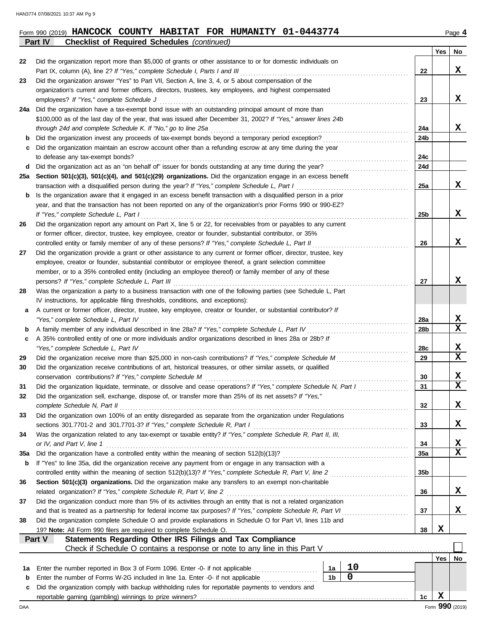|     | Part IV<br><b>Checklist of Required Schedules (continued)</b>                                                                                                                                                                  |                 |     |                 |
|-----|--------------------------------------------------------------------------------------------------------------------------------------------------------------------------------------------------------------------------------|-----------------|-----|-----------------|
|     |                                                                                                                                                                                                                                |                 | Yes | No              |
| 22  | Did the organization report more than \$5,000 of grants or other assistance to or for domestic individuals on                                                                                                                  |                 |     |                 |
|     |                                                                                                                                                                                                                                | 22              |     | x               |
| 23  | Did the organization answer "Yes" to Part VII, Section A, line 3, 4, or 5 about compensation of the                                                                                                                            |                 |     |                 |
|     | organization's current and former officers, directors, trustees, key employees, and highest compensated                                                                                                                        |                 |     |                 |
|     |                                                                                                                                                                                                                                | 23              |     | x               |
| 24a | Did the organization have a tax-exempt bond issue with an outstanding principal amount of more than                                                                                                                            |                 |     |                 |
|     | \$100,000 as of the last day of the year, that was issued after December 31, 2002? If "Yes," answer lines 24b                                                                                                                  |                 |     |                 |
|     |                                                                                                                                                                                                                                | 24a             |     | X               |
| b   |                                                                                                                                                                                                                                | 24 <sub>b</sub> |     |                 |
| c   | Did the organization maintain an escrow account other than a refunding escrow at any time during the year                                                                                                                      |                 |     |                 |
|     |                                                                                                                                                                                                                                | 24c             |     |                 |
| d   |                                                                                                                                                                                                                                | 24d             |     |                 |
| 25a | Section 501(c)(3), 501(c)(4), and 501(c)(29) organizations. Did the organization engage in an excess benefit                                                                                                                   |                 |     |                 |
|     |                                                                                                                                                                                                                                | 25a             |     | X               |
| b   | Is the organization aware that it engaged in an excess benefit transaction with a disqualified person in a prior                                                                                                               |                 |     |                 |
|     | year, and that the transaction has not been reported on any of the organization's prior Forms 990 or 990-EZ?                                                                                                                   |                 |     |                 |
|     |                                                                                                                                                                                                                                | 25b             |     | x               |
| 26  | Did the organization report any amount on Part X, line 5 or 22, for receivables from or payables to any current                                                                                                                |                 |     |                 |
|     | or former officer, director, trustee, key employee, creator or founder, substantial contributor, or 35%                                                                                                                        |                 |     |                 |
|     | controlled entity or family member of any of these persons? If "Yes," complete Schedule L, Part II                                                                                                                             | 26              |     | X               |
| 27  | Did the organization provide a grant or other assistance to any current or former officer, director, trustee, key                                                                                                              |                 |     |                 |
|     | employee, creator or founder, substantial contributor or employee thereof, a grant selection committee                                                                                                                         |                 |     |                 |
|     | member, or to a 35% controlled entity (including an employee thereof) or family member of any of these                                                                                                                         |                 |     |                 |
|     |                                                                                                                                                                                                                                | 27              |     | x               |
| 28  | Was the organization a party to a business transaction with one of the following parties (see Schedule L, Part                                                                                                                 |                 |     |                 |
|     | IV instructions, for applicable filing thresholds, conditions, and exceptions):                                                                                                                                                |                 |     |                 |
| a   | A current or former officer, director, trustee, key employee, creator or founder, or substantial contributor? If                                                                                                               |                 |     |                 |
|     | "Yes," complete Schedule L, Part IV [[20] No. 2010 [20] No. 2010 [20] No. 2010 [20] No. 2010 [20] No. 2010 [20] No. 2010 [20] No. 2010 [20] No. 2010 [20] No. 2010 [20] No. 2010 [20] No. 2010 [20] No. 2010 [20] No. 2010 [20 | 28a             |     | X               |
| b   | A family member of any individual described in line 28a? If "Yes," complete Schedule L, Part IV [[[[[[[[[[[[[                                                                                                                  | 28b             |     | x               |
| c   | A 35% controlled entity of one or more individuals and/or organizations described in lines 28a or 28b? If                                                                                                                      |                 |     |                 |
|     | "Yes," complete Schedule L, Part IV [[20] No. 2010 [20] No. 2010 [20] No. 2010 [20] No. 2010 [20] No. 2010 [20] No. 2010 [20] No. 2010 [20] No. 2010 [20] No. 2010 [20] No. 2010 [20] No. 2010 [20] No. 2010 [20] No. 2010 [20 | 28c             |     | х               |
| 29  |                                                                                                                                                                                                                                | 29              |     | X               |
| 30  | Did the organization receive contributions of art, historical treasures, or other similar assets, or qualified                                                                                                                 |                 |     |                 |
|     |                                                                                                                                                                                                                                | 30              |     | X               |
| 31  | Did the organization liquidate, terminate, or dissolve and cease operations? If "Yes," complete Schedule N, Part I                                                                                                             | 31              |     | X               |
| 32  | Did the organization sell, exchange, dispose of, or transfer more than 25% of its net assets? If "Yes,"                                                                                                                        |                 |     |                 |
|     | complete Schedule N, Part II                                                                                                                                                                                                   | 32              |     | X               |
| 33  | Did the organization own 100% of an entity disregarded as separate from the organization under Regulations                                                                                                                     |                 |     |                 |
|     |                                                                                                                                                                                                                                | 33              |     | X               |
| 34  | Was the organization related to any tax-exempt or taxable entity? If "Yes," complete Schedule R, Part II, III,                                                                                                                 |                 |     |                 |
|     |                                                                                                                                                                                                                                | 34              |     | X               |
| 35a |                                                                                                                                                                                                                                | 35a             |     | X               |
| b   | If "Yes" to line 35a, did the organization receive any payment from or engage in any transaction with a                                                                                                                        |                 |     |                 |
|     |                                                                                                                                                                                                                                | 35 <sub>b</sub> |     |                 |
| 36  | Section 501(c)(3) organizations. Did the organization make any transfers to an exempt non-charitable                                                                                                                           |                 |     |                 |
|     |                                                                                                                                                                                                                                | 36              |     | X               |
| 37  | Did the organization conduct more than 5% of its activities through an entity that is not a related organization                                                                                                               |                 |     |                 |
|     |                                                                                                                                                                                                                                | 37              |     | X               |
| 38  | Did the organization complete Schedule O and provide explanations in Schedule O for Part VI, lines 11b and                                                                                                                     |                 |     |                 |
|     | 19? Note: All Form 990 filers are required to complete Schedule O.                                                                                                                                                             | 38              | X   |                 |
|     | Statements Regarding Other IRS Filings and Tax Compliance<br>Part V                                                                                                                                                            |                 |     |                 |
|     |                                                                                                                                                                                                                                |                 |     |                 |
|     |                                                                                                                                                                                                                                |                 | Yes | No              |
| 1а  | 10<br>Enter the number reported in Box 3 of Form 1096. Enter -0- if not applicable<br>1a                                                                                                                                       |                 |     |                 |
| b   | 0<br>1 <sub>b</sub><br>Enter the number of Forms W-2G included in line 1a. Enter -0- if not applicable                                                                                                                         |                 |     |                 |
| c   | Did the organization comply with backup withholding rules for reportable payments to vendors and                                                                                                                               |                 |     |                 |
|     |                                                                                                                                                                                                                                | 1c              | X   |                 |
| DAA |                                                                                                                                                                                                                                |                 |     | Form 990 (2019) |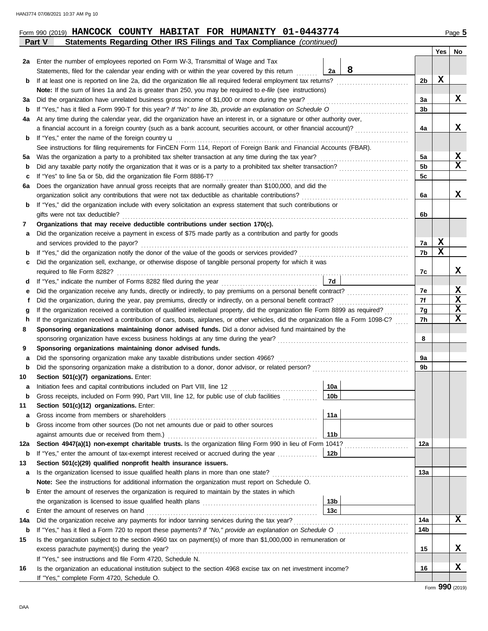#### **Part V Statements Regarding Other IRS Filings and Tax Compliance** *(continued)* **Form 990 (2019) HANCOCK COUNTY HABITAT FOR HUMANITY 01-0443774** Page 5

|--|

|                                                                                                                                       |                                                                                                                                    |                 |   |                | Yes | No     |
|---------------------------------------------------------------------------------------------------------------------------------------|------------------------------------------------------------------------------------------------------------------------------------|-----------------|---|----------------|-----|--------|
| 2a                                                                                                                                    | Enter the number of employees reported on Form W-3, Transmittal of Wage and Tax                                                    |                 |   |                |     |        |
|                                                                                                                                       | Statements, filed for the calendar year ending with or within the year covered by this return                                      | 2a              | 8 |                |     |        |
| b                                                                                                                                     | If at least one is reported on line 2a, did the organization file all required federal employment tax returns?                     |                 |   | 2b             | x   |        |
|                                                                                                                                       | Note: If the sum of lines 1a and 2a is greater than 250, you may be required to e-file (see instructions)                          |                 |   |                |     |        |
| За                                                                                                                                    | Did the organization have unrelated business gross income of \$1,000 or more during the year?                                      |                 |   | 3a             |     | x      |
| b                                                                                                                                     |                                                                                                                                    |                 |   | 3b             |     |        |
| 4a                                                                                                                                    | At any time during the calendar year, did the organization have an interest in, or a signature or other authority over,            |                 |   |                |     |        |
|                                                                                                                                       | a financial account in a foreign country (such as a bank account, securities account, or other financial account)?                 |                 |   | 4a             |     | x      |
| b                                                                                                                                     | If "Yes," enter the name of the foreign country $\mathbf u$                                                                        |                 |   |                |     |        |
|                                                                                                                                       | See instructions for filing requirements for FinCEN Form 114, Report of Foreign Bank and Financial Accounts (FBAR).                |                 |   |                |     |        |
| 5а                                                                                                                                    | Was the organization a party to a prohibited tax shelter transaction at any time during the tax year?                              |                 |   | 5a             |     | x      |
| b                                                                                                                                     |                                                                                                                                    |                 |   | 5 <sub>b</sub> |     | x      |
| c                                                                                                                                     | If "Yes" to line 5a or 5b, did the organization file Form 8886-T?                                                                  |                 |   | 5c             |     |        |
| 6а                                                                                                                                    | Does the organization have annual gross receipts that are normally greater than \$100,000, and did the                             |                 |   |                |     |        |
|                                                                                                                                       | organization solicit any contributions that were not tax deductible as charitable contributions?                                   |                 |   | 6a             |     | x      |
| b                                                                                                                                     | If "Yes," did the organization include with every solicitation an express statement that such contributions or                     |                 |   |                |     |        |
|                                                                                                                                       | gifts were not tax deductible?                                                                                                     |                 |   | 6b             |     |        |
| 7                                                                                                                                     | Organizations that may receive deductible contributions under section 170(c).                                                      |                 |   |                |     |        |
| a                                                                                                                                     | Did the organization receive a payment in excess of \$75 made partly as a contribution and partly for goods                        |                 |   |                |     |        |
|                                                                                                                                       | and services provided to the payor?                                                                                                |                 |   | 7a             | x   |        |
| b                                                                                                                                     |                                                                                                                                    |                 |   | 7b             | х   |        |
| c                                                                                                                                     | Did the organization sell, exchange, or otherwise dispose of tangible personal property for which it was                           |                 |   |                |     |        |
|                                                                                                                                       |                                                                                                                                    |                 |   | 7c             |     | X.     |
| d                                                                                                                                     |                                                                                                                                    | 7d              |   |                |     |        |
| е                                                                                                                                     | Did the organization receive any funds, directly or indirectly, to pay premiums on a personal benefit contract?                    |                 |   | 7e             |     | x<br>X |
| f                                                                                                                                     | Did the organization, during the year, pay premiums, directly or indirectly, on a personal benefit contract?                       |                 |   |                |     |        |
| If the organization received a contribution of qualified intellectual property, did the organization file Form 8899 as required?<br>g |                                                                                                                                    |                 |   |                |     | X      |
| h                                                                                                                                     | If the organization received a contribution of cars, boats, airplanes, or other vehicles, did the organization file a Form 1098-C? |                 |   | 7h             |     | x      |
| 8                                                                                                                                     | Sponsoring organizations maintaining donor advised funds. Did a donor advised fund maintained by the                               |                 |   |                |     |        |
|                                                                                                                                       |                                                                                                                                    |                 |   | 8              |     |        |
| 9                                                                                                                                     | Sponsoring organizations maintaining donor advised funds.                                                                          |                 |   |                |     |        |
| а                                                                                                                                     | Did the sponsoring organization make any taxable distributions under section 4966?                                                 |                 |   | 9a             |     |        |
| b                                                                                                                                     | Did the sponsoring organization make a distribution to a donor, donor advisor, or related person?                                  |                 |   | 9b             |     |        |
| 10                                                                                                                                    | Section 501(c)(7) organizations. Enter:                                                                                            |                 |   |                |     |        |
| а                                                                                                                                     | Initiation fees and capital contributions included on Part VIII, line 12                                                           | 10a             |   |                |     |        |
| b                                                                                                                                     | Gross receipts, included on Form 990, Part VIII, line 12, for public use of club facilities                                        | 10 <sub>b</sub> |   |                |     |        |
| 11                                                                                                                                    | Section 501(c)(12) organizations. Enter:                                                                                           |                 |   |                |     |        |
| a                                                                                                                                     |                                                                                                                                    | 11a             |   |                |     |        |
| b                                                                                                                                     | Gross income from other sources (Do not net amounts due or paid to other sources                                                   |                 |   |                |     |        |
|                                                                                                                                       |                                                                                                                                    | 11 <sub>b</sub> |   |                |     |        |
| 12a                                                                                                                                   | Section 4947(a)(1) non-exempt charitable trusts. Is the organization filing Form 990 in lieu of Form 1041?                         |                 |   | 12a            |     |        |
| b                                                                                                                                     | If "Yes," enter the amount of tax-exempt interest received or accrued during the year                                              | 12 <sub>b</sub> |   |                |     |        |
| 13                                                                                                                                    | Section 501(c)(29) qualified nonprofit health insurance issuers.                                                                   |                 |   |                |     |        |
| а                                                                                                                                     | Is the organization licensed to issue qualified health plans in more than one state?                                               |                 |   | 13а            |     |        |
|                                                                                                                                       | Note: See the instructions for additional information the organization must report on Schedule O.                                  |                 |   |                |     |        |
| b                                                                                                                                     | Enter the amount of reserves the organization is required to maintain by the states in which                                       |                 |   |                |     |        |
|                                                                                                                                       |                                                                                                                                    | 13 <sub>b</sub> |   |                |     |        |
| c                                                                                                                                     |                                                                                                                                    | 13с             |   | 14a            |     | X      |
| 14a                                                                                                                                   |                                                                                                                                    |                 |   |                |     |        |
| b                                                                                                                                     |                                                                                                                                    |                 |   | 14b            |     |        |
| 15                                                                                                                                    | Is the organization subject to the section 4960 tax on payment(s) of more than \$1,000,000 in remuneration or                      |                 |   |                |     |        |
|                                                                                                                                       |                                                                                                                                    |                 |   | 15             |     | X.     |
|                                                                                                                                       | If "Yes," see instructions and file Form 4720, Schedule N.                                                                         |                 |   |                |     | X.     |
| 16                                                                                                                                    | Is the organization an educational institution subject to the section 4968 excise tax on net investment income?                    |                 |   | 16             |     |        |
|                                                                                                                                       | If "Yes," complete Form 4720, Schedule O.                                                                                          |                 |   |                |     |        |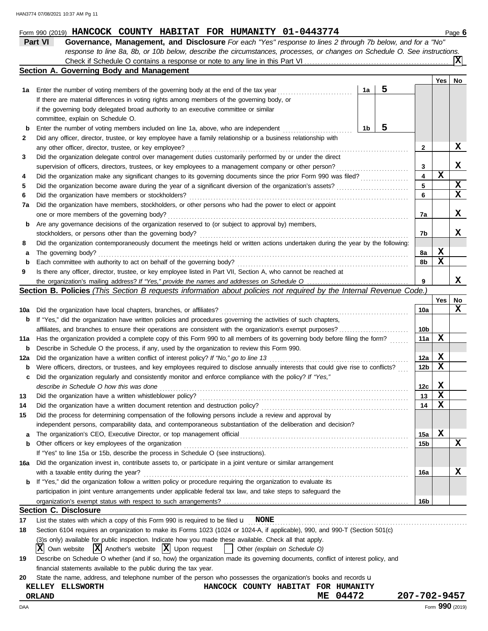| $Form$ 990 (2019) HANCOCK COUNTY HABITAT FOR HUMANITY 01-0443774 |  |  |  |  |  |  |  | Page $\bm{6}$ |
|------------------------------------------------------------------|--|--|--|--|--|--|--|---------------|
|------------------------------------------------------------------|--|--|--|--|--|--|--|---------------|

| Part VI | Governance, Management, and Disclosure For each "Yes" response to lines 2 through 7b below, and for a "No"                |
|---------|---------------------------------------------------------------------------------------------------------------------------|
|         | response to line 8a, 8b, or 10b below, describe the circumstances, processes, or changes on Schedule O. See instructions. |
|         | <u>  </u> x                                                                                                               |

|          | Section A. Governing Body and Management                                                                                            |    |   |                         |             |             |
|----------|-------------------------------------------------------------------------------------------------------------------------------------|----|---|-------------------------|-------------|-------------|
|          |                                                                                                                                     |    |   |                         | Yes         | No.         |
| 1а       | Enter the number of voting members of the governing body at the end of the tax year                                                 | 1a | 5 |                         |             |             |
|          | If there are material differences in voting rights among members of the governing body, or                                          |    |   |                         |             |             |
|          | if the governing body delegated broad authority to an executive committee or similar                                                |    |   |                         |             |             |
|          | committee, explain on Schedule O.                                                                                                   |    |   |                         |             |             |
| b        | Enter the number of voting members included on line 1a, above, who are independent                                                  | 1b | 5 |                         |             |             |
| 2        | Did any officer, director, trustee, or key employee have a family relationship or a business relationship with                      |    |   |                         |             |             |
|          |                                                                                                                                     |    |   | $\mathbf{2}$            |             | X           |
| 3        | Did the organization delegate control over management duties customarily performed by or under the direct                           |    |   |                         |             |             |
|          | supervision of officers, directors, trustees, or key employees to a management company or other person?                             |    |   | 3                       |             | x           |
| 4        | Did the organization make any significant changes to its governing documents since the prior Form 990 was filed?                    |    |   | $\overline{\mathbf{4}}$ | $\mathbf x$ |             |
| 5        | Did the organization become aware during the year of a significant diversion of the organization's assets?                          |    |   | 5                       |             | X           |
| 6        | Did the organization have members or stockholders?                                                                                  |    |   | 6                       |             | $\mathbf x$ |
| 7a       | Did the organization have members, stockholders, or other persons who had the power to elect or appoint                             |    |   |                         |             |             |
|          | one or more members of the governing body?                                                                                          |    |   | 7а                      |             | X           |
| b        | Are any governance decisions of the organization reserved to (or subject to approval by) members,                                   |    |   |                         |             |             |
|          | stockholders, or persons other than the governing body?                                                                             |    |   | 7b                      |             | x           |
| 8        | Did the organization contemporaneously document the meetings held or written actions undertaken during the year by the following:   |    |   |                         |             |             |
| а        | The governing body?                                                                                                                 |    |   | 8а                      | x           |             |
| b        |                                                                                                                                     |    |   | 8b                      | x           |             |
| 9        | Is there any officer, director, trustee, or key employee listed in Part VII, Section A, who cannot be reached at                    |    |   |                         |             |             |
|          |                                                                                                                                     |    |   | 9                       |             | x           |
|          | Section B. Policies (This Section B requests information about policies not required by the Internal Revenue Code.)                 |    |   |                         |             |             |
|          |                                                                                                                                     |    |   | 10a                     | Yes         | No<br>x     |
| 10a<br>b | Did the organization have local chapters, branches, or affiliates?                                                                  |    |   |                         |             |             |
|          | If "Yes," did the organization have written policies and procedures governing the activities of such chapters,                      |    |   | 10b                     |             |             |
| 11a      | Has the organization provided a complete copy of this Form 990 to all members of its governing body before filing the form?         |    |   | 11a                     | x           |             |
| b        | Describe in Schedule O the process, if any, used by the organization to review this Form 990.                                       |    |   |                         |             |             |
| 12a      |                                                                                                                                     |    |   | 12a                     | X           |             |
| b        | Were officers, directors, or trustees, and key employees required to disclose annually interests that could give rise to conflicts? |    |   | 12 <sub>b</sub>         | X           |             |
| c        | Did the organization regularly and consistently monitor and enforce compliance with the policy? If "Yes,"                           |    |   |                         |             |             |
|          | describe in Schedule O how this was done                                                                                            |    |   | 12c                     | X           |             |
| 13       | Did the organization have a written whistleblower policy?                                                                           |    |   | 13                      | X           |             |
| 14       |                                                                                                                                     |    |   | 14                      | X           |             |
| 15       | Did the process for determining compensation of the following persons include a review and approval by                              |    |   |                         |             |             |
|          | independent persons, comparability data, and contemporaneous substantiation of the deliberation and decision?                       |    |   |                         |             |             |
| a        |                                                                                                                                     |    |   | 15a                     | x           |             |
| b        | Other officers or key employees of the organization                                                                                 |    |   | 15 <sub>b</sub>         |             | x           |
|          | If "Yes" to line 15a or 15b, describe the process in Schedule O (see instructions).                                                 |    |   |                         |             |             |
| 16a      | Did the organization invest in, contribute assets to, or participate in a joint venture or similar arrangement                      |    |   |                         |             |             |
|          | with a taxable entity during the year?                                                                                              |    |   | 16a                     |             | X           |
| b        | If "Yes," did the organization follow a written policy or procedure requiring the organization to evaluate its                      |    |   |                         |             |             |
|          | participation in joint venture arrangements under applicable federal tax law, and take steps to safeguard the                       |    |   |                         |             |             |
|          |                                                                                                                                     |    |   | 16b                     |             |             |
|          | <b>Section C. Disclosure</b>                                                                                                        |    |   |                         |             |             |

**17** List the states with which a copy of this Form 990 is required to be filed  ${\bf u}$  MONE . An example the states with which a copy of this Form 990 is required to be filed  ${\bf u}$  MONE . An example the state state with which

| 18 Section 6104 requires an organization to make its Forms 1023 (1024 or 1024-A, if applicable), 990, and 990-T (Section 501(c) |  |
|---------------------------------------------------------------------------------------------------------------------------------|--|
|---------------------------------------------------------------------------------------------------------------------------------|--|

(3)s only) available for public inspection. Indicate how you made these available. Check all that apply.

 $\overline{X}$  Own website  $\overline{X}$  Another's website  $\overline{X}$  Upon request  $\overline{X}$  Other *(explain on Schedule O)* 

| Describe on Schedule O whether (and if so, how) the organization made its governing documents, conflict of interest policy, and |
|---------------------------------------------------------------------------------------------------------------------------------|
| financial statements available to the public during the tax year.                                                               |

**20** State the name, address, and telephone number of the person who possesses the organization's books and records u

# **KELLEY ELLSWORTH HANCOCK COUNTY HABITAT FOR HUMANITY ORLAND ME 04472 207-702-9457**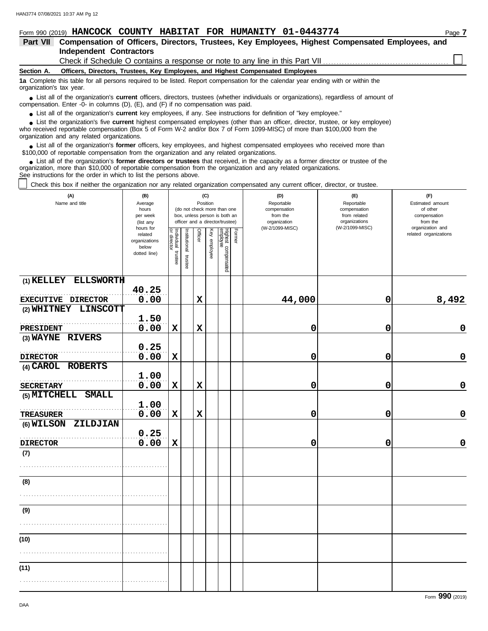| <b>Part VII</b>          | Compensation of Officers, Directors, Trustees, Key Employees, Highest Compensated Employees, and                                  |
|--------------------------|-----------------------------------------------------------------------------------------------------------------------------------|
|                          | <b>Independent Contractors</b>                                                                                                    |
|                          |                                                                                                                                   |
| Section A.               | Officers, Directors, Trustees, Key Employees, and Highest Compensated Employees                                                   |
| organization's tax year. | 1a Complete this table for all persons required to be listed. Report compensation for the calendar year ending with or within the |

■ List all of the organization's **current** officers, directors, trustees (whether individuals or organizations), regardless of amount of compensation. Enter -0- in columns (D), (E), and (F) if no compensation was paid.

● List all of the organization's **current** key employees, if any. See instructions for definition of "key employee."

■ List the organization's five **current** highest compensated employees (other than an officer, director, trustee, or key employee)<br> **•** Preceived reportable compensation (Box 5 of Form M/-2 and/or Box 7 of Form 1099-MISC)

who received reportable compensation (Box 5 of Form W-2 and/or Box 7 of Form 1099-MISC) of more than \$100,000 from the organization and any related organizations.

■ List all of the organization's **former** officers, key employees, and highest compensated employees who received more than<br>00,000 of reportable compensation from the organization and any related organizations \$100,000 of reportable compensation from the organization and any related organizations.

■ List all of the organization's **former directors or trustees** that received, in the capacity as a former director or trustee of the property as a former director or trustee of the property of the organization and any re organization, more than \$10,000 of reportable compensation from the organization and any related organizations. See instructions for the order in which to list the persons above.

Check this box if neither the organization nor any related organization compensated any current officer, director, or trustee.

| (A)<br>Name and title                     | (B)<br>Average<br>hours<br>per week<br>(list any               |                                   |                       | (C)<br>Position<br>(do not check more than one<br>box, unless person is both an<br>officer and a director/trustee) |              |                                 |               | (D)<br>Reportable<br>compensation<br>from the<br>organization<br>(W-2/1099-MISC) | (E)<br>Reportable<br>compensation<br>from related<br>organizations<br>(W-2/1099-MISC) | (F)<br>Estimated amount<br>of other<br>compensation<br>from the<br>organization and |
|-------------------------------------------|----------------------------------------------------------------|-----------------------------------|-----------------------|--------------------------------------------------------------------------------------------------------------------|--------------|---------------------------------|---------------|----------------------------------------------------------------------------------|---------------------------------------------------------------------------------------|-------------------------------------------------------------------------------------|
|                                           | hours for<br>related<br>organizations<br>below<br>dotted line) | Individual trustee<br>or director | Institutional trustee | Officer                                                                                                            | Key employee | Highest compensated<br>employee | <b>Former</b> |                                                                                  |                                                                                       | related organizations                                                               |
| $(1)$ KELLEY ELLSWORTH                    | 40.25                                                          |                                   |                       |                                                                                                                    |              |                                 |               |                                                                                  |                                                                                       |                                                                                     |
| EXECUTIVE DIRECTOR                        | 0.00                                                           |                                   |                       | $\mathbf x$                                                                                                        |              |                                 |               | 44,000                                                                           | 0                                                                                     | 8,492                                                                               |
| (2) WHITNEY LINSCOTT                      |                                                                |                                   |                       |                                                                                                                    |              |                                 |               |                                                                                  |                                                                                       |                                                                                     |
|                                           | 1.50                                                           |                                   |                       |                                                                                                                    |              |                                 |               |                                                                                  |                                                                                       |                                                                                     |
| <b>PRESIDENT</b><br>(3) WAYNE RIVERS      | 0.00                                                           | $\mathbf x$                       |                       | X                                                                                                                  |              |                                 |               | 0                                                                                | 0                                                                                     | $\mathbf 0$                                                                         |
| <b>DIRECTOR</b>                           | 0.25<br>0.00                                                   | $\mathbf x$                       |                       |                                                                                                                    |              |                                 |               | 0                                                                                | 0                                                                                     | $\mathbf 0$                                                                         |
| (4) CAROL ROBERTS                         |                                                                |                                   |                       |                                                                                                                    |              |                                 |               |                                                                                  |                                                                                       |                                                                                     |
| <b>SECRETARY</b>                          | 1.00<br>0.00                                                   | $\mathbf x$                       |                       | $\mathbf x$                                                                                                        |              |                                 |               | 0                                                                                | 0                                                                                     | $\mathbf 0$                                                                         |
| (5) MITCHELL<br><b>SMALL</b>              | 1.00                                                           |                                   |                       |                                                                                                                    |              |                                 |               |                                                                                  |                                                                                       |                                                                                     |
| <b>TREASURER</b>                          | 0.00                                                           | $\mathbf x$                       |                       | X                                                                                                                  |              |                                 |               | 0                                                                                | 0                                                                                     | $\mathbf 0$                                                                         |
| ZILDJIAN<br>(6) WILSON<br><b>DIRECTOR</b> | 0.25<br>0.00                                                   | $\mathbf x$                       |                       |                                                                                                                    |              |                                 |               | 0                                                                                | 0                                                                                     | $\mathbf 0$                                                                         |
| (7)                                       |                                                                |                                   |                       |                                                                                                                    |              |                                 |               |                                                                                  |                                                                                       |                                                                                     |
|                                           |                                                                |                                   |                       |                                                                                                                    |              |                                 |               |                                                                                  |                                                                                       |                                                                                     |
| (8)                                       |                                                                |                                   |                       |                                                                                                                    |              |                                 |               |                                                                                  |                                                                                       |                                                                                     |
|                                           |                                                                |                                   |                       |                                                                                                                    |              |                                 |               |                                                                                  |                                                                                       |                                                                                     |
| (9)                                       |                                                                |                                   |                       |                                                                                                                    |              |                                 |               |                                                                                  |                                                                                       |                                                                                     |
|                                           |                                                                |                                   |                       |                                                                                                                    |              |                                 |               |                                                                                  |                                                                                       |                                                                                     |
| (10)                                      |                                                                |                                   |                       |                                                                                                                    |              |                                 |               |                                                                                  |                                                                                       |                                                                                     |
|                                           |                                                                |                                   |                       |                                                                                                                    |              |                                 |               |                                                                                  |                                                                                       |                                                                                     |
| (11)                                      |                                                                |                                   |                       |                                                                                                                    |              |                                 |               |                                                                                  |                                                                                       |                                                                                     |
|                                           |                                                                |                                   |                       |                                                                                                                    |              |                                 |               |                                                                                  |                                                                                       |                                                                                     |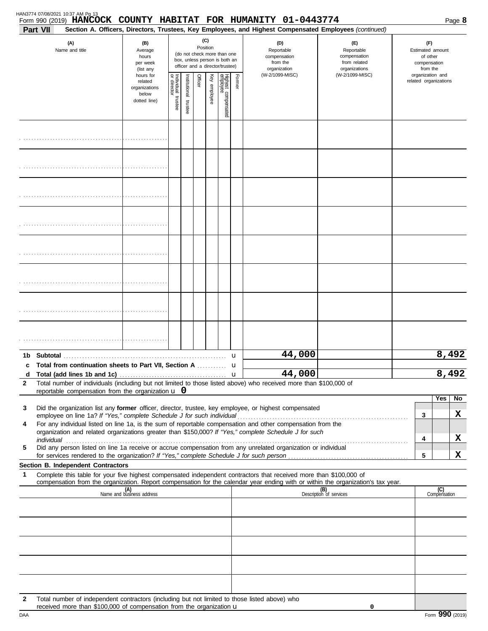| (C)<br>(A)<br>(B)<br>(D)<br>(F)<br>(E)<br>Position<br>Name and title<br>Reportable<br>Reportable<br>Average<br>Estimated amount<br>(do not check more than one<br>hours<br>compensation<br>compensation<br>of other<br>box, unless person is both an<br>from the<br>from related<br>per week<br>compensation<br>officer and a director/trustee)<br>organization<br>organizations<br>from the<br>(list any<br>(W-2/1099-MISC)<br>(W-2/1099-MISC)<br>organization and<br>hours for<br>Officer<br>Highest compensated<br>employee<br>Former<br>Individual 1<br>or director<br>Institutional trustee<br>Key employee<br>related organizations<br>related<br>organizations<br>below<br>trustee<br>dotted line)<br>8,492<br>44,000<br>u<br>c Total from continuation sheets to Part VII, Section A  u<br>44,000<br>d<br>Total number of individuals (including but not limited to those listed above) who received more than \$100,000 of<br>2<br>reportable compensation from the organization $\bf{u}$ 0<br>Yes  <br>Did the organization list any former officer, director, trustee, key employee, or highest compensated<br>3<br>3<br>employee on line 1a? If "Yes," complete Schedule J for such individual [11] content content content and the schedule J for such individual [11] content content and the schedule of the schedule J for such an amount of the s<br>For any individual listed on line 1a, is the sum of reportable compensation and other compensation from the<br>4<br>organization and related organizations greater than \$150,000? If "Yes," complete Schedule J for such<br>4<br>individual<br>Did any person listed on line 1a receive or accrue compensation from any unrelated organization or individual<br>5<br>5<br>Section B. Independent Contractors<br>Complete this table for your five highest compensated independent contractors that received more than \$100,000 of<br>1<br>compensation from the organization. Report compensation for the calendar year ending with or within the organization's tax year.<br>(B)<br>Description of services<br>(C)<br>Compensation<br>(A)<br>Name and business address<br>2 |                                                                          |                                                                                                                                                                                                                                                                                                                           |  |  |  |  |  |  |  |  |  | Page 8 |
|------------------------------------------------------------------------------------------------------------------------------------------------------------------------------------------------------------------------------------------------------------------------------------------------------------------------------------------------------------------------------------------------------------------------------------------------------------------------------------------------------------------------------------------------------------------------------------------------------------------------------------------------------------------------------------------------------------------------------------------------------------------------------------------------------------------------------------------------------------------------------------------------------------------------------------------------------------------------------------------------------------------------------------------------------------------------------------------------------------------------------------------------------------------------------------------------------------------------------------------------------------------------------------------------------------------------------------------------------------------------------------------------------------------------------------------------------------------------------------------------------------------------------------------------------------------------------------------------------------------------------------------------------------------------------------------------------------------------------------------------------------------------------------------------------------------------------------------------------------------------------------------------------------------------------------------------------------------------------------------------------------------------------------------------------------------------------------------------------------------------------------------------------|--------------------------------------------------------------------------|---------------------------------------------------------------------------------------------------------------------------------------------------------------------------------------------------------------------------------------------------------------------------------------------------------------------------|--|--|--|--|--|--|--|--|--|--------|
|                                                                                                                                                                                                                                                                                                                                                                                                                                                                                                                                                                                                                                                                                                                                                                                                                                                                                                                                                                                                                                                                                                                                                                                                                                                                                                                                                                                                                                                                                                                                                                                                                                                                                                                                                                                                                                                                                                                                                                                                                                                                                                                                                      |                                                                          |                                                                                                                                                                                                                                                                                                                           |  |  |  |  |  |  |  |  |  |        |
|                                                                                                                                                                                                                                                                                                                                                                                                                                                                                                                                                                                                                                                                                                                                                                                                                                                                                                                                                                                                                                                                                                                                                                                                                                                                                                                                                                                                                                                                                                                                                                                                                                                                                                                                                                                                                                                                                                                                                                                                                                                                                                                                                      |                                                                          |                                                                                                                                                                                                                                                                                                                           |  |  |  |  |  |  |  |  |  |        |
|                                                                                                                                                                                                                                                                                                                                                                                                                                                                                                                                                                                                                                                                                                                                                                                                                                                                                                                                                                                                                                                                                                                                                                                                                                                                                                                                                                                                                                                                                                                                                                                                                                                                                                                                                                                                                                                                                                                                                                                                                                                                                                                                                      |                                                                          |                                                                                                                                                                                                                                                                                                                           |  |  |  |  |  |  |  |  |  |        |
|                                                                                                                                                                                                                                                                                                                                                                                                                                                                                                                                                                                                                                                                                                                                                                                                                                                                                                                                                                                                                                                                                                                                                                                                                                                                                                                                                                                                                                                                                                                                                                                                                                                                                                                                                                                                                                                                                                                                                                                                                                                                                                                                                      |                                                                          | COUNTY HABITAT FOR HUMANITY 01-0443774<br>Section A. Officers, Directors, Trustees, Key Employees, and Highest Compensated Employees (continued)<br>Total number of independent contractors (including but not limited to those listed above) who<br>received more than \$100,000 of compensation from the organization u |  |  |  |  |  |  |  |  |  |        |
|                                                                                                                                                                                                                                                                                                                                                                                                                                                                                                                                                                                                                                                                                                                                                                                                                                                                                                                                                                                                                                                                                                                                                                                                                                                                                                                                                                                                                                                                                                                                                                                                                                                                                                                                                                                                                                                                                                                                                                                                                                                                                                                                                      | HAN3774 07/08/2021 10:37 AM Pg 13<br>Form 990 (2019) HANCOCK<br>Part VII |                                                                                                                                                                                                                                                                                                                           |  |  |  |  |  |  |  |  |  |        |
|                                                                                                                                                                                                                                                                                                                                                                                                                                                                                                                                                                                                                                                                                                                                                                                                                                                                                                                                                                                                                                                                                                                                                                                                                                                                                                                                                                                                                                                                                                                                                                                                                                                                                                                                                                                                                                                                                                                                                                                                                                                                                                                                                      |                                                                          |                                                                                                                                                                                                                                                                                                                           |  |  |  |  |  |  |  |  |  |        |
|                                                                                                                                                                                                                                                                                                                                                                                                                                                                                                                                                                                                                                                                                                                                                                                                                                                                                                                                                                                                                                                                                                                                                                                                                                                                                                                                                                                                                                                                                                                                                                                                                                                                                                                                                                                                                                                                                                                                                                                                                                                                                                                                                      |                                                                          |                                                                                                                                                                                                                                                                                                                           |  |  |  |  |  |  |  |  |  |        |
|                                                                                                                                                                                                                                                                                                                                                                                                                                                                                                                                                                                                                                                                                                                                                                                                                                                                                                                                                                                                                                                                                                                                                                                                                                                                                                                                                                                                                                                                                                                                                                                                                                                                                                                                                                                                                                                                                                                                                                                                                                                                                                                                                      |                                                                          |                                                                                                                                                                                                                                                                                                                           |  |  |  |  |  |  |  |  |  |        |
|                                                                                                                                                                                                                                                                                                                                                                                                                                                                                                                                                                                                                                                                                                                                                                                                                                                                                                                                                                                                                                                                                                                                                                                                                                                                                                                                                                                                                                                                                                                                                                                                                                                                                                                                                                                                                                                                                                                                                                                                                                                                                                                                                      |                                                                          |                                                                                                                                                                                                                                                                                                                           |  |  |  |  |  |  |  |  |  |        |
|                                                                                                                                                                                                                                                                                                                                                                                                                                                                                                                                                                                                                                                                                                                                                                                                                                                                                                                                                                                                                                                                                                                                                                                                                                                                                                                                                                                                                                                                                                                                                                                                                                                                                                                                                                                                                                                                                                                                                                                                                                                                                                                                                      |                                                                          |                                                                                                                                                                                                                                                                                                                           |  |  |  |  |  |  |  |  |  |        |
|                                                                                                                                                                                                                                                                                                                                                                                                                                                                                                                                                                                                                                                                                                                                                                                                                                                                                                                                                                                                                                                                                                                                                                                                                                                                                                                                                                                                                                                                                                                                                                                                                                                                                                                                                                                                                                                                                                                                                                                                                                                                                                                                                      |                                                                          |                                                                                                                                                                                                                                                                                                                           |  |  |  |  |  |  |  |  |  |        |
|                                                                                                                                                                                                                                                                                                                                                                                                                                                                                                                                                                                                                                                                                                                                                                                                                                                                                                                                                                                                                                                                                                                                                                                                                                                                                                                                                                                                                                                                                                                                                                                                                                                                                                                                                                                                                                                                                                                                                                                                                                                                                                                                                      |                                                                          |                                                                                                                                                                                                                                                                                                                           |  |  |  |  |  |  |  |  |  | 8,492  |
|                                                                                                                                                                                                                                                                                                                                                                                                                                                                                                                                                                                                                                                                                                                                                                                                                                                                                                                                                                                                                                                                                                                                                                                                                                                                                                                                                                                                                                                                                                                                                                                                                                                                                                                                                                                                                                                                                                                                                                                                                                                                                                                                                      |                                                                          |                                                                                                                                                                                                                                                                                                                           |  |  |  |  |  |  |  |  |  | No     |
|                                                                                                                                                                                                                                                                                                                                                                                                                                                                                                                                                                                                                                                                                                                                                                                                                                                                                                                                                                                                                                                                                                                                                                                                                                                                                                                                                                                                                                                                                                                                                                                                                                                                                                                                                                                                                                                                                                                                                                                                                                                                                                                                                      |                                                                          |                                                                                                                                                                                                                                                                                                                           |  |  |  |  |  |  |  |  |  | X      |
|                                                                                                                                                                                                                                                                                                                                                                                                                                                                                                                                                                                                                                                                                                                                                                                                                                                                                                                                                                                                                                                                                                                                                                                                                                                                                                                                                                                                                                                                                                                                                                                                                                                                                                                                                                                                                                                                                                                                                                                                                                                                                                                                                      |                                                                          |                                                                                                                                                                                                                                                                                                                           |  |  |  |  |  |  |  |  |  |        |
|                                                                                                                                                                                                                                                                                                                                                                                                                                                                                                                                                                                                                                                                                                                                                                                                                                                                                                                                                                                                                                                                                                                                                                                                                                                                                                                                                                                                                                                                                                                                                                                                                                                                                                                                                                                                                                                                                                                                                                                                                                                                                                                                                      |                                                                          |                                                                                                                                                                                                                                                                                                                           |  |  |  |  |  |  |  |  |  | x      |
|                                                                                                                                                                                                                                                                                                                                                                                                                                                                                                                                                                                                                                                                                                                                                                                                                                                                                                                                                                                                                                                                                                                                                                                                                                                                                                                                                                                                                                                                                                                                                                                                                                                                                                                                                                                                                                                                                                                                                                                                                                                                                                                                                      |                                                                          |                                                                                                                                                                                                                                                                                                                           |  |  |  |  |  |  |  |  |  | x      |
|                                                                                                                                                                                                                                                                                                                                                                                                                                                                                                                                                                                                                                                                                                                                                                                                                                                                                                                                                                                                                                                                                                                                                                                                                                                                                                                                                                                                                                                                                                                                                                                                                                                                                                                                                                                                                                                                                                                                                                                                                                                                                                                                                      |                                                                          |                                                                                                                                                                                                                                                                                                                           |  |  |  |  |  |  |  |  |  |        |
|                                                                                                                                                                                                                                                                                                                                                                                                                                                                                                                                                                                                                                                                                                                                                                                                                                                                                                                                                                                                                                                                                                                                                                                                                                                                                                                                                                                                                                                                                                                                                                                                                                                                                                                                                                                                                                                                                                                                                                                                                                                                                                                                                      |                                                                          |                                                                                                                                                                                                                                                                                                                           |  |  |  |  |  |  |  |  |  |        |
|                                                                                                                                                                                                                                                                                                                                                                                                                                                                                                                                                                                                                                                                                                                                                                                                                                                                                                                                                                                                                                                                                                                                                                                                                                                                                                                                                                                                                                                                                                                                                                                                                                                                                                                                                                                                                                                                                                                                                                                                                                                                                                                                                      |                                                                          |                                                                                                                                                                                                                                                                                                                           |  |  |  |  |  |  |  |  |  |        |
|                                                                                                                                                                                                                                                                                                                                                                                                                                                                                                                                                                                                                                                                                                                                                                                                                                                                                                                                                                                                                                                                                                                                                                                                                                                                                                                                                                                                                                                                                                                                                                                                                                                                                                                                                                                                                                                                                                                                                                                                                                                                                                                                                      |                                                                          |                                                                                                                                                                                                                                                                                                                           |  |  |  |  |  |  |  |  |  |        |
|                                                                                                                                                                                                                                                                                                                                                                                                                                                                                                                                                                                                                                                                                                                                                                                                                                                                                                                                                                                                                                                                                                                                                                                                                                                                                                                                                                                                                                                                                                                                                                                                                                                                                                                                                                                                                                                                                                                                                                                                                                                                                                                                                      |                                                                          |                                                                                                                                                                                                                                                                                                                           |  |  |  |  |  |  |  |  |  |        |
|                                                                                                                                                                                                                                                                                                                                                                                                                                                                                                                                                                                                                                                                                                                                                                                                                                                                                                                                                                                                                                                                                                                                                                                                                                                                                                                                                                                                                                                                                                                                                                                                                                                                                                                                                                                                                                                                                                                                                                                                                                                                                                                                                      |                                                                          |                                                                                                                                                                                                                                                                                                                           |  |  |  |  |  |  |  |  |  |        |
|                                                                                                                                                                                                                                                                                                                                                                                                                                                                                                                                                                                                                                                                                                                                                                                                                                                                                                                                                                                                                                                                                                                                                                                                                                                                                                                                                                                                                                                                                                                                                                                                                                                                                                                                                                                                                                                                                                                                                                                                                                                                                                                                                      |                                                                          |                                                                                                                                                                                                                                                                                                                           |  |  |  |  |  |  |  |  |  |        |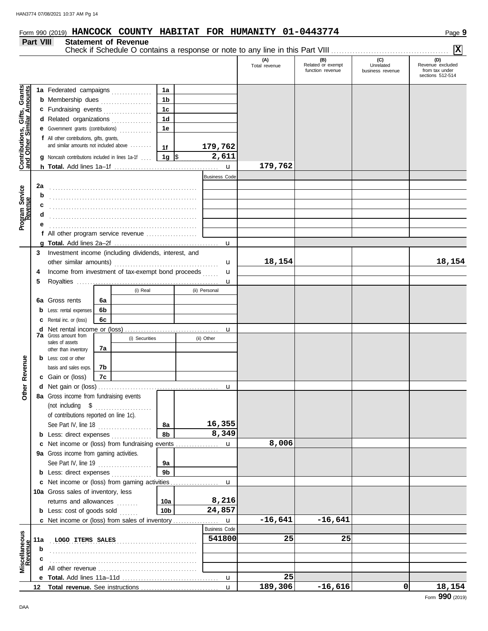#### **Part VIII Statement of Revenue**

|                                                                  |             |                                                                       |    | יטוונ שו ווע   |                 |                      |                      |                                              |                                      | $ \mathbf{x} $                                                |
|------------------------------------------------------------------|-------------|-----------------------------------------------------------------------|----|----------------|-----------------|----------------------|----------------------|----------------------------------------------|--------------------------------------|---------------------------------------------------------------|
|                                                                  |             |                                                                       |    |                |                 |                      | (A)<br>Total revenue | (B)<br>Related or exempt<br>function revenue | (C)<br>Unrelated<br>business revenue | (D)<br>Revenue excluded<br>from tax under<br>sections 512-514 |
|                                                                  |             | 1a Federated campaigns                                                |    |                | 1a              |                      |                      |                                              |                                      |                                                               |
| <b>Contributions, Gifts, Grants</b><br>and Other Similar Amounts |             | <b>b</b> Membership dues <i>[[[[[[[[[[[[[[[[[[[[[[[[[[]]]</i> ]]]     |    |                | 1 <sub>b</sub>  |                      |                      |                                              |                                      |                                                               |
|                                                                  |             | c Fundraising events                                                  |    |                | 1 <sub>c</sub>  |                      |                      |                                              |                                      |                                                               |
|                                                                  |             | d Related organizations                                               |    |                | 1 <sub>d</sub>  |                      |                      |                                              |                                      |                                                               |
|                                                                  |             | e Government grants (contributions)                                   |    |                | 1e              |                      |                      |                                              |                                      |                                                               |
|                                                                  |             | f All other contributions, gifts, grants,                             |    |                |                 |                      |                      |                                              |                                      |                                                               |
|                                                                  |             | and similar amounts not included above                                |    |                | 1f              | 179,762              |                      |                                              |                                      |                                                               |
|                                                                  |             | <b>g</b> Noncash contributions included in lines 1a-1f                |    |                | $1g$ \$         | 2,611                |                      |                                              |                                      |                                                               |
|                                                                  |             |                                                                       |    |                |                 |                      | 179,762              |                                              |                                      |                                                               |
|                                                                  |             |                                                                       |    |                |                 | <b>Business Code</b> |                      |                                              |                                      |                                                               |
|                                                                  | 2a          |                                                                       |    |                |                 |                      |                      |                                              |                                      |                                                               |
| Program Service<br>Revenue                                       |             |                                                                       |    |                |                 |                      |                      |                                              |                                      |                                                               |
|                                                                  |             |                                                                       |    |                |                 |                      |                      |                                              |                                      |                                                               |
|                                                                  |             |                                                                       |    |                |                 |                      |                      |                                              |                                      |                                                               |
|                                                                  |             |                                                                       |    |                |                 |                      |                      |                                              |                                      |                                                               |
|                                                                  |             | f All other program service revenue                                   |    |                |                 |                      |                      |                                              |                                      |                                                               |
|                                                                  |             |                                                                       |    |                |                 |                      |                      |                                              |                                      |                                                               |
|                                                                  | 3           | Investment income (including dividends, interest, and                 |    |                |                 |                      |                      |                                              |                                      |                                                               |
|                                                                  |             |                                                                       |    |                |                 | u                    | 18,154               |                                              |                                      | 18,154                                                        |
|                                                                  | 4           | Income from investment of tax-exempt bond proceeds                    |    |                |                 | u                    |                      |                                              |                                      |                                                               |
|                                                                  | 5           |                                                                       |    |                |                 | u                    |                      |                                              |                                      |                                                               |
|                                                                  |             |                                                                       |    | (i) Real       |                 | (ii) Personal        |                      |                                              |                                      |                                                               |
|                                                                  |             | 6a Gross rents                                                        | 6a |                |                 |                      |                      |                                              |                                      |                                                               |
|                                                                  |             | <b>b</b> Less: rental expenses                                        | 6b |                |                 |                      |                      |                                              |                                      |                                                               |
|                                                                  | c           | Rental inc. or (loss)                                                 | 6с |                |                 |                      |                      |                                              |                                      |                                                               |
|                                                                  |             | <b>7a</b> Gross amount from                                           |    |                |                 | u                    |                      |                                              |                                      |                                                               |
|                                                                  |             | sales of assets                                                       |    | (i) Securities |                 | (ii) Other           |                      |                                              |                                      |                                                               |
|                                                                  |             | other than inventory                                                  | 7а |                |                 |                      |                      |                                              |                                      |                                                               |
|                                                                  |             | <b>b</b> Less: cost or other                                          |    |                |                 |                      |                      |                                              |                                      |                                                               |
| Revenue                                                          |             | basis and sales exps.                                                 | 7b |                |                 |                      |                      |                                              |                                      |                                                               |
|                                                                  |             | c Gain or (loss)                                                      | 7c |                |                 |                      |                      |                                              |                                      |                                                               |
| Other                                                            |             |                                                                       |    |                |                 |                      |                      |                                              |                                      |                                                               |
|                                                                  |             | 8a Gross income from fundraising events                               |    |                |                 |                      |                      |                                              |                                      |                                                               |
|                                                                  |             | (not including $$$                                                    |    | .              |                 |                      |                      |                                              |                                      |                                                               |
|                                                                  |             | of contributions reported on line 1c).                                |    |                |                 | 16,355               |                      |                                              |                                      |                                                               |
|                                                                  |             | See Part IV, line 18<br><b>b</b> Less: direct expenses <i>minimum</i> |    | 8a<br>8b       | 8,349           |                      |                      |                                              |                                      |                                                               |
|                                                                  |             | <b>c</b> Net income or (loss) from fundraising events                 |    |                |                 | $\mathbf{u}$         | 8,006                |                                              |                                      |                                                               |
|                                                                  |             | 9a Gross income from gaming activities.                               |    |                |                 |                      |                      |                                              |                                      |                                                               |
|                                                                  |             | See Part IV, line 19                                                  |    |                | 9a              |                      |                      |                                              |                                      |                                                               |
|                                                                  |             | <b>b</b> Less: direct expenses                                        |    |                | 9b              |                      |                      |                                              |                                      |                                                               |
|                                                                  |             |                                                                       |    |                |                 | u                    |                      |                                              |                                      |                                                               |
|                                                                  |             | 10a Gross sales of inventory, less                                    |    |                |                 |                      |                      |                                              |                                      |                                                               |
|                                                                  |             | returns and allowances                                                |    |                | 10a             | 8,216                |                      |                                              |                                      |                                                               |
|                                                                  |             | <b>b</b> Less: cost of goods sold                                     |    |                | 10 <sub>b</sub> | 24,857               |                      |                                              |                                      |                                                               |
|                                                                  |             |                                                                       |    |                |                 | $\mathbf{u}$         | $-16,641$            | $-16,641$                                    |                                      |                                                               |
|                                                                  |             |                                                                       |    |                |                 | <b>Business Code</b> |                      |                                              |                                      |                                                               |
| Miscellaneous<br>Revenue                                         | 11a         | LOGO ITEMS SALES                                                      |    |                |                 | 541800               | 25                   | 25                                           |                                      |                                                               |
|                                                                  | $\mathbf b$ |                                                                       |    |                |                 |                      |                      |                                              |                                      |                                                               |
|                                                                  |             |                                                                       |    |                |                 |                      |                      |                                              |                                      |                                                               |
|                                                                  |             |                                                                       |    |                |                 |                      |                      |                                              |                                      |                                                               |
|                                                                  |             |                                                                       |    |                |                 | $\mathbf{u}$         | 25                   |                                              |                                      |                                                               |
|                                                                  |             |                                                                       |    |                |                 | $\mathbf{u}$         | 189,306              | $-16,616$                                    | 0                                    | 18,154                                                        |
|                                                                  |             |                                                                       |    |                |                 |                      |                      |                                              |                                      | Form 990 (2019)                                               |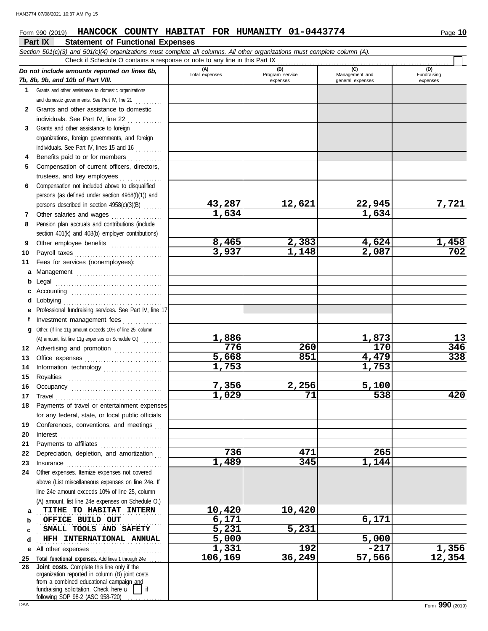|          | Part IX<br><b>Statement of Functional Expenses</b>                                                                         |                       |                        |                        |                        |
|----------|----------------------------------------------------------------------------------------------------------------------------|-----------------------|------------------------|------------------------|------------------------|
|          | Section 501(c)(3) and 501(c)(4) organizations must complete all columns. All other organizations must complete column (A). |                       |                        |                        |                        |
|          | Check if Schedule O contains a response or note to any line in this Part IX                                                |                       |                        |                        |                        |
|          | Do not include amounts reported on lines 6b,                                                                               | (A)<br>Total expenses | (B)<br>Program service | (C)<br>Management and  | (D)<br>Fundraising     |
|          | 7b, 8b, 9b, and 10b of Part VIII.                                                                                          |                       | expenses               | general expenses       | expenses               |
| 1.       | Grants and other assistance to domestic organizations                                                                      |                       |                        |                        |                        |
|          | and domestic governments. See Part IV, line 21                                                                             |                       |                        |                        |                        |
| 2        | Grants and other assistance to domestic                                                                                    |                       |                        |                        |                        |
| 3        | individuals. See Part IV, line 22<br>Grants and other assistance to foreign                                                |                       |                        |                        |                        |
|          | organizations, foreign governments, and foreign                                                                            |                       |                        |                        |                        |
|          | individuals. See Part IV, lines 15 and 16                                                                                  |                       |                        |                        |                        |
| 4        | Benefits paid to or for members                                                                                            |                       |                        |                        |                        |
| 5        | Compensation of current officers, directors,                                                                               |                       |                        |                        |                        |
|          | trustees, and key employees                                                                                                |                       |                        |                        |                        |
| 6        | Compensation not included above to disqualified                                                                            |                       |                        |                        |                        |
|          | persons (as defined under section 4958(f)(1)) and                                                                          |                       |                        |                        |                        |
|          | persons described in section 4958(c)(3)(B)                                                                                 | <u>43,287</u>         | 12,621                 |                        | 7,721                  |
| 7        | Other salaries and wages                                                                                                   | 1,634                 |                        | $\frac{22,945}{1,634}$ |                        |
| 8        | Pension plan accruals and contributions (include                                                                           |                       |                        |                        |                        |
|          | section 401(k) and 403(b) employer contributions)                                                                          |                       |                        |                        |                        |
| 9        | Other employee benefits                                                                                                    | 8,465                 | 2,383                  | 4,624                  | $\frac{1,458}{702}$    |
| 10       |                                                                                                                            | 3,937                 | 1,148                  | 2,087                  |                        |
| 11       | Fees for services (nonemployees):                                                                                          |                       |                        |                        |                        |
| a        | Management                                                                                                                 |                       |                        |                        |                        |
| b        |                                                                                                                            |                       |                        |                        |                        |
| c        |                                                                                                                            |                       |                        |                        |                        |
| d        |                                                                                                                            |                       |                        |                        |                        |
| е        | Professional fundraising services. See Part IV, line 17                                                                    |                       |                        |                        |                        |
| f        | Investment management fees                                                                                                 |                       |                        |                        |                        |
| g        | Other. (If line 11g amount exceeds 10% of line 25, column                                                                  |                       |                        |                        |                        |
|          | (A) amount, list line 11g expenses on Schedule O.)                                                                         | 1,886<br>776          | 260                    | 1,873<br>170           | 13<br>$\frac{1}{346}$  |
| 12<br>13 | Advertising and promotion                                                                                                  | 5,668                 | 851                    | 4,479                  | 338                    |
| 14       | Information technology                                                                                                     | 1,753                 |                        | 1,753                  |                        |
| 15       | Royalties                                                                                                                  |                       |                        |                        |                        |
| 16       |                                                                                                                            | 7,356                 | 2,256                  | 5,100                  |                        |
|          | 17 Travel                                                                                                                  | 1,029                 | 71                     | $\overline{538}$       | 420                    |
| 18       | Payments of travel or entertainment expenses                                                                               |                       |                        |                        |                        |
|          | for any federal, state, or local public officials                                                                          |                       |                        |                        |                        |
| 19       | Conferences, conventions, and meetings                                                                                     |                       |                        |                        |                        |
| 20       |                                                                                                                            |                       |                        |                        |                        |
| 21       |                                                                                                                            |                       |                        |                        |                        |
| 22       | Depreciation, depletion, and amortization                                                                                  | 736                   | 471                    | 265                    |                        |
| 23       |                                                                                                                            | 1,489                 | 345                    | 1,144                  |                        |
| 24       | Other expenses. Itemize expenses not covered                                                                               |                       |                        |                        |                        |
|          | above (List miscellaneous expenses on line 24e. If                                                                         |                       |                        |                        |                        |
|          | line 24e amount exceeds 10% of line 25, column                                                                             |                       |                        |                        |                        |
|          | (A) amount, list line 24e expenses on Schedule O.)                                                                         |                       |                        |                        |                        |
| a        | TITHE TO HABITAT INTERN                                                                                                    | 10,420                | 10,420                 |                        |                        |
| b        | OFFICE BUILD OUT                                                                                                           | 6,171                 |                        | 6,171                  |                        |
| c        | SMALL TOOLS AND SAFETY                                                                                                     | $\overline{5,231}$    | 5,231                  |                        |                        |
| d        | HFH INTERNATIONAL ANNUAL                                                                                                   | 5,000                 |                        | 5,000                  |                        |
| е        | All other expenses                                                                                                         | 1,331<br>106,169      | 192<br>36,249          | $-217$                 | <u>1,356</u><br>12,354 |
| 25<br>26 | Total functional expenses. Add lines 1 through 24e<br>Joint costs. Complete this line only if the                          |                       |                        | 57,566                 |                        |
|          | organization reported in column (B) joint costs                                                                            |                       |                        |                        |                        |
|          | from a combined educational campaign and                                                                                   |                       |                        |                        |                        |
|          | fundraising solicitation. Check here $\mathbf{u}$     if<br>following SOP 98-2 (ASC 958-720)                               |                       |                        |                        |                        |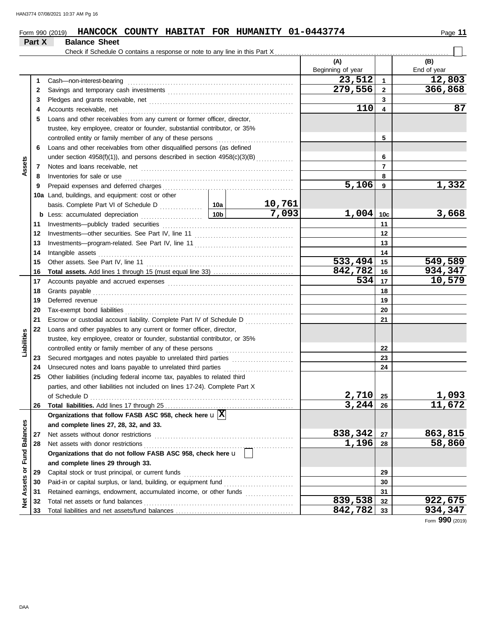#### $F$ orm 990 (2019) **HANCOCK COUNTY HABITAT FOR HUMANITY 01-0443774** Page 11 **HANCOCK COUNTY HABITAT FOR HUMANITY 01-0443774**

|                  | Part X | <b>Balance Sheet</b>                                                                                       |                 |                |                   |                 |              |
|------------------|--------|------------------------------------------------------------------------------------------------------------|-----------------|----------------|-------------------|-----------------|--------------|
|                  |        | Check if Schedule O contains a response or note to any line in this Part X                                 |                 |                |                   |                 |              |
|                  |        |                                                                                                            |                 |                | (A)               |                 | (B)          |
|                  |        |                                                                                                            |                 |                | Beginning of year |                 | End of year  |
|                  | 1      | Cash-non-interest-bearing                                                                                  |                 |                | 23,512            | $\mathbf{1}$    | 12,803       |
|                  | 2      |                                                                                                            |                 |                | 279,556           | $\mathbf{2}$    | 366,868      |
|                  | 3      |                                                                                                            |                 |                |                   | 3               |              |
|                  | 4      |                                                                                                            |                 |                | 110               | 4               | 87           |
|                  | 5      | Loans and other receivables from any current or former officer, director,                                  |                 |                |                   |                 |              |
|                  |        | trustee, key employee, creator or founder, substantial contributor, or 35%                                 |                 |                |                   |                 |              |
|                  |        | controlled entity or family member of any of these persons                                                 |                 |                |                   | 5               |              |
|                  | 6      | Loans and other receivables from other disqualified persons (as defined                                    |                 |                |                   |                 |              |
|                  |        | under section 4958(f)(1)), and persons described in section 4958(c)(3)(B)                                  |                 |                |                   | 6               |              |
| Assets           | 7      |                                                                                                            |                 |                |                   | $\overline{7}$  |              |
|                  | 8      | Inventories for sale or use <i>contained a contained a contained a contained a contained a contained a</i> |                 |                |                   | 8               |              |
|                  | 9      |                                                                                                            |                 |                | 5,106             | 9               | 1,332        |
|                  | 10a    | Land, buildings, and equipment: cost or other                                                              |                 |                |                   |                 |              |
|                  |        |                                                                                                            |                 | <u> 10,761</u> |                   |                 |              |
|                  | b      | Less: accumulated depreciation                                                                             | 10 <sub>b</sub> | 7,093          | 1,004             | 10 <sub>c</sub> | 3,668        |
|                  | 11     |                                                                                                            |                 | 11             |                   |                 |              |
|                  | 12     |                                                                                                            |                 | 12             |                   |                 |              |
|                  | 13     |                                                                                                            |                 |                |                   | 13              |              |
|                  | 14     | Intangible assets                                                                                          |                 |                |                   | 14              |              |
|                  | 15     |                                                                                                            |                 |                | 533,494           | 15              | 549,589      |
|                  | 16     |                                                                                                            |                 |                | 842,782           | 16              | 934,347      |
|                  | 17     |                                                                                                            |                 |                | 534               | 17              | 10,579       |
|                  | 18     | Grants payable                                                                                             |                 | 18             |                   |                 |              |
|                  | 19     |                                                                                                            |                 | 19             |                   |                 |              |
|                  | 20     |                                                                                                            |                 | 20             |                   |                 |              |
|                  | 21     | Escrow or custodial account liability. Complete Part IV of Schedule D                                      |                 | 21             |                   |                 |              |
|                  | 22     | Loans and other payables to any current or former officer, director,                                       |                 |                |                   |                 |              |
|                  |        | trustee, key employee, creator or founder, substantial contributor, or 35%                                 |                 |                |                   |                 |              |
| Liabilities      |        | controlled entity or family member of any of these persons                                                 |                 |                |                   | 22              |              |
|                  | 23     |                                                                                                            |                 |                |                   | 23              |              |
|                  | 24     |                                                                                                            |                 |                |                   | 24              |              |
|                  | 25     | Other liabilities (including federal income tax, payables to related third                                 |                 |                |                   |                 |              |
|                  |        | parties, and other liabilities not included on lines 17-24). Complete Part X                               |                 |                |                   |                 |              |
|                  |        | of Schedule D                                                                                              |                 |                | 2,710             | 25              | <u>1,093</u> |
|                  | 26     |                                                                                                            |                 |                | 3, 244            | 26              | 11,672       |
|                  |        | Organizations that follow FASB ASC 958, check here $\mathbf{u}[\overline{\mathbf{X}}]$                     |                 |                |                   |                 |              |
|                  |        | and complete lines 27, 28, 32, and 33.                                                                     |                 |                |                   |                 |              |
|                  | 27     | Net assets without donor restrictions                                                                      |                 |                | 838,342           | 27              | 863,815      |
|                  | 28     | Net assets with donor restrictions                                                                         | 1,196           | 28             | 58,860            |                 |              |
|                  |        | Organizations that do not follow FASB ASC 958, check here u                                                |                 |                |                   |                 |              |
| or Fund Balances |        | and complete lines 29 through 33.                                                                          |                 |                |                   |                 |              |
|                  | 29     |                                                                                                            |                 |                |                   | 29              |              |
| Assets           | 30     |                                                                                                            |                 |                |                   | 30              |              |
|                  | 31     | Retained earnings, endowment, accumulated income, or other funds                                           |                 |                |                   | 31              |              |
| <b>Met</b>       | 32     | Total net assets or fund balances                                                                          |                 |                | 839,538           | 32              | 922,675      |
|                  | 33     |                                                                                                            |                 |                | 842,782           | 33              | 934,347      |

Form **990** (2019)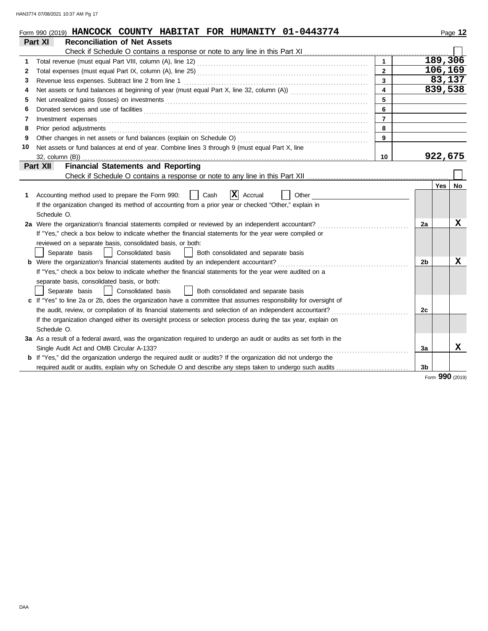| Part XI<br><b>Reconciliation of Net Assets</b><br>189,306<br>$\mathbf{1}$<br>1<br>106,169<br>$\overline{2}$<br>2<br>83,137<br>$\overline{\mathbf{3}}$<br>3<br>$\overline{4}$<br>839,538<br>4<br>5<br>5<br>6<br>6<br>$\overline{7}$<br>7<br>8<br>Prior period adjustments [11, 12] materials and an intervention of the contract of the contract of the contract of the contract of the contract of the contract of the contract of the contract of the contract of the contrac<br>8<br>9<br>9<br>Net assets or fund balances at end of year. Combine lines 3 through 9 (must equal Part X, line<br>10<br>922,675<br>10<br><b>Financial Statements and Reporting</b><br>Part XII<br>Yes<br>$ \mathbf{X} $ Accrual<br>Accounting method used to prepare the Form 990:     Cash<br>Other<br>1<br>If the organization changed its method of accounting from a prior year or checked "Other," explain in<br>Schedule O.<br>2a Were the organization's financial statements compiled or reviewed by an independent accountant?<br>2a | Page 12 |
|--------------------------------------------------------------------------------------------------------------------------------------------------------------------------------------------------------------------------------------------------------------------------------------------------------------------------------------------------------------------------------------------------------------------------------------------------------------------------------------------------------------------------------------------------------------------------------------------------------------------------------------------------------------------------------------------------------------------------------------------------------------------------------------------------------------------------------------------------------------------------------------------------------------------------------------------------------------------------------------------------------------------------------|---------|
|                                                                                                                                                                                                                                                                                                                                                                                                                                                                                                                                                                                                                                                                                                                                                                                                                                                                                                                                                                                                                                |         |
|                                                                                                                                                                                                                                                                                                                                                                                                                                                                                                                                                                                                                                                                                                                                                                                                                                                                                                                                                                                                                                |         |
|                                                                                                                                                                                                                                                                                                                                                                                                                                                                                                                                                                                                                                                                                                                                                                                                                                                                                                                                                                                                                                |         |
|                                                                                                                                                                                                                                                                                                                                                                                                                                                                                                                                                                                                                                                                                                                                                                                                                                                                                                                                                                                                                                |         |
|                                                                                                                                                                                                                                                                                                                                                                                                                                                                                                                                                                                                                                                                                                                                                                                                                                                                                                                                                                                                                                |         |
|                                                                                                                                                                                                                                                                                                                                                                                                                                                                                                                                                                                                                                                                                                                                                                                                                                                                                                                                                                                                                                |         |
|                                                                                                                                                                                                                                                                                                                                                                                                                                                                                                                                                                                                                                                                                                                                                                                                                                                                                                                                                                                                                                |         |
|                                                                                                                                                                                                                                                                                                                                                                                                                                                                                                                                                                                                                                                                                                                                                                                                                                                                                                                                                                                                                                |         |
|                                                                                                                                                                                                                                                                                                                                                                                                                                                                                                                                                                                                                                                                                                                                                                                                                                                                                                                                                                                                                                |         |
|                                                                                                                                                                                                                                                                                                                                                                                                                                                                                                                                                                                                                                                                                                                                                                                                                                                                                                                                                                                                                                |         |
|                                                                                                                                                                                                                                                                                                                                                                                                                                                                                                                                                                                                                                                                                                                                                                                                                                                                                                                                                                                                                                |         |
|                                                                                                                                                                                                                                                                                                                                                                                                                                                                                                                                                                                                                                                                                                                                                                                                                                                                                                                                                                                                                                |         |
|                                                                                                                                                                                                                                                                                                                                                                                                                                                                                                                                                                                                                                                                                                                                                                                                                                                                                                                                                                                                                                |         |
|                                                                                                                                                                                                                                                                                                                                                                                                                                                                                                                                                                                                                                                                                                                                                                                                                                                                                                                                                                                                                                |         |
|                                                                                                                                                                                                                                                                                                                                                                                                                                                                                                                                                                                                                                                                                                                                                                                                                                                                                                                                                                                                                                |         |
|                                                                                                                                                                                                                                                                                                                                                                                                                                                                                                                                                                                                                                                                                                                                                                                                                                                                                                                                                                                                                                | No      |
|                                                                                                                                                                                                                                                                                                                                                                                                                                                                                                                                                                                                                                                                                                                                                                                                                                                                                                                                                                                                                                |         |
|                                                                                                                                                                                                                                                                                                                                                                                                                                                                                                                                                                                                                                                                                                                                                                                                                                                                                                                                                                                                                                |         |
|                                                                                                                                                                                                                                                                                                                                                                                                                                                                                                                                                                                                                                                                                                                                                                                                                                                                                                                                                                                                                                |         |
|                                                                                                                                                                                                                                                                                                                                                                                                                                                                                                                                                                                                                                                                                                                                                                                                                                                                                                                                                                                                                                | X       |
| If "Yes," check a box below to indicate whether the financial statements for the year were compiled or                                                                                                                                                                                                                                                                                                                                                                                                                                                                                                                                                                                                                                                                                                                                                                                                                                                                                                                         |         |
| reviewed on a separate basis, consolidated basis, or both:                                                                                                                                                                                                                                                                                                                                                                                                                                                                                                                                                                                                                                                                                                                                                                                                                                                                                                                                                                     |         |
| Consolidated basis<br>Separate basis<br>Both consolidated and separate basis<br>$\blacksquare$                                                                                                                                                                                                                                                                                                                                                                                                                                                                                                                                                                                                                                                                                                                                                                                                                                                                                                                                 |         |
| 2 <sub>b</sub>                                                                                                                                                                                                                                                                                                                                                                                                                                                                                                                                                                                                                                                                                                                                                                                                                                                                                                                                                                                                                 | x       |
| If "Yes," check a box below to indicate whether the financial statements for the year were audited on a                                                                                                                                                                                                                                                                                                                                                                                                                                                                                                                                                                                                                                                                                                                                                                                                                                                                                                                        |         |
| separate basis, consolidated basis, or both:                                                                                                                                                                                                                                                                                                                                                                                                                                                                                                                                                                                                                                                                                                                                                                                                                                                                                                                                                                                   |         |
| Consolidated basis<br>Both consolidated and separate basis<br>Separate basis                                                                                                                                                                                                                                                                                                                                                                                                                                                                                                                                                                                                                                                                                                                                                                                                                                                                                                                                                   |         |
| c If "Yes" to line 2a or 2b, does the organization have a committee that assumes responsibility for oversight of                                                                                                                                                                                                                                                                                                                                                                                                                                                                                                                                                                                                                                                                                                                                                                                                                                                                                                               |         |
| 2c                                                                                                                                                                                                                                                                                                                                                                                                                                                                                                                                                                                                                                                                                                                                                                                                                                                                                                                                                                                                                             |         |
| If the organization changed either its oversight process or selection process during the tax year, explain on                                                                                                                                                                                                                                                                                                                                                                                                                                                                                                                                                                                                                                                                                                                                                                                                                                                                                                                  |         |
| Schedule O.                                                                                                                                                                                                                                                                                                                                                                                                                                                                                                                                                                                                                                                                                                                                                                                                                                                                                                                                                                                                                    |         |
| 3a As a result of a federal award, was the organization required to undergo an audit or audits as set forth in the                                                                                                                                                                                                                                                                                                                                                                                                                                                                                                                                                                                                                                                                                                                                                                                                                                                                                                             |         |
| Single Audit Act and OMB Circular A-133?<br>3a                                                                                                                                                                                                                                                                                                                                                                                                                                                                                                                                                                                                                                                                                                                                                                                                                                                                                                                                                                                 | X       |
| <b>b</b> If "Yes," did the organization undergo the required audit or audits? If the organization did not undergo the                                                                                                                                                                                                                                                                                                                                                                                                                                                                                                                                                                                                                                                                                                                                                                                                                                                                                                          |         |
| 3 <sub>b</sub><br>required audit or audits, explain why on Schedule O and describe any steps taken to undergo such audits                                                                                                                                                                                                                                                                                                                                                                                                                                                                                                                                                                                                                                                                                                                                                                                                                                                                                                      |         |

Form **990** (2019)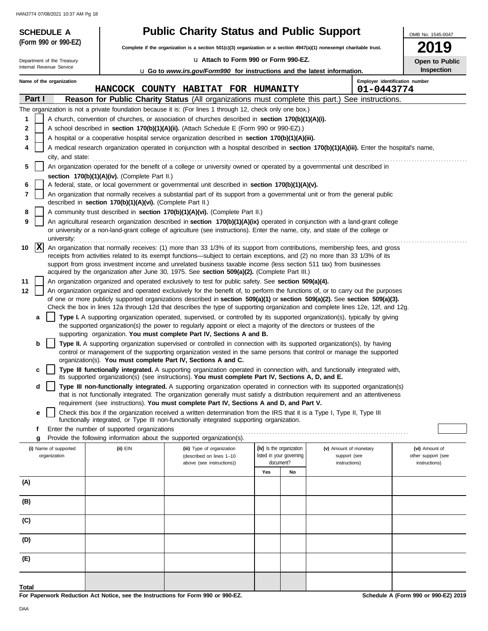HAN3774 07/08/2021 10:37 AM Pg 18

| <b>SCHEDULE A</b>                     |                                                                                                  | <b>Public Charity Status and Public Support</b>                                                                                                                                                                                                                |                                                      |    |                                        | OMB No. 1545-0047                    |  |  |  |  |
|---------------------------------------|--------------------------------------------------------------------------------------------------|----------------------------------------------------------------------------------------------------------------------------------------------------------------------------------------------------------------------------------------------------------------|------------------------------------------------------|----|----------------------------------------|--------------------------------------|--|--|--|--|
| (Form 990 or 990-EZ)                  |                                                                                                  | Complete if the organization is a section 501(c)(3) organization or a section 4947(a)(1) nonexempt charitable trust.                                                                                                                                           |                                                      |    |                                        | 2019                                 |  |  |  |  |
| Department of the Treasury            |                                                                                                  | Lu Attach to Form 990 or Form 990-EZ.                                                                                                                                                                                                                          |                                                      |    |                                        | Open to Public                       |  |  |  |  |
| Internal Revenue Service              |                                                                                                  | <b>u</b> Go to www.irs.gov/Form990 for instructions and the latest information.                                                                                                                                                                                |                                                      |    |                                        | Inspection                           |  |  |  |  |
| Name of the organization              |                                                                                                  |                                                                                                                                                                                                                                                                |                                                      |    | Employer identification number         |                                      |  |  |  |  |
| Part I                                |                                                                                                  | HANCOCK COUNTY HABITAT FOR HUMANITY<br>Reason for Public Charity Status (All organizations must complete this part.)                                                                                                                                           |                                                      |    | 01-0443774<br>See instructions.        |                                      |  |  |  |  |
|                                       |                                                                                                  | The organization is not a private foundation because it is: (For lines 1 through 12, check only one box.)                                                                                                                                                      |                                                      |    |                                        |                                      |  |  |  |  |
| 1                                     |                                                                                                  | A church, convention of churches, or association of churches described in section 170(b)(1)(A)(i).                                                                                                                                                             |                                                      |    |                                        |                                      |  |  |  |  |
| 2                                     |                                                                                                  | A school described in section 170(b)(1)(A)(ii). (Attach Schedule E (Form 990 or 990-EZ).)                                                                                                                                                                      |                                                      |    |                                        |                                      |  |  |  |  |
| 3                                     |                                                                                                  | A hospital or a cooperative hospital service organization described in section 170(b)(1)(A)(iii).                                                                                                                                                              |                                                      |    |                                        |                                      |  |  |  |  |
| 4                                     |                                                                                                  | A medical research organization operated in conjunction with a hospital described in section 170(b)(1)(A)(iii). Enter the hospital's name,                                                                                                                     |                                                      |    |                                        |                                      |  |  |  |  |
| city, and state:<br>5                 |                                                                                                  | An organization operated for the benefit of a college or university owned or operated by a governmental unit described in                                                                                                                                      |                                                      |    |                                        |                                      |  |  |  |  |
|                                       | section 170(b)(1)(A)(iv). (Complete Part II.)                                                    |                                                                                                                                                                                                                                                                |                                                      |    |                                        |                                      |  |  |  |  |
| 6                                     | A federal, state, or local government or governmental unit described in section 170(b)(1)(A)(v). |                                                                                                                                                                                                                                                                |                                                      |    |                                        |                                      |  |  |  |  |
| 7                                     | described in section 170(b)(1)(A)(vi). (Complete Part II.)                                       | An organization that normally receives a substantial part of its support from a governmental unit or from the general public                                                                                                                                   |                                                      |    |                                        |                                      |  |  |  |  |
| 8                                     |                                                                                                  | A community trust described in section 170(b)(1)(A)(vi). (Complete Part II.)                                                                                                                                                                                   |                                                      |    |                                        |                                      |  |  |  |  |
| 9                                     |                                                                                                  | An agricultural research organization described in section 170(b)(1)(A)(ix) operated in conjunction with a land-grant college                                                                                                                                  |                                                      |    |                                        |                                      |  |  |  |  |
| university:                           |                                                                                                  | or university or a non-land-grant college of agriculture (see instructions). Enter the name, city, and state of the college or                                                                                                                                 |                                                      |    |                                        |                                      |  |  |  |  |
| $ {\bf x} $<br>10                     |                                                                                                  | An organization that normally receives: (1) more than 33 1/3% of its support from contributions, membership fees, and gross                                                                                                                                    |                                                      |    |                                        |                                      |  |  |  |  |
|                                       |                                                                                                  | receipts from activities related to its exempt functions—subject to certain exceptions, and (2) no more than 33 1/3% of its                                                                                                                                    |                                                      |    |                                        |                                      |  |  |  |  |
|                                       |                                                                                                  | support from gross investment income and unrelated business taxable income (less section 511 tax) from businesses<br>acquired by the organization after June 30, 1975. See section 509(a)(2). (Complete Part III.)                                             |                                                      |    |                                        |                                      |  |  |  |  |
| 11                                    |                                                                                                  | An organization organized and operated exclusively to test for public safety. See section 509(a)(4).                                                                                                                                                           |                                                      |    |                                        |                                      |  |  |  |  |
| 12                                    |                                                                                                  | An organization organized and operated exclusively for the benefit of, to perform the functions of, or to carry out the purposes                                                                                                                               |                                                      |    |                                        |                                      |  |  |  |  |
|                                       |                                                                                                  | of one or more publicly supported organizations described in section 509(a)(1) or section 509(a)(2). See section 509(a)(3).<br>Check the box in lines 12a through 12d that describes the type of supporting organization and complete lines 12e, 12f, and 12g. |                                                      |    |                                        |                                      |  |  |  |  |
| a                                     |                                                                                                  | Type I. A supporting organization operated, supervised, or controlled by its supported organization(s), typically by giving                                                                                                                                    |                                                      |    |                                        |                                      |  |  |  |  |
|                                       |                                                                                                  | the supported organization(s) the power to regularly appoint or elect a majority of the directors or trustees of the                                                                                                                                           |                                                      |    |                                        |                                      |  |  |  |  |
|                                       |                                                                                                  | supporting organization. You must complete Part IV, Sections A and B.                                                                                                                                                                                          |                                                      |    |                                        |                                      |  |  |  |  |
| b                                     |                                                                                                  | <b>Type II.</b> A supporting organization supervised or controlled in connection with its supported organization(s), by having<br>control or management of the supporting organization vested in the same persons that control or manage the supported         |                                                      |    |                                        |                                      |  |  |  |  |
|                                       |                                                                                                  | organization(s). You must complete Part IV, Sections A and C.                                                                                                                                                                                                  |                                                      |    |                                        |                                      |  |  |  |  |
| c                                     |                                                                                                  | Type III functionally integrated. A supporting organization operated in connection with, and functionally integrated with,                                                                                                                                     |                                                      |    |                                        |                                      |  |  |  |  |
| d                                     |                                                                                                  | its supported organization(s) (see instructions). You must complete Part IV, Sections A, D, and E.<br>Type III non-functionally integrated. A supporting organization operated in connection with its supported organization(s)                                |                                                      |    |                                        |                                      |  |  |  |  |
|                                       |                                                                                                  | that is not functionally integrated. The organization generally must satisfy a distribution requirement and an attentiveness                                                                                                                                   |                                                      |    |                                        |                                      |  |  |  |  |
|                                       |                                                                                                  | requirement (see instructions). You must complete Part IV, Sections A and D, and Part V.                                                                                                                                                                       |                                                      |    |                                        |                                      |  |  |  |  |
| е                                     |                                                                                                  | Check this box if the organization received a written determination from the IRS that it is a Type I, Type II, Type III<br>functionally integrated, or Type III non-functionally integrated supporting organization.                                           |                                                      |    |                                        |                                      |  |  |  |  |
| f                                     | Enter the number of supported organizations                                                      |                                                                                                                                                                                                                                                                |                                                      |    |                                        |                                      |  |  |  |  |
| g                                     |                                                                                                  | Provide the following information about the supported organization(s).                                                                                                                                                                                         |                                                      |    |                                        |                                      |  |  |  |  |
| (i) Name of supported<br>organization | (ii) EIN                                                                                         | (iii) Type of organization<br>(described on lines 1-10                                                                                                                                                                                                         | (iv) Is the organization<br>listed in your governing |    | (v) Amount of monetary<br>support (see | (vi) Amount of<br>other support (see |  |  |  |  |
|                                       |                                                                                                  | above (see instructions))                                                                                                                                                                                                                                      | document?                                            |    | instructions)                          | instructions)                        |  |  |  |  |
|                                       |                                                                                                  |                                                                                                                                                                                                                                                                | Yes                                                  | No |                                        |                                      |  |  |  |  |
| (A)                                   |                                                                                                  |                                                                                                                                                                                                                                                                |                                                      |    |                                        |                                      |  |  |  |  |
| (B)                                   |                                                                                                  |                                                                                                                                                                                                                                                                |                                                      |    |                                        |                                      |  |  |  |  |
|                                       |                                                                                                  |                                                                                                                                                                                                                                                                |                                                      |    |                                        |                                      |  |  |  |  |
| (C)                                   |                                                                                                  |                                                                                                                                                                                                                                                                |                                                      |    |                                        |                                      |  |  |  |  |
| (D)                                   |                                                                                                  |                                                                                                                                                                                                                                                                |                                                      |    |                                        |                                      |  |  |  |  |
|                                       |                                                                                                  |                                                                                                                                                                                                                                                                |                                                      |    |                                        |                                      |  |  |  |  |
| (E)                                   |                                                                                                  |                                                                                                                                                                                                                                                                |                                                      |    |                                        |                                      |  |  |  |  |
|                                       |                                                                                                  |                                                                                                                                                                                                                                                                |                                                      |    |                                        |                                      |  |  |  |  |

**For Paperwork Reduction Act Notice, see the Instructions for Form 990 or 990-EZ.**

**Schedule A (Form 990 or 990-EZ) 2019**

**Total**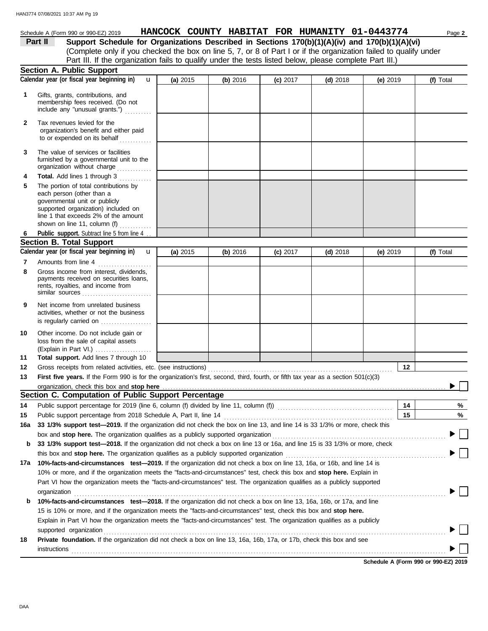### Schedule A (Form 990 or 990-EZ) 2019 **HANCOCK COUNTY HABITAT FOR HUMANITY 01-0443774** Page 2

(Complete only if you checked the box on line 5, 7, or 8 of Part I or if the organization failed to qualify under **Part II** Support Schedule for Organizations Described in Sections 170(b)(1)(A)(iv) and 170(b)(1)(A)(vi) Part III. If the organization fails to qualify under the tests listed below, please complete Part III.)

|    | <b>Section A. Public Support</b>                                                                                                                                                                                                                 |          |          |            |            |            |           |
|----|--------------------------------------------------------------------------------------------------------------------------------------------------------------------------------------------------------------------------------------------------|----------|----------|------------|------------|------------|-----------|
|    | Calendar year (or fiscal year beginning in)<br>u                                                                                                                                                                                                 | (a) 2015 | (b) 2016 | $(c)$ 2017 | $(d)$ 2018 | (e) 2019   | (f) Total |
| 1  | Gifts, grants, contributions, and<br>membership fees received. (Do not<br>include any "unusual grants.")                                                                                                                                         |          |          |            |            |            |           |
| 2  | Tax revenues levied for the<br>organization's benefit and either paid<br>to or expended on its behalf                                                                                                                                            |          |          |            |            |            |           |
| 3  | The value of services or facilities<br>furnished by a governmental unit to the<br>organization without charge                                                                                                                                    |          |          |            |            |            |           |
| 4  | Total. Add lines 1 through 3                                                                                                                                                                                                                     |          |          |            |            |            |           |
| 5  | The portion of total contributions by<br>each person (other than a<br>governmental unit or publicly<br>supported organization) included on<br>line 1 that exceeds 2% of the amount<br>shown on line 11, column (f)                               |          |          |            |            |            |           |
| 6  | Public support. Subtract line 5 from line 4                                                                                                                                                                                                      |          |          |            |            |            |           |
|    | <b>Section B. Total Support</b>                                                                                                                                                                                                                  |          |          |            |            |            |           |
|    | Calendar year (or fiscal year beginning in)<br>$\mathbf{u}$                                                                                                                                                                                      | (a) 2015 | (b) 2016 | $(c)$ 2017 | $(d)$ 2018 | (e) $2019$ | (f) Total |
| 7  | Amounts from line 4                                                                                                                                                                                                                              |          |          |            |            |            |           |
| 8  | Gross income from interest, dividends,<br>payments received on securities loans,<br>rents, royalties, and income from<br>similar sources                                                                                                         |          |          |            |            |            |           |
| 9  | Net income from unrelated business<br>activities, whether or not the business<br>is regularly carried on                                                                                                                                         |          |          |            |            |            |           |
|    |                                                                                                                                                                                                                                                  |          |          |            |            |            |           |
| 10 | Other income. Do not include gain or<br>loss from the sale of capital assets<br>(Explain in Part VI.)                                                                                                                                            |          |          |            |            |            |           |
| 11 | Total support. Add lines 7 through 10                                                                                                                                                                                                            |          |          |            |            |            |           |
| 12 | Gross receipts from related activities, etc. (see instructions)                                                                                                                                                                                  |          |          |            |            | 12         |           |
| 13 | First five years. If the Form 990 is for the organization's first, second, third, fourth, or fifth tax year as a section 501(c)(3)                                                                                                               |          |          |            |            |            |           |
|    | organization, check this box and stop here                                                                                                                                                                                                       |          |          |            |            |            |           |
|    | Section C. Computation of Public Support Percentage                                                                                                                                                                                              |          |          |            |            |            |           |
| 14 |                                                                                                                                                                                                                                                  |          |          |            |            | 14         | %         |
| 15 | Public support percentage from 2018 Schedule A, Part II, line 14 [11] manufacture material manufacture material manufacture material manufacture material manufacture material material manufacture material manufacture mater                   |          |          |            |            | 15         | %         |
|    | 16a 33 1/3% support test-2019. If the organization did not check the box on line 13, and line 14 is 33 1/3% or more, check this                                                                                                                  |          |          |            |            |            |           |
|    | box and stop here. The organization qualifies as a publicly supported organization                                                                                                                                                               |          |          |            |            |            |           |
|    | b 33 1/3% support test-2018. If the organization did not check a box on line 13 or 16a, and line 15 is 33 1/3% or more, check                                                                                                                    |          |          |            |            |            |           |
|    |                                                                                                                                                                                                                                                  |          |          |            |            |            |           |
|    | 17a 10%-facts-and-circumstances test-2019. If the organization did not check a box on line 13, 16a, or 16b, and line 14 is                                                                                                                       |          |          |            |            |            |           |
|    | 10% or more, and if the organization meets the "facts-and-circumstances" test, check this box and stop here. Explain in                                                                                                                          |          |          |            |            |            |           |
|    | Part VI how the organization meets the "facts-and-circumstances" test. The organization qualifies as a publicly supported                                                                                                                        |          |          |            |            |            |           |
|    |                                                                                                                                                                                                                                                  |          |          |            |            |            |           |
| b  | 10%-facts-and-circumstances test-2018. If the organization did not check a box on line 13, 16a, 16b, or 17a, and line                                                                                                                            |          |          |            |            |            |           |
|    | 15 is 10% or more, and if the organization meets the "facts-and-circumstances" test, check this box and stop here.<br>Explain in Part VI how the organization meets the "facts-and-circumstances" test. The organization qualifies as a publicly |          |          |            |            |            |           |
|    | supported organization contains and contains a supported organization contains a supported organization contains a supported organization contains a supported organization contains a supported or support of the support of                    |          |          |            |            |            |           |
| 18 | Private foundation. If the organization did not check a box on line 13, 16a, 16b, 17a, or 17b, check this box and see                                                                                                                            |          |          |            |            |            |           |
|    | instructions<br><sub>contr</sub> etters and the contract of the contract of the contract of the contract of the contract of the contract of the contract of the contract of the contract of the contract of the contract of the contract o       |          |          |            |            |            |           |
|    |                                                                                                                                                                                                                                                  |          |          |            |            |            |           |

**Schedule A (Form 990 or 990-EZ) 2019**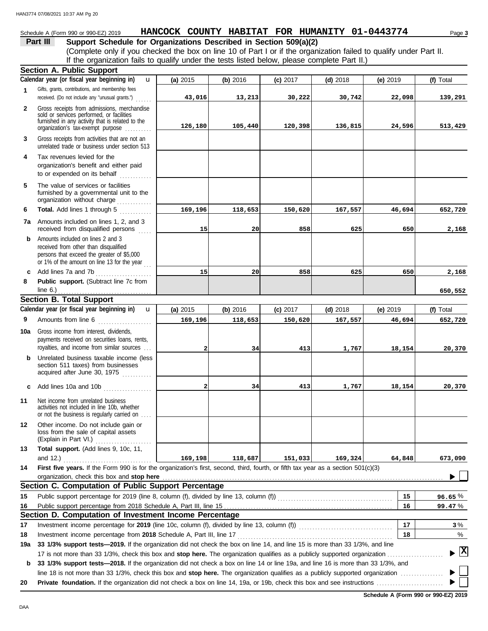#### Schedule A (Form 990 or 990-EZ) 2019 **HANCOCK COUNTY HABITAT FOR HUMANITY 01-0443774** Page 3

**Part III** Support Schedule for Organizations Described in Section 509(a)(2)

(Complete only if you checked the box on line 10 of Part I or if the organization failed to qualify under Part II. If the organization fails to qualify under the tests listed below, please complete Part II.)

|              | <b>Section A. Public Support</b>                                                                                                                                                                                                                                       |                |          |            |            |          |                   |
|--------------|------------------------------------------------------------------------------------------------------------------------------------------------------------------------------------------------------------------------------------------------------------------------|----------------|----------|------------|------------|----------|-------------------|
|              | Calendar year (or fiscal year beginning in)<br>u                                                                                                                                                                                                                       | (a) 2015       | (b) 2016 | $(c)$ 2017 | $(d)$ 2018 | (e) 2019 | (f) Total         |
| $\mathbf 1$  | Gifts, grants, contributions, and membership fees<br>received. (Do not include any "unusual grants.")                                                                                                                                                                  | 43,016         | 13,213   | 30,222     | 30,742     | 22,098   | 139,291           |
| $\mathbf{2}$ | Gross receipts from admissions, merchandise<br>sold or services performed, or facilities<br>furnished in any activity that is related to the<br>organization's tax-exempt purpose                                                                                      | 126,180        | 105,440  | 120,398    | 136,815    | 24,596   | 513,429           |
| 3            | Gross receipts from activities that are not an<br>unrelated trade or business under section 513                                                                                                                                                                        |                |          |            |            |          |                   |
| 4            | Tax revenues levied for the<br>organization's benefit and either paid<br>to or expended on its behalf<br>.                                                                                                                                                             |                |          |            |            |          |                   |
| 5            | The value of services or facilities<br>furnished by a governmental unit to the<br>organization without charge                                                                                                                                                          |                |          |            |            |          |                   |
| 6            | Total. Add lines 1 through 5                                                                                                                                                                                                                                           | 169,196        | 118,653  | 150,620    | 167,557    | 46,694   | 652,720           |
| 7а           | Amounts included on lines 1, 2, and 3<br>received from disqualified persons                                                                                                                                                                                            | 15             | 20       | 858        | 625        | 650      | 2,168             |
| b            | Amounts included on lines 2 and 3<br>received from other than disqualified<br>persons that exceed the greater of \$5,000<br>or 1% of the amount on line 13 for the year $\ldots$                                                                                       |                |          |            |            |          |                   |
| c            | Add lines 7a and 7b                                                                                                                                                                                                                                                    | 15             | 20       | 858        | 625        | 650      | 2,168             |
| 8            | Public support. (Subtract line 7c from<br>line $6.$ )                                                                                                                                                                                                                  |                |          |            |            |          | 650,552           |
|              | <b>Section B. Total Support</b>                                                                                                                                                                                                                                        |                |          |            |            |          |                   |
|              | Calendar year (or fiscal year beginning in)<br>$\mathbf{u}$                                                                                                                                                                                                            | (a) 2015       | (b) 2016 | $(c)$ 2017 | $(d)$ 2018 | (e) 2019 | (f) Total         |
| 9            | Amounts from line 6 [                                                                                                                                                                                                                                                  | 169,196        | 118,653  | 150,620    | 167,557    | 46,694   | 652,720           |
| 10a          | Gross income from interest, dividends,<br>payments received on securities loans, rents,<br>royalties, and income from similar sources                                                                                                                                  | $\overline{2}$ | 34       | 413        | 1,767      | 18,154   | 20,370            |
| b            | Unrelated business taxable income (less<br>section 511 taxes) from businesses<br>acquired after June 30, 1975                                                                                                                                                          |                |          |            |            |          |                   |
| c            | Add lines 10a and 10b                                                                                                                                                                                                                                                  | $\overline{2}$ | 34       | 413        | 1,767      | 18, 154  | 20,370            |
| 11           | Net income from unrelated business<br>activities not included in line 10b, whether<br>or not the business is regularly carried on                                                                                                                                      |                |          |            |            |          |                   |
| 12           | Other income. Do not include gain or<br>loss from the sale of capital assets<br>(Explain in Part VI.)                                                                                                                                                                  |                |          |            |            |          |                   |
| 13           | Total support. (Add lines 9, 10c, 11,<br>and 12.) $\ldots$                                                                                                                                                                                                             | 169,198        | 118,687  | 151,033    | 169,324    | 64,848   | 673,090           |
| 14           | First five years. If the Form 990 is for the organization's first, second, third, fourth, or fifth tax year as a section 501(c)(3)<br>organization, check this box and stop here                                                                                       |                |          |            |            |          |                   |
|              | Section C. Computation of Public Support Percentage                                                                                                                                                                                                                    |                |          |            |            |          |                   |
| 15           |                                                                                                                                                                                                                                                                        |                |          |            |            | 15       | 96.65%            |
| 16           | Section D. Computation of Investment Income Percentage                                                                                                                                                                                                                 |                |          |            |            | 16       | 99.47%            |
| 17           | Investment income percentage for 2019 (line 10c, column (f), divided by line 13, column (f) [[[[[[[[[[[[[[[[[                                                                                                                                                          |                |          |            |            | 17       | $3\%$             |
| 18           | Investment income percentage from 2018 Schedule A, Part III, line 17                                                                                                                                                                                                   |                |          |            |            | 18       | %                 |
| 19a          | 33 1/3% support tests-2019. If the organization did not check the box on line 14, and line 15 is more than 33 1/3%, and line                                                                                                                                           |                |          |            |            |          |                   |
| b            | 17 is not more than 33 1/3%, check this box and <b>stop here.</b> The organization qualifies as a publicly supported organization<br>33 1/3% support tests-2018. If the organization did not check a box on line 14 or line 19a, and line 16 is more than 33 1/3%, and |                |          |            |            |          | $\mathbf{x}$<br>. |
|              | line 18 is not more than 33 1/3%, check this box and stop here. The organization qualifies as a publicly supported organization                                                                                                                                        |                |          |            |            |          |                   |
| 20           |                                                                                                                                                                                                                                                                        |                |          |            |            |          |                   |

**Schedule A (Form 990 or 990-EZ) 2019**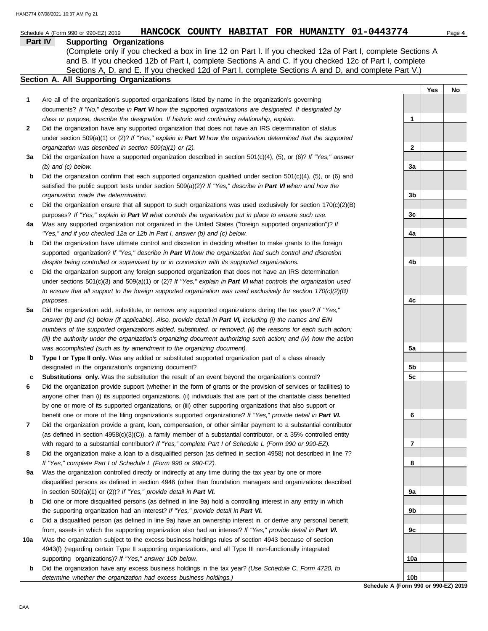|              | HANCOCK COUNTY HABITAT FOR HUMANITY 01-0443774<br>Schedule A (Form 990 or 990-EZ) 2019<br>Part IV<br><b>Supporting Organizations</b>                                                                               |     |     | Page 4 |
|--------------|--------------------------------------------------------------------------------------------------------------------------------------------------------------------------------------------------------------------|-----|-----|--------|
|              | (Complete only if you checked a box in line 12 on Part I. If you checked 12a of Part I, complete Sections A                                                                                                        |     |     |        |
|              | and B. If you checked 12b of Part I, complete Sections A and C. If you checked 12c of Part I, complete                                                                                                             |     |     |        |
|              | Sections A, D, and E. If you checked 12d of Part I, complete Sections A and D, and complete Part V.)                                                                                                               |     |     |        |
|              | Section A. All Supporting Organizations                                                                                                                                                                            |     |     |        |
|              |                                                                                                                                                                                                                    |     | Yes | No     |
| 1            | Are all of the organization's supported organizations listed by name in the organization's governing                                                                                                               |     |     |        |
|              | documents? If "No," describe in Part VI how the supported organizations are designated. If designated by                                                                                                           |     |     |        |
|              | class or purpose, describe the designation. If historic and continuing relationship, explain.                                                                                                                      | 1   |     |        |
| $\mathbf{2}$ | Did the organization have any supported organization that does not have an IRS determination of status                                                                                                             |     |     |        |
|              | under section 509(a)(1) or (2)? If "Yes," explain in Part VI how the organization determined that the supported                                                                                                    |     |     |        |
|              | organization was described in section 509(a)(1) or (2).                                                                                                                                                            | 2   |     |        |
| За           | Did the organization have a supported organization described in section $501(c)(4)$ , (5), or (6)? If "Yes," answer                                                                                                |     |     |        |
|              | $(b)$ and $(c)$ below.                                                                                                                                                                                             | За  |     |        |
| b            | Did the organization confirm that each supported organization qualified under section $501(c)(4)$ , $(5)$ , or $(6)$ and                                                                                           |     |     |        |
|              | satisfied the public support tests under section 509(a)(2)? If "Yes," describe in Part VI when and how the                                                                                                         |     |     |        |
|              | organization made the determination.                                                                                                                                                                               | 3b  |     |        |
|              | Did the organization ensure that all support to such organizations was used exclusively for section $170(c)(2)(B)$                                                                                                 |     |     |        |
| c            |                                                                                                                                                                                                                    | 3c  |     |        |
|              | purposes? If "Yes," explain in Part VI what controls the organization put in place to ensure such use.<br>Was any supported organization not organized in the United States ("foreign supported organization")? If |     |     |        |
| 4a           |                                                                                                                                                                                                                    |     |     |        |
|              | "Yes," and if you checked 12a or 12b in Part I, answer (b) and (c) below.                                                                                                                                          | 4a  |     |        |
| b            | Did the organization have ultimate control and discretion in deciding whether to make grants to the foreign                                                                                                        |     |     |        |
|              | supported organization? If "Yes," describe in Part VI how the organization had such control and discretion                                                                                                         |     |     |        |
|              | despite being controlled or supervised by or in connection with its supported organizations.                                                                                                                       | 4b  |     |        |
| c            | Did the organization support any foreign supported organization that does not have an IRS determination                                                                                                            |     |     |        |
|              | under sections $501(c)(3)$ and $509(a)(1)$ or (2)? If "Yes," explain in Part VI what controls the organization used                                                                                                |     |     |        |
|              | to ensure that all support to the foreign supported organization was used exclusively for section $170(c)(2)(B)$                                                                                                   |     |     |        |
|              | purposes.                                                                                                                                                                                                          | 4с  |     |        |
| 5a           | Did the organization add, substitute, or remove any supported organizations during the tax year? If "Yes,"                                                                                                         |     |     |        |
|              | answer (b) and (c) below (if applicable). Also, provide detail in Part VI, including (i) the names and EIN                                                                                                         |     |     |        |
|              | numbers of the supported organizations added, substituted, or removed; (ii) the reasons for each such action;                                                                                                      |     |     |        |
|              | (iii) the authority under the organization's organizing document authorizing such action; and (iv) how the action                                                                                                  |     |     |        |
|              | was accomplished (such as by amendment to the organizing document).                                                                                                                                                | 5a  |     |        |
| b            | Type I or Type II only. Was any added or substituted supported organization part of a class already                                                                                                                |     |     |        |
|              | designated in the organization's organizing document?                                                                                                                                                              | 5b  |     |        |
| c            | Substitutions only. Was the substitution the result of an event beyond the organization's control?                                                                                                                 | 5c  |     |        |
| 6            | Did the organization provide support (whether in the form of grants or the provision of services or facilities) to                                                                                                 |     |     |        |
|              | anyone other than (i) its supported organizations, (ii) individuals that are part of the charitable class benefited                                                                                                |     |     |        |
|              | by one or more of its supported organizations, or (iii) other supporting organizations that also support or                                                                                                        |     |     |        |
|              | benefit one or more of the filing organization's supported organizations? If "Yes," provide detail in Part VI.                                                                                                     | 6   |     |        |
| 7            | Did the organization provide a grant, loan, compensation, or other similar payment to a substantial contributor                                                                                                    |     |     |        |
|              | (as defined in section $4958(c)(3)(C)$ ), a family member of a substantial contributor, or a 35% controlled entity                                                                                                 |     |     |        |
|              | with regard to a substantial contributor? If "Yes," complete Part I of Schedule L (Form 990 or 990-EZ).                                                                                                            | 7   |     |        |
| 8            | Did the organization make a loan to a disqualified person (as defined in section 4958) not described in line 7?                                                                                                    |     |     |        |
|              | If "Yes," complete Part I of Schedule L (Form 990 or 990-EZ).                                                                                                                                                      | 8   |     |        |
| 9a           | Was the organization controlled directly or indirectly at any time during the tax year by one or more                                                                                                              |     |     |        |
|              | disqualified persons as defined in section 4946 (other than foundation managers and organizations described                                                                                                        |     |     |        |
|              | in section 509(a)(1) or (2))? If "Yes," provide detail in Part VI.                                                                                                                                                 | 9а  |     |        |
| b            | Did one or more disqualified persons (as defined in line 9a) hold a controlling interest in any entity in which                                                                                                    |     |     |        |
|              | the supporting organization had an interest? If "Yes," provide detail in Part VI.                                                                                                                                  | 9b  |     |        |
| c            | Did a disqualified person (as defined in line 9a) have an ownership interest in, or derive any personal benefit                                                                                                    |     |     |        |
|              | from, assets in which the supporting organization also had an interest? If "Yes," provide detail in Part VI.                                                                                                       | 9с  |     |        |
| 10a          | Was the organization subject to the excess business holdings rules of section 4943 because of section                                                                                                              |     |     |        |
|              | 4943(f) (regarding certain Type II supporting organizations, and all Type III non-functionally integrated                                                                                                          |     |     |        |
|              | supporting organizations)? If "Yes," answer 10b below.                                                                                                                                                             | 10a |     |        |

**b** Did the organization have any excess business holdings in the tax year? *(Use Schedule C, Form 4720, to determine whether the organization had excess business holdings.)*

**Schedule A (Form 990 or 990-EZ) 2019 10b**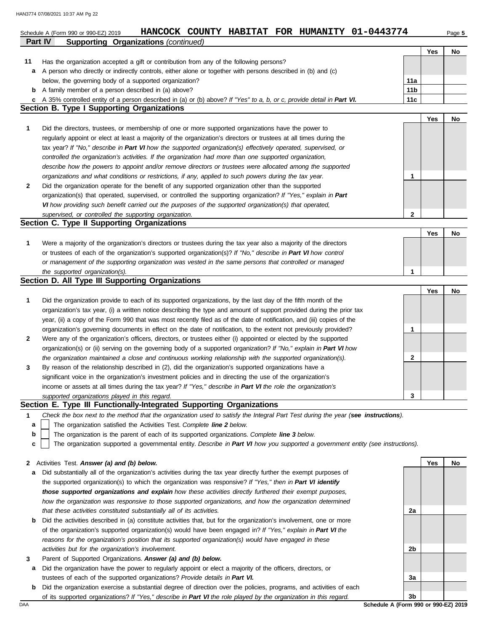|    | HANCOCK COUNTY HABITAT FOR HUMANITY 01-0443774<br>Schedule A (Form 990 or 990-EZ) 2019                                                                                                                                                  |              |     | Page 5 |
|----|-----------------------------------------------------------------------------------------------------------------------------------------------------------------------------------------------------------------------------------------|--------------|-----|--------|
|    | Part IV<br><b>Supporting Organizations (continued)</b>                                                                                                                                                                                  |              |     |        |
|    |                                                                                                                                                                                                                                         |              | Yes | No     |
| 11 | Has the organization accepted a gift or contribution from any of the following persons?                                                                                                                                                 |              |     |        |
| а  | A person who directly or indirectly controls, either alone or together with persons described in (b) and (c)                                                                                                                            |              |     |        |
| b  | below, the governing body of a supported organization?<br>A family member of a person described in (a) above?                                                                                                                           | 11a<br>11b   |     |        |
| C  | A 35% controlled entity of a person described in (a) or (b) above? If "Yes" to a, b, or c, provide detail in Part VI.                                                                                                                   | 11c          |     |        |
|    | <b>Section B. Type I Supporting Organizations</b>                                                                                                                                                                                       |              |     |        |
|    |                                                                                                                                                                                                                                         |              | Yes | No     |
| 1  | Did the directors, trustees, or membership of one or more supported organizations have the power to                                                                                                                                     |              |     |        |
|    | regularly appoint or elect at least a majority of the organization's directors or trustees at all times during the                                                                                                                      |              |     |        |
|    | tax year? If "No," describe in Part VI how the supported organization(s) effectively operated, supervised, or                                                                                                                           |              |     |        |
|    | controlled the organization's activities. If the organization had more than one supported organization,                                                                                                                                 |              |     |        |
|    | describe how the powers to appoint and/or remove directors or trustees were allocated among the supported                                                                                                                               |              |     |        |
|    | organizations and what conditions or restrictions, if any, applied to such powers during the tax year.                                                                                                                                  | 1            |     |        |
| 2  | Did the organization operate for the benefit of any supported organization other than the supported                                                                                                                                     |              |     |        |
|    | organization(s) that operated, supervised, or controlled the supporting organization? If "Yes," explain in Part                                                                                                                         |              |     |        |
|    | VI how providing such benefit carried out the purposes of the supported organization(s) that operated,                                                                                                                                  |              |     |        |
|    | supervised, or controlled the supporting organization.                                                                                                                                                                                  | $\mathbf{2}$ |     |        |
|    | Section C. Type II Supporting Organizations                                                                                                                                                                                             |              |     |        |
|    |                                                                                                                                                                                                                                         |              | Yes | No     |
| 1  | Were a majority of the organization's directors or trustees during the tax year also a majority of the directors                                                                                                                        |              |     |        |
|    | or trustees of each of the organization's supported organization(s)? If "No," describe in Part VI how control                                                                                                                           |              |     |        |
|    | or management of the supporting organization was vested in the same persons that controlled or managed                                                                                                                                  |              |     |        |
|    | the supported organization(s).                                                                                                                                                                                                          | 1            |     |        |
|    | Section D. All Type III Supporting Organizations                                                                                                                                                                                        |              | Yes |        |
| 1  |                                                                                                                                                                                                                                         |              |     | No     |
|    | Did the organization provide to each of its supported organizations, by the last day of the fifth month of the<br>organization's tax year, (i) a written notice describing the type and amount of support provided during the prior tax |              |     |        |
|    | year, (ii) a copy of the Form 990 that was most recently filed as of the date of notification, and (iii) copies of the                                                                                                                  |              |     |        |
|    | organization's governing documents in effect on the date of notification, to the extent not previously provided?                                                                                                                        | 1            |     |        |
| 2  | Were any of the organization's officers, directors, or trustees either (i) appointed or elected by the supported                                                                                                                        |              |     |        |
|    | organization(s) or (ii) serving on the governing body of a supported organization? If "No," explain in Part VI how                                                                                                                      |              |     |        |
|    | the organization maintained a close and continuous working relationship with the supported organization(s).                                                                                                                             | 2            |     |        |
| 3  | By reason of the relationship described in (2), did the organization's supported organizations have a                                                                                                                                   |              |     |        |
|    | significant voice in the organization's investment policies and in directing the use of the organization's                                                                                                                              |              |     |        |
|    | income or assets at all times during the tax year? If "Yes," describe in Part VI the role the organization's                                                                                                                            |              |     |        |
|    | supported organizations played in this regard.                                                                                                                                                                                          | 3            |     |        |
|    | Section E. Type III Functionally-Integrated Supporting Organizations                                                                                                                                                                    |              |     |        |
| 1  | Check the box next to the method that the organization used to satisfy the Integral Part Test during the year (see instructions).                                                                                                       |              |     |        |
| а  | The organization satisfied the Activities Test. Complete line 2 below.                                                                                                                                                                  |              |     |        |
| b  | The organization is the parent of each of its supported organizations. Complete line 3 below.                                                                                                                                           |              |     |        |
| c  | The organization supported a governmental entity. Describe in Part VI how you supported a government entity (see instructions).                                                                                                         |              |     |        |
|    |                                                                                                                                                                                                                                         |              |     |        |
| 2  | Activities Test. Answer (a) and (b) below.                                                                                                                                                                                              |              | Yes | No     |
| a  | Did substantially all of the organization's activities during the tax year directly further the exempt purposes of                                                                                                                      |              |     |        |
|    | the supported organization(s) to which the organization was responsive? If "Yes," then in Part VI identify                                                                                                                              |              |     |        |
|    | those supported organizations and explain how these activities directly furthered their exempt purposes,                                                                                                                                |              |     |        |
|    | how the organization was responsive to those supported organizations, and how the organization determined                                                                                                                               |              |     |        |
|    | that these activities constituted substantially all of its activities.                                                                                                                                                                  | 2a           |     |        |
| b  | Did the activities described in (a) constitute activities that, but for the organization's involvement, one or more                                                                                                                     |              |     |        |
|    | of the organization's supported organization(s) would have been engaged in? If "Yes," explain in Part VI the                                                                                                                            |              |     |        |
|    | reasons for the organization's position that its supported organization(s) would have engaged in these                                                                                                                                  |              |     |        |
|    | activities but for the organization's involvement.                                                                                                                                                                                      | 2b           |     |        |
| З  | Parent of Supported Organizations. Answer (a) and (b) below.                                                                                                                                                                            |              |     |        |

- **a** Did the organization have the power to regularly appoint or elect a majority of the officers, directors, or
	- trustees of each of the supported organizations? *Provide details in Part VI.*
- **b** Did the organization exercise a substantial degree of direction over the policies, programs, and activities of each of its supported organizations? *If "Yes," describe in Part VI the role played by the organization in this regard.*

DAA **Schedule A (Form 990 or 990-EZ) 2019 3b**

**3a**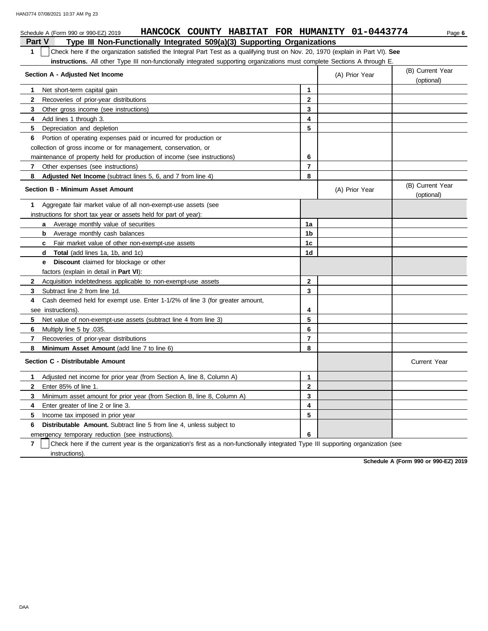| HANCOCK COUNTY HABITAT FOR HUMANITY 01-0443774<br>Schedule A (Form 990 or 990-EZ) 2019                                                           |                |                | Page 6                         |
|--------------------------------------------------------------------------------------------------------------------------------------------------|----------------|----------------|--------------------------------|
| <b>Part V</b><br>Type III Non-Functionally Integrated 509(a)(3) Supporting Organizations                                                         |                |                |                                |
| $\mathbf{1}$<br>Check here if the organization satisfied the Integral Part Test as a qualifying trust on Nov. 20, 1970 (explain in Part VI). See |                |                |                                |
| instructions. All other Type III non-functionally integrated supporting organizations must complete Sections A through E.                        |                |                |                                |
| Section A - Adjusted Net Income                                                                                                                  |                | (A) Prior Year | (B) Current Year<br>(optional) |
| 1<br>Net short-term capital gain                                                                                                                 | 1              |                |                                |
| Recoveries of prior-year distributions<br>$\mathbf{2}$                                                                                           | 2              |                |                                |
| 3<br>Other gross income (see instructions)                                                                                                       | 3              |                |                                |
| Add lines 1 through 3.<br>4                                                                                                                      | 4              |                |                                |
| 5<br>Depreciation and depletion                                                                                                                  | 5              |                |                                |
| Portion of operating expenses paid or incurred for production or<br>6                                                                            |                |                |                                |
| collection of gross income or for management, conservation, or                                                                                   |                |                |                                |
| maintenance of property held for production of income (see instructions)                                                                         | 6              |                |                                |
| Other expenses (see instructions)<br>7                                                                                                           | $\overline{7}$ |                |                                |
| <b>Adjusted Net Income</b> (subtract lines 5, 6, and 7 from line 4)<br>8                                                                         | 8              |                |                                |
| <b>Section B - Minimum Asset Amount</b>                                                                                                          |                | (A) Prior Year | (B) Current Year<br>(optional) |
| Aggregate fair market value of all non-exempt-use assets (see<br>1                                                                               |                |                |                                |
| instructions for short tax year or assets held for part of year):                                                                                |                |                |                                |
| <b>a</b> Average monthly value of securities                                                                                                     | 1a             |                |                                |
| b<br>Average monthly cash balances                                                                                                               | 1b             |                |                                |
| <b>c</b> Fair market value of other non-exempt-use assets                                                                                        | 1c             |                |                                |
| <b>d Total</b> (add lines 1a, 1b, and 1c)                                                                                                        | 1d             |                |                                |
| e Discount claimed for blockage or other                                                                                                         |                |                |                                |
| factors (explain in detail in <b>Part VI)</b> :                                                                                                  |                |                |                                |
| $\mathbf{2}$<br>Acquisition indebtedness applicable to non-exempt-use assets                                                                     | $\mathbf{2}$   |                |                                |
| Subtract line 2 from line 1d.<br>3                                                                                                               | 3              |                |                                |
| Cash deemed held for exempt use. Enter 1-1/2% of line 3 (for greater amount,<br>4                                                                |                |                |                                |
| see instructions).                                                                                                                               | 4              |                |                                |
| 5<br>Net value of non-exempt-use assets (subtract line 4 from line 3)                                                                            | 5              |                |                                |
| Multiply line 5 by .035.<br>6                                                                                                                    | 6              |                |                                |
| 7<br>Recoveries of prior-year distributions                                                                                                      | $\overline{7}$ |                |                                |
| 8<br><b>Minimum Asset Amount</b> (add line 7 to line 6)                                                                                          | 8              |                |                                |
| Section C - Distributable Amount                                                                                                                 |                |                | <b>Current Year</b>            |
| Adjusted net income for prior year (from Section A, line 8, Column A)<br>1                                                                       | 1              |                |                                |
| $\mathbf{2}$<br>Enter 85% of line 1.                                                                                                             | $\mathbf{2}$   |                |                                |
| Minimum asset amount for prior year (from Section B, line 8, Column A)<br>3                                                                      | 3              |                |                                |
| Enter greater of line 2 or line 3.<br>4                                                                                                          | 4              |                |                                |
| 5<br>Income tax imposed in prior year                                                                                                            | 5              |                |                                |
| <b>Distributable Amount.</b> Subtract line 5 from line 4, unless subject to<br>6                                                                 |                |                |                                |
| emergency temporary reduction (see instructions).                                                                                                | 6              |                |                                |

emergency temporary reduction (see instructions).

**7** instructions). Check here if the current year is the organization's first as a non-functionally integrated Type III supporting organization (see

**6**

**Schedule A (Form 990 or 990-EZ) 2019**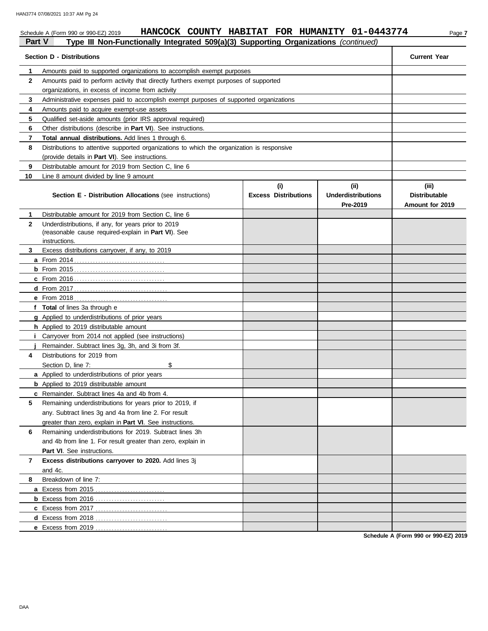### Schedule A (Form 990 or 990-EZ) 2019 **HANCOCK COUNTY HABITAT FOR HUMANITY 01-0443774** Page 7

#### **Part V Type III Non-Functionally Integrated 509(a)(3) Supporting Organizations** *(continued)* **Section D - Distributions Current Year 1 2 3 4 5 6 7 8 9 10** Amounts paid to supported organizations to accomplish exempt purposes Amounts paid to perform activity that directly furthers exempt purposes of supported organizations, in excess of income from activity Administrative expenses paid to accomplish exempt purposes of supported organizations Amounts paid to acquire exempt-use assets Qualified set-aside amounts (prior IRS approval required) Other distributions (describe in **Part VI**). See instructions. **Total annual distributions.** Add lines 1 through 6. Distributions to attentive supported organizations to which the organization is responsive (provide details in **Part VI**). See instructions. Distributable amount for 2019 from Section C, line 6 Line 8 amount divided by line 9 amount **Section E - Distribution Allocations** (see instructions) **Excess Distributions (i) (ii) Underdistributions Pre-2019 (iii) Distributable Amount for 2019 8 7 6 5 4** Distributions for 2019 from **3 2 1 a** From 2014 . . . . . . . . . . . . . . . . . . . . . . . . . . . . . . . . . . **b** From 2015 . . . . . . . . . . . . . . . . . . . . . . . . . . . . . . . . . . **c** From 2016 . . . . . . . . . . . . . . . . . . . . . . . . . . . . . . . . . . **d** From 2017 . . . . . . . . . . . . . . . . . . . . . . . . . . . . . . . . . . . **e** From 2018 . . . . . . . . . . . . . . . . . . . . . . . . . . . . . . . . . . . **f Total** of lines 3a through e **g** Applied to underdistributions of prior years **h** Applied to 2019 distributable amount **i** Carryover from 2014 not applied (see instructions) **j** Remainder. Subtract lines 3g, 3h, and 3i from 3f. **a** Applied to underdistributions of prior years **b** Applied to 2019 distributable amount **c** Remainder. Subtract lines 4a and 4b from 4. **a** Excess from 2015 . . . . . . . . . . . . . . . . . . . . . . . . . . **b** Excess from 2016 . . . . . . . . . . . . . . . . . . . . . . . . . . **c** Excess from 2017 . . . . . . . . . . . . . . . . . . . . . . . . . . . **d** Excess from 2018 . . . . . . . . . . . . . . . . . . . . . . . . . . . **e** Excess from 2019 . . . . . . . . . . . . . . . . . . . . . . . . . . . Distributable amount for 2019 from Section C, line 6 Underdistributions, if any, for years prior to 2019 (reasonable cause required-explain in **Part VI**). See Excess distributions carryover, if any, to 2019 Section D, line 7: \$ Remaining underdistributions for years prior to 2019, if any. Subtract lines 3g and 4a from line 2. For result greater than zero, explain in **Part VI**. See instructions. Remaining underdistributions for 2019. Subtract lines 3h and 4b from line 1. For result greater than zero, explain in **Part VI**. See instructions. **Excess distributions carryover to 2020.** Add lines 3j and 4c. Breakdown of line 7: instructions.

**Schedule A (Form 990 or 990-EZ) 2019**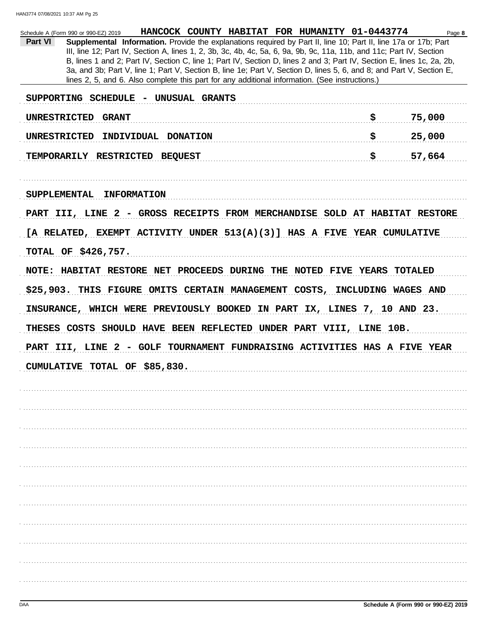| Part VI             | HANCOCK COUNTY HABITAT FOR HUMANITY 01-0443774<br>Schedule A (Form 990 or 990-EZ) 2019<br>Supplemental Information. Provide the explanations required by Part II, line 10; Part II, line 17a or 17b; Part<br>III, line 12; Part IV, Section A, lines 1, 2, 3b, 3c, 4b, 4c, 5a, 6, 9a, 9b, 9c, 11a, 11b, and 11c; Part IV, Section<br>B, lines 1 and 2; Part IV, Section C, line 1; Part IV, Section D, lines 2 and 3; Part IV, Section E, lines 1c, 2a, 2b,<br>3a, and 3b; Part V, line 1; Part V, Section B, line 1e; Part V, Section D, lines 5, 6, and 8; and Part V, Section E,<br>lines 2, 5, and 6. Also complete this part for any additional information. (See instructions.)<br>SUPPORTING SCHEDULE - UNUSUAL GRANTS | Page 8       |
|---------------------|-------------------------------------------------------------------------------------------------------------------------------------------------------------------------------------------------------------------------------------------------------------------------------------------------------------------------------------------------------------------------------------------------------------------------------------------------------------------------------------------------------------------------------------------------------------------------------------------------------------------------------------------------------------------------------------------------------------------------------|--------------|
|                     |                                                                                                                                                                                                                                                                                                                                                                                                                                                                                                                                                                                                                                                                                                                               |              |
|                     | UNRESTRICTED GRANT                                                                                                                                                                                                                                                                                                                                                                                                                                                                                                                                                                                                                                                                                                            | \$<br>75,000 |
| <b>UNRESTRICTED</b> | INDIVIDUAL DONATION                                                                                                                                                                                                                                                                                                                                                                                                                                                                                                                                                                                                                                                                                                           | \$<br>25,000 |
|                     | TEMPORARILY RESTRICTED BEQUEST                                                                                                                                                                                                                                                                                                                                                                                                                                                                                                                                                                                                                                                                                                | \$<br>57,664 |
| <b>SUPPLEMENTAL</b> | <b>INFORMATION</b>                                                                                                                                                                                                                                                                                                                                                                                                                                                                                                                                                                                                                                                                                                            |              |
|                     | PART III, LINE 2 - GROSS RECEIPTS FROM MERCHANDISE SOLD AT HABITAT RESTORE                                                                                                                                                                                                                                                                                                                                                                                                                                                                                                                                                                                                                                                    |              |
|                     | [A RELATED, EXEMPT ACTIVITY UNDER $513(A)(3)$ ] HAS A FIVE YEAR CUMULATIVE                                                                                                                                                                                                                                                                                                                                                                                                                                                                                                                                                                                                                                                    |              |
|                     | TOTAL OF \$426,757.                                                                                                                                                                                                                                                                                                                                                                                                                                                                                                                                                                                                                                                                                                           |              |
|                     | NOTE: HABITAT RESTORE NET PROCEEDS DURING THE NOTED FIVE YEARS TOTALED                                                                                                                                                                                                                                                                                                                                                                                                                                                                                                                                                                                                                                                        |              |
|                     | \$25,903. THIS FIGURE OMITS CERTAIN MANAGEMENT COSTS, INCLUDING WAGES AND                                                                                                                                                                                                                                                                                                                                                                                                                                                                                                                                                                                                                                                     |              |
|                     | INSURANCE, WHICH WERE PREVIOUSLY BOOKED IN PART IX, LINES 7, 10 AND 23.                                                                                                                                                                                                                                                                                                                                                                                                                                                                                                                                                                                                                                                       |              |
|                     | THESES COSTS SHOULD HAVE BEEN REFLECTED UNDER PART VIII, LINE 10B.                                                                                                                                                                                                                                                                                                                                                                                                                                                                                                                                                                                                                                                            |              |
|                     | PART III, LINE 2 - GOLF TOURNAMENT FUNDRAISING ACTIVITIES HAS A FIVE YEAR                                                                                                                                                                                                                                                                                                                                                                                                                                                                                                                                                                                                                                                     |              |
|                     | CUMULATIVE TOTAL OF \$85,830.                                                                                                                                                                                                                                                                                                                                                                                                                                                                                                                                                                                                                                                                                                 |              |
|                     |                                                                                                                                                                                                                                                                                                                                                                                                                                                                                                                                                                                                                                                                                                                               |              |
|                     |                                                                                                                                                                                                                                                                                                                                                                                                                                                                                                                                                                                                                                                                                                                               |              |
|                     |                                                                                                                                                                                                                                                                                                                                                                                                                                                                                                                                                                                                                                                                                                                               |              |
|                     |                                                                                                                                                                                                                                                                                                                                                                                                                                                                                                                                                                                                                                                                                                                               |              |
|                     |                                                                                                                                                                                                                                                                                                                                                                                                                                                                                                                                                                                                                                                                                                                               |              |
|                     |                                                                                                                                                                                                                                                                                                                                                                                                                                                                                                                                                                                                                                                                                                                               |              |
|                     |                                                                                                                                                                                                                                                                                                                                                                                                                                                                                                                                                                                                                                                                                                                               |              |
|                     |                                                                                                                                                                                                                                                                                                                                                                                                                                                                                                                                                                                                                                                                                                                               |              |
|                     |                                                                                                                                                                                                                                                                                                                                                                                                                                                                                                                                                                                                                                                                                                                               |              |
|                     |                                                                                                                                                                                                                                                                                                                                                                                                                                                                                                                                                                                                                                                                                                                               |              |
|                     |                                                                                                                                                                                                                                                                                                                                                                                                                                                                                                                                                                                                                                                                                                                               |              |
|                     |                                                                                                                                                                                                                                                                                                                                                                                                                                                                                                                                                                                                                                                                                                                               |              |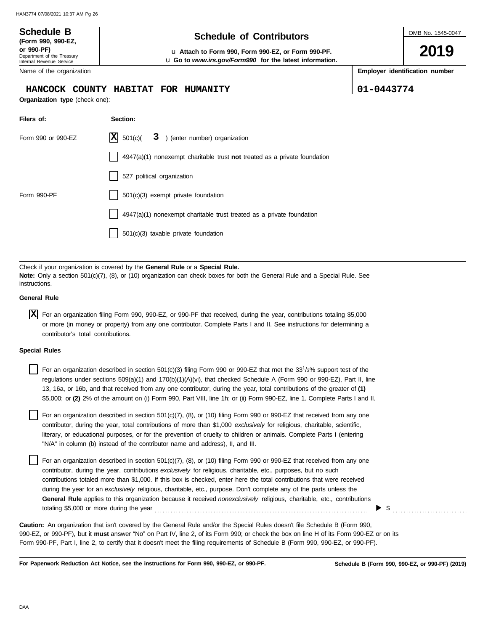Department of the Treasury Internal Revenue Service Name of the organization

**(Form 990, 990-EZ,**

## **Schedule of Contributors Schedule B**

**or 990-PF)** u **Attach to Form 990, Form 990-EZ, or Form 990-PF.** u **Go to** *www.irs.gov/Form990* **for the latest information.** OMB No. 1545-0047

**2019**

**Employer identification number**

**HANCOCK COUNTY HABITAT FOR HUMANITY 01-0443774**

**Organization type** (check one):

| Filers of:         | Section:                                                                    |
|--------------------|-----------------------------------------------------------------------------|
| Form 990 or 990-EZ | $ \mathbf{X} $ 501(c)(<br>3 ) (enter number) organization                   |
|                    | $4947(a)(1)$ nonexempt charitable trust not treated as a private foundation |
|                    | 527 political organization                                                  |
| Form 990-PF        | 501(c)(3) exempt private foundation                                         |
|                    | $4947(a)(1)$ nonexempt charitable trust treated as a private foundation     |
|                    | 501(c)(3) taxable private foundation                                        |

Check if your organization is covered by the **General Rule** or a **Special Rule. Note:** Only a section 501(c)(7), (8), or (10) organization can check boxes for both the General Rule and a Special Rule. See instructions.

#### **General Rule**

For an organization filing Form 990, 990-EZ, or 990-PF that received, during the year, contributions totaling \$5,000 **X** or more (in money or property) from any one contributor. Complete Parts I and II. See instructions for determining a contributor's total contributions.

#### **Special Rules**

For an organization described in section 501(c)(3) filing Form 990 or 990-EZ that met the 33<sup>1</sup>/3% support test of the regulations under sections 509(a)(1) and 170(b)(1)(A)(vi), that checked Schedule A (Form 990 or 990-EZ), Part II, line 13, 16a, or 16b, and that received from any one contributor, during the year, total contributions of the greater of **(1)** \$5,000; or **(2)** 2% of the amount on (i) Form 990, Part VIII, line 1h; or (ii) Form 990-EZ, line 1. Complete Parts I and II.

literary, or educational purposes, or for the prevention of cruelty to children or animals. Complete Parts I (entering For an organization described in section 501(c)(7), (8), or (10) filing Form 990 or 990-EZ that received from any one contributor, during the year, total contributions of more than \$1,000 *exclusively* for religious, charitable, scientific, "N/A" in column (b) instead of the contributor name and address), II, and III.

For an organization described in section 501(c)(7), (8), or (10) filing Form 990 or 990-EZ that received from any one contributor, during the year, contributions *exclusively* for religious, charitable, etc., purposes, but no such contributions totaled more than \$1,000. If this box is checked, enter here the total contributions that were received during the year for an *exclusively* religious, charitable, etc., purpose. Don't complete any of the parts unless the **General Rule** applies to this organization because it received *nonexclusively* religious, charitable, etc., contributions totaling \$5,000 or more during the year . . . . . . . . . . . . . . . . . . . . . . . . . . . . . . . . . . . . . . . . . . . . . . . . . . . . . . . . . . . . . . . . . . . . . . . . . . . . . . . .

990-EZ, or 990-PF), but it **must** answer "No" on Part IV, line 2, of its Form 990; or check the box on line H of its Form 990-EZ or on its Form 990-PF, Part I, line 2, to certify that it doesn't meet the filing requirements of Schedule B (Form 990, 990-EZ, or 990-PF). **Caution:** An organization that isn't covered by the General Rule and/or the Special Rules doesn't file Schedule B (Form 990,

**For Paperwork Reduction Act Notice, see the instructions for Form 990, 990-EZ, or 990-PF.**

 $\triangleright$  \$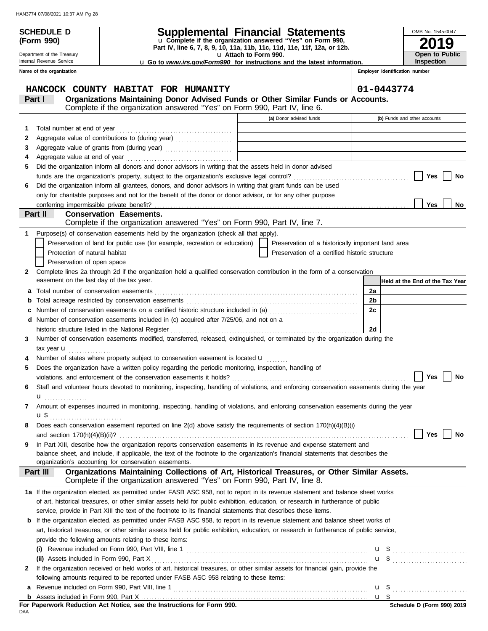**(Form 990)**

Department of the Treasury Internal Revenue Service **Name of the organization**

## **SCHEDULE D Supplemental Financial Statements**

**Part IV, line 6, 7, 8, 9, 10, 11a, 11b, 11c, 11d, 11e, 11f, 12a, or 12b.** u **Complete if the organization answered "Yes" on Form 990,**

u **Attach to Form 990.** 

u **Go to** *www.irs.gov/Form990* **for instructions and the latest information.**

**2019 Open to Public Inspection**

OMB No. 1545-0047

**Employer identification number**

|              | HANCOCK COUNTY HABITAT FOR HUMANITY                                                                                                       |                                                    | 01-0443774                      |
|--------------|-------------------------------------------------------------------------------------------------------------------------------------------|----------------------------------------------------|---------------------------------|
|              | Organizations Maintaining Donor Advised Funds or Other Similar Funds or Accounts.<br>Part I                                               |                                                    |                                 |
|              | Complete if the organization answered "Yes" on Form 990, Part IV, line 6.                                                                 |                                                    |                                 |
|              |                                                                                                                                           | (a) Donor advised funds                            | (b) Funds and other accounts    |
| 1            | Total number at end of year                                                                                                               |                                                    |                                 |
| 2            | Aggregate value of contributions to (during year)                                                                                         |                                                    |                                 |
| 3            |                                                                                                                                           |                                                    |                                 |
| 4            |                                                                                                                                           |                                                    |                                 |
| 5            | Did the organization inform all donors and donor advisors in writing that the assets held in donor advised                                |                                                    |                                 |
|              |                                                                                                                                           |                                                    | Yes<br>No                       |
| 6            | Did the organization inform all grantees, donors, and donor advisors in writing that grant funds can be used                              |                                                    |                                 |
|              | only for charitable purposes and not for the benefit of the donor or donor advisor, or for any other purpose                              |                                                    |                                 |
|              |                                                                                                                                           |                                                    | Yes<br>No                       |
|              | <b>Conservation Easements.</b><br>Part II                                                                                                 |                                                    |                                 |
|              | Complete if the organization answered "Yes" on Form 990, Part IV, line 7.                                                                 |                                                    |                                 |
| 1            | Purpose(s) of conservation easements held by the organization (check all that apply).                                                     |                                                    |                                 |
|              | Preservation of land for public use (for example, recreation or education)                                                                | Preservation of a historically important land area |                                 |
|              | Protection of natural habitat                                                                                                             | Preservation of a certified historic structure     |                                 |
|              | Preservation of open space                                                                                                                |                                                    |                                 |
| $\mathbf{2}$ | Complete lines 2a through 2d if the organization held a qualified conservation contribution in the form of a conservation                 |                                                    |                                 |
|              | easement on the last day of the tax year.                                                                                                 |                                                    | Held at the End of the Tax Year |
| а            |                                                                                                                                           |                                                    | 2a                              |
| b            |                                                                                                                                           |                                                    | 2b                              |
| c            | Number of conservation easements on a certified historic structure included in (a) [[[[[[[[[[[[[[[[[[[[[[[[[]]]]]]]                       |                                                    | 2c                              |
| d            | Number of conservation easements included in (c) acquired after 7/25/06, and not on a                                                     |                                                    |                                 |
|              |                                                                                                                                           |                                                    | 2d                              |
| 3            | Number of conservation easements modified, transferred, released, extinguished, or terminated by the organization during the              |                                                    |                                 |
|              | tax year $\mathbf u$                                                                                                                      |                                                    |                                 |
| 4            | Number of states where property subject to conservation easement is located u                                                             |                                                    |                                 |
| 5            | Does the organization have a written policy regarding the periodic monitoring, inspection, handling of                                    |                                                    |                                 |
|              |                                                                                                                                           |                                                    | Yes<br>No                       |
| 6            | Staff and volunteer hours devoted to monitoring, inspecting, handling of violations, and enforcing conservation easements during the year |                                                    |                                 |
|              | u.<br>.                                                                                                                                   |                                                    |                                 |
| 7            | Amount of expenses incurred in monitoring, inspecting, handling of violations, and enforcing conservation easements during the year       |                                                    |                                 |
|              | <b>u</b> \$                                                                                                                               |                                                    |                                 |
|              | Does each conservation easement reported on line $2(d)$ above satisfy the requirements of section $170(h)(4)(B)(i)$                       |                                                    |                                 |
|              |                                                                                                                                           |                                                    | Yes No                          |
| 9            | In Part XIII, describe how the organization reports conservation easements in its revenue and expense statement and                       |                                                    |                                 |
|              | balance sheet, and include, if applicable, the text of the footnote to the organization's financial statements that describes the         |                                                    |                                 |
|              | organization's accounting for conservation easements.                                                                                     |                                                    |                                 |
|              | Organizations Maintaining Collections of Art, Historical Treasures, or Other Similar Assets.<br>Part III                                  |                                                    |                                 |
|              | Complete if the organization answered "Yes" on Form 990, Part IV, line 8.                                                                 |                                                    |                                 |
|              | 1a If the organization elected, as permitted under FASB ASC 958, not to report in its revenue statement and balance sheet works           |                                                    |                                 |
|              | of art, historical treasures, or other similar assets held for public exhibition, education, or research in furtherance of public         |                                                    |                                 |
|              | service, provide in Part XIII the text of the footnote to its financial statements that describes these items.                            |                                                    |                                 |
| b            | If the organization elected, as permitted under FASB ASC 958, to report in its revenue statement and balance sheet works of               |                                                    |                                 |
|              | art, historical treasures, or other similar assets held for public exhibition, education, or research in furtherance of public service,   |                                                    |                                 |
|              | provide the following amounts relating to these items:                                                                                    |                                                    |                                 |
|              | (i)                                                                                                                                       |                                                    | $\mathbf{u}$ \$                 |
|              |                                                                                                                                           |                                                    |                                 |
| $\mathbf{2}$ | If the organization received or held works of art, historical treasures, or other similar assets for financial gain, provide the          |                                                    |                                 |
|              | following amounts required to be reported under FASB ASC 958 relating to these items:                                                     |                                                    |                                 |
| а            |                                                                                                                                           |                                                    | $\mathbf{u}$ \$                 |
| b            |                                                                                                                                           |                                                    |                                 |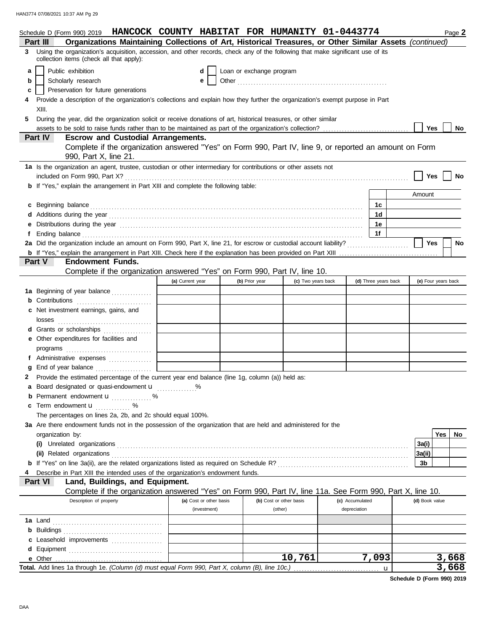|    | Schedule D (Form 990) 2019 HANCOCK COUNTY HABITAT FOR HUMANITY 01-0443774                                                                                                                                                      |                               |                          |                         |                 |                      |        |                     | Page 2         |
|----|--------------------------------------------------------------------------------------------------------------------------------------------------------------------------------------------------------------------------------|-------------------------------|--------------------------|-------------------------|-----------------|----------------------|--------|---------------------|----------------|
|    | Organizations Maintaining Collections of Art, Historical Treasures, or Other Similar Assets (continued)<br>Part III                                                                                                            |                               |                          |                         |                 |                      |        |                     |                |
|    | 3 Using the organization's acquisition, accession, and other records, check any of the following that make significant use of its<br>collection items (check all that apply):                                                  |                               |                          |                         |                 |                      |        |                     |                |
| a  | Public exhibition                                                                                                                                                                                                              | d                             | Loan or exchange program |                         |                 |                      |        |                     |                |
| b  | Scholarly research                                                                                                                                                                                                             | e                             |                          |                         |                 |                      |        |                     |                |
| с  | Preservation for future generations                                                                                                                                                                                            |                               |                          |                         |                 |                      |        |                     |                |
|    | Provide a description of the organization's collections and explain how they further the organization's exempt purpose in Part                                                                                                 |                               |                          |                         |                 |                      |        |                     |                |
|    | XIII.                                                                                                                                                                                                                          |                               |                          |                         |                 |                      |        |                     |                |
| 5. | During the year, did the organization solicit or receive donations of art, historical treasures, or other similar                                                                                                              |                               |                          |                         |                 |                      |        |                     |                |
|    |                                                                                                                                                                                                                                |                               |                          |                         |                 |                      |        | <b>Yes</b>          | No             |
|    | Part IV<br><b>Escrow and Custodial Arrangements.</b>                                                                                                                                                                           |                               |                          |                         |                 |                      |        |                     |                |
|    | Complete if the organization answered "Yes" on Form 990, Part IV, line 9, or reported an amount on Form                                                                                                                        |                               |                          |                         |                 |                      |        |                     |                |
|    | 990, Part X, line 21.                                                                                                                                                                                                          |                               |                          |                         |                 |                      |        |                     |                |
|    | 1a Is the organization an agent, trustee, custodian or other intermediary for contributions or other assets not                                                                                                                |                               |                          |                         |                 |                      |        |                     |                |
|    | included on Form 990, Part X?                                                                                                                                                                                                  |                               |                          |                         |                 |                      |        | Yes                 | No             |
|    | <b>b</b> If "Yes," explain the arrangement in Part XIII and complete the following table:                                                                                                                                      |                               |                          |                         |                 |                      |        |                     |                |
|    |                                                                                                                                                                                                                                |                               |                          |                         |                 |                      | Amount |                     |                |
|    | c Beginning balance encourance and a series of the series of the series of the series of the series of the series of the series of the series of the series of the series of the series of the series of the series of the ser |                               |                          |                         |                 | 1c                   |        |                     |                |
|    |                                                                                                                                                                                                                                |                               |                          |                         |                 | 1 <sub>d</sub>       |        |                     |                |
|    |                                                                                                                                                                                                                                |                               |                          |                         |                 | 1e                   |        |                     |                |
| f  | Ending balance continuous contract and the contract of the contract of the contract of the contract of the contract of the contract of the contract of the contract of the contract of the contract of the contract of the con |                               |                          |                         |                 | 1f                   |        |                     |                |
|    |                                                                                                                                                                                                                                |                               |                          |                         |                 |                      |        | Yes                 | No             |
|    |                                                                                                                                                                                                                                |                               |                          |                         |                 |                      |        |                     |                |
|    | Part V<br><b>Endowment Funds.</b>                                                                                                                                                                                              |                               |                          |                         |                 |                      |        |                     |                |
|    | Complete if the organization answered "Yes" on Form 990, Part IV, line 10.                                                                                                                                                     |                               |                          |                         |                 |                      |        |                     |                |
|    |                                                                                                                                                                                                                                | (a) Current year              | (b) Prior year           | (c) Two years back      |                 | (d) Three years back |        | (e) Four years back |                |
|    | 1a Beginning of year balance                                                                                                                                                                                                   | the control of the control of |                          |                         |                 |                      |        |                     |                |
|    | <b>b</b> Contributions <b>contributions</b>                                                                                                                                                                                    |                               |                          |                         |                 |                      |        |                     |                |
| c. | Net investment earnings, gains, and                                                                                                                                                                                            |                               |                          |                         |                 |                      |        |                     |                |
|    |                                                                                                                                                                                                                                |                               |                          |                         |                 |                      |        |                     |                |
|    | d Grants or scholarships                                                                                                                                                                                                       |                               |                          |                         |                 |                      |        |                     |                |
|    | e Other expenditures for facilities and                                                                                                                                                                                        |                               |                          |                         |                 |                      |        |                     |                |
|    |                                                                                                                                                                                                                                |                               |                          |                         |                 |                      |        |                     |                |
|    |                                                                                                                                                                                                                                |                               |                          |                         |                 |                      |        |                     |                |
| a  | End of year balance                                                                                                                                                                                                            |                               |                          |                         |                 |                      |        |                     |                |
|    | 2 Provide the estimated percentage of the current year end balance (line 1g, column (a)) held as:                                                                                                                              |                               |                          |                         |                 |                      |        |                     |                |
|    | Board designated or quasi-endowment <b>u</b> %                                                                                                                                                                                 |                               |                          |                         |                 |                      |        |                     |                |
|    | <b>b</b> Permanent endowment <b>u</b> %                                                                                                                                                                                        |                               |                          |                         |                 |                      |        |                     |                |
| c  | Term endowment <b>u</b> %                                                                                                                                                                                                      |                               |                          |                         |                 |                      |        |                     |                |
|    | The percentages on lines 2a, 2b, and 2c should equal 100%.                                                                                                                                                                     |                               |                          |                         |                 |                      |        |                     |                |
|    | 3a Are there endowment funds not in the possession of the organization that are held and administered for the                                                                                                                  |                               |                          |                         |                 |                      |        |                     |                |
|    | organization by:                                                                                                                                                                                                               |                               |                          |                         |                 |                      |        | Yes                 | No             |
|    |                                                                                                                                                                                                                                |                               |                          |                         |                 |                      | 3a(i)  |                     |                |
|    |                                                                                                                                                                                                                                |                               |                          |                         |                 |                      | 3a(ii) |                     |                |
|    |                                                                                                                                                                                                                                |                               |                          |                         |                 |                      | 3b     |                     |                |
|    | Describe in Part XIII the intended uses of the organization's endowment funds.                                                                                                                                                 |                               |                          |                         |                 |                      |        |                     |                |
|    | Part VI<br>Land, Buildings, and Equipment.                                                                                                                                                                                     |                               |                          |                         |                 |                      |        |                     |                |
|    | Complete if the organization answered "Yes" on Form 990, Part IV, line 11a. See Form 990, Part X, line 10.                                                                                                                     |                               |                          |                         |                 |                      |        |                     |                |
|    | Description of property                                                                                                                                                                                                        | (a) Cost or other basis       |                          | (b) Cost or other basis | (c) Accumulated |                      |        | (d) Book value      |                |
|    |                                                                                                                                                                                                                                | (investment)                  |                          | (other)                 | depreciation    |                      |        |                     |                |
|    |                                                                                                                                                                                                                                |                               |                          |                         |                 |                      |        |                     |                |
|    |                                                                                                                                                                                                                                |                               |                          |                         |                 |                      |        |                     |                |
|    |                                                                                                                                                                                                                                |                               |                          |                         |                 |                      |        |                     |                |
|    | c Leasehold improvements                                                                                                                                                                                                       |                               |                          |                         |                 |                      |        |                     |                |
|    |                                                                                                                                                                                                                                |                               |                          | 10,761                  |                 | 7,093                |        |                     |                |
|    |                                                                                                                                                                                                                                |                               |                          |                         |                 |                      |        |                     | 3,668<br>3,668 |
|    |                                                                                                                                                                                                                                |                               |                          |                         |                 |                      |        |                     |                |

**Schedule D (Form 990) 2019**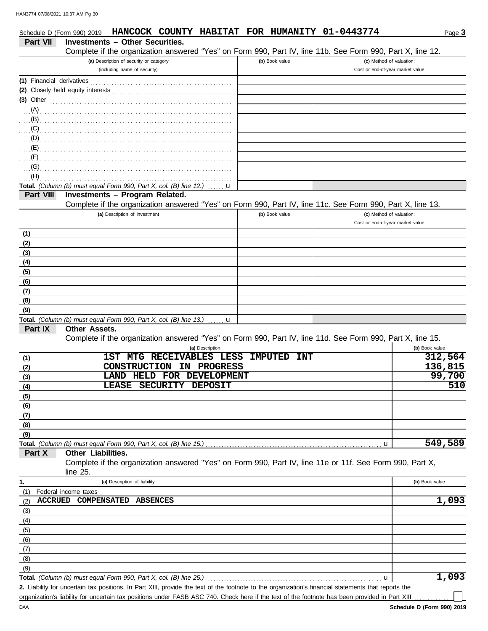|                       | Schedule D (Form 990) 2019 HANCOCK COUNTY HABITAT FOR HUMANITY 01-0443774                                                                                                                                                                 |                              |                                  | Page 3         |
|-----------------------|-------------------------------------------------------------------------------------------------------------------------------------------------------------------------------------------------------------------------------------------|------------------------------|----------------------------------|----------------|
| <b>Part VII</b>       | <b>Investments - Other Securities.</b>                                                                                                                                                                                                    |                              |                                  |                |
|                       | Complete if the organization answered "Yes" on Form 990, Part IV, line 11b. See Form 990, Part X, line 12.                                                                                                                                |                              |                                  |                |
|                       | (a) Description of security or category<br>(including name of security)                                                                                                                                                                   | (b) Book value               | (c) Method of valuation:         |                |
|                       |                                                                                                                                                                                                                                           |                              | Cost or end-of-year market value |                |
|                       |                                                                                                                                                                                                                                           |                              |                                  |                |
|                       |                                                                                                                                                                                                                                           |                              |                                  |                |
|                       | (3) Other $\ldots$ and $\ldots$ and $\ldots$ and $\ldots$                                                                                                                                                                                 |                              |                                  |                |
|                       |                                                                                                                                                                                                                                           |                              |                                  |                |
|                       | $\mathbf{B}$ .                                                                                                                                                                                                                            |                              |                                  |                |
|                       |                                                                                                                                                                                                                                           |                              |                                  |                |
|                       |                                                                                                                                                                                                                                           |                              |                                  |                |
|                       |                                                                                                                                                                                                                                           |                              |                                  |                |
|                       | $\overline{a}$ (G) $\overline{a}$ . The contract of the contract of the contract of the contract of the contract of the contract of the contract of the contract of the contract of the contract of the contract of the contract of the c |                              |                                  |                |
| (H)                   |                                                                                                                                                                                                                                           |                              |                                  |                |
|                       | Total. (Column (b) must equal Form 990, Part X, col. (B) line 12.) $\ldots$ u                                                                                                                                                             |                              |                                  |                |
| <b>Part VIII</b>      | Investments - Program Related.                                                                                                                                                                                                            |                              |                                  |                |
|                       | Complete if the organization answered "Yes" on Form 990, Part IV, line 11c. See Form 990, Part X, line 13.                                                                                                                                |                              |                                  |                |
|                       | (a) Description of investment                                                                                                                                                                                                             | (b) Book value               | (c) Method of valuation:         |                |
|                       |                                                                                                                                                                                                                                           |                              | Cost or end-of-year market value |                |
| (1)                   |                                                                                                                                                                                                                                           |                              |                                  |                |
| (2)                   |                                                                                                                                                                                                                                           |                              |                                  |                |
| (3)                   |                                                                                                                                                                                                                                           |                              |                                  |                |
| (4)                   |                                                                                                                                                                                                                                           |                              |                                  |                |
| (5)                   |                                                                                                                                                                                                                                           |                              |                                  |                |
| (6)                   |                                                                                                                                                                                                                                           |                              |                                  |                |
| (7)                   |                                                                                                                                                                                                                                           |                              |                                  |                |
| (8)<br>(9)            |                                                                                                                                                                                                                                           |                              |                                  |                |
|                       | <b>Total.</b> (Column (b) must equal Form 990, Part X, col. (B) line 13.) $\dots$ <b>u</b>                                                                                                                                                |                              |                                  |                |
| Part IX               | Other Assets.                                                                                                                                                                                                                             |                              |                                  |                |
|                       | Complete if the organization answered "Yes" on Form 990, Part IV, line 11d. See Form 990, Part X, line 15.                                                                                                                                |                              |                                  |                |
|                       | (a) Description                                                                                                                                                                                                                           |                              |                                  | (b) Book value |
| (1)                   | 1ST MTG RECEIVABLES LESS                                                                                                                                                                                                                  | <b>IMPUTED</b><br><b>INT</b> |                                  | 312,564        |
| (2)                   | <b>CONSTRUCTION</b><br>IN PROGRESS                                                                                                                                                                                                        |                              |                                  | 136,815        |
| (3)                   | LAND HELD FOR DEVELOPMENT                                                                                                                                                                                                                 |                              |                                  | 99,700         |
| (4)                   | <b>LEASE</b><br>SECURITY DEPOSIT                                                                                                                                                                                                          |                              |                                  | 510            |
| (5)                   |                                                                                                                                                                                                                                           |                              |                                  |                |
| (6)                   |                                                                                                                                                                                                                                           |                              |                                  |                |
| (7)                   |                                                                                                                                                                                                                                           |                              |                                  |                |
| (8)                   |                                                                                                                                                                                                                                           |                              |                                  |                |
| (9)                   |                                                                                                                                                                                                                                           |                              |                                  | 549,589        |
| Part X                | Other Liabilities.                                                                                                                                                                                                                        |                              | u                                |                |
|                       | Complete if the organization answered "Yes" on Form 990, Part IV, line 11e or 11f. See Form 990, Part X,                                                                                                                                  |                              |                                  |                |
|                       | line $25$ .                                                                                                                                                                                                                               |                              |                                  |                |
| 1.                    | (a) Description of liability                                                                                                                                                                                                              |                              |                                  | (b) Book value |
| (1)                   | Federal income taxes                                                                                                                                                                                                                      |                              |                                  |                |
| <b>ACCRUED</b><br>(2) | <b>COMPENSATED</b><br><b>ABSENCES</b>                                                                                                                                                                                                     |                              |                                  | 1,093          |
| (3)                   |                                                                                                                                                                                                                                           |                              |                                  |                |
| (4)                   |                                                                                                                                                                                                                                           |                              |                                  |                |
| (5)                   |                                                                                                                                                                                                                                           |                              |                                  |                |
| (6)                   |                                                                                                                                                                                                                                           |                              |                                  |                |
| (7)                   |                                                                                                                                                                                                                                           |                              |                                  |                |
| (8)                   |                                                                                                                                                                                                                                           |                              |                                  |                |
| (9)                   |                                                                                                                                                                                                                                           |                              |                                  |                |
|                       | <b>Total.</b> (Column (b) must equal Form 990, Part X, col. (B) line 25.)<br>$\ln$ Dost VIII                                                                                                                                              |                              | u                                | 1,093          |

Liability for uncertain tax positions. In Part XIII, provide the text of the footnote to the organization's financial statements that reports the **2.** organization's liability for uncertain tax positions under FASB ASC 740. Check here if the text of the footnote has been provided in Part XIII .

٦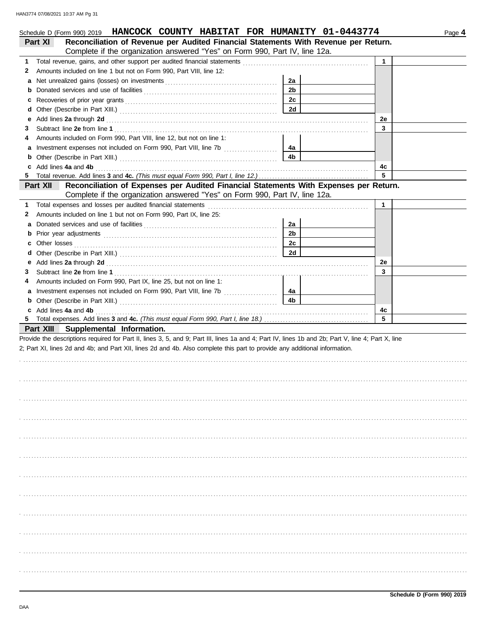|    | Schedule D (Form 990) 2019 HANCOCK COUNTY HABITAT FOR HUMANITY 01-0443774                                                                                                                                                      |                |              | Page 4 |
|----|--------------------------------------------------------------------------------------------------------------------------------------------------------------------------------------------------------------------------------|----------------|--------------|--------|
|    | Reconciliation of Revenue per Audited Financial Statements With Revenue per Return.<br>Part XI                                                                                                                                 |                |              |        |
|    | Complete if the organization answered "Yes" on Form 990, Part IV, line 12a.                                                                                                                                                    |                |              |        |
| 1  |                                                                                                                                                                                                                                |                | $\mathbf{1}$ |        |
| 2  | Amounts included on line 1 but not on Form 990, Part VIII, line 12:                                                                                                                                                            |                |              |        |
| a  |                                                                                                                                                                                                                                | 2a             |              |        |
| b  |                                                                                                                                                                                                                                | 2 <sub>b</sub> |              |        |
| с  |                                                                                                                                                                                                                                | 2c             |              |        |
| d  |                                                                                                                                                                                                                                | 2d             |              |        |
| е  | Add lines 2a through 2d [11] Add [12] Add lines 2a through 2d [12] Add lines 2a through 2d [12] Add lines 2a through 2d [12] Additional Additional Additional Additional Additional Additional Additional Additional Additiona |                | 2е           |        |
| 3  |                                                                                                                                                                                                                                |                | 3            |        |
| 4  | Amounts included on Form 990, Part VIII, line 12, but not on line 1:                                                                                                                                                           |                |              |        |
| a  |                                                                                                                                                                                                                                | 4a             |              |        |
| b  |                                                                                                                                                                                                                                | 4b             |              |        |
| c  | Add lines 4a and 4b                                                                                                                                                                                                            |                | 4c           |        |
| 5  |                                                                                                                                                                                                                                |                | 5            |        |
|    | Reconciliation of Expenses per Audited Financial Statements With Expenses per Return.<br><b>Part XII</b>                                                                                                                       |                |              |        |
|    | Complete if the organization answered "Yes" on Form 990, Part IV, line 12a.                                                                                                                                                    |                |              |        |
|    |                                                                                                                                                                                                                                |                |              |        |
| 1. |                                                                                                                                                                                                                                |                | 1            |        |
| 2  | Amounts included on line 1 but not on Form 990, Part IX, line 25:                                                                                                                                                              |                |              |        |
| a  |                                                                                                                                                                                                                                | 2a             |              |        |
| b  |                                                                                                                                                                                                                                | 2 <sub>b</sub> |              |        |
| c  |                                                                                                                                                                                                                                | 2c             |              |        |
| d  |                                                                                                                                                                                                                                | 2d             |              |        |
| е  | Add lines 2a through 2d [11] Add [12] Add lines 2a through 2d [12] Add lines 2a through 2d [12] Add lines 2a through 2d [12] Additional Additional Additional Additional Additional Additional Additional Additional Additiona |                | 2е           |        |
| 3  |                                                                                                                                                                                                                                |                | 3            |        |
| 4  | Amounts included on Form 990, Part IX, line 25, but not on line 1:                                                                                                                                                             |                |              |        |
| а  |                                                                                                                                                                                                                                | 4a             |              |        |
| b  |                                                                                                                                                                                                                                | 4b             |              |        |
|    | c Add lines 4a and 4b                                                                                                                                                                                                          |                | 4c           |        |
| 5  |                                                                                                                                                                                                                                |                | 5            |        |
|    | Part XIII Supplemental Information.                                                                                                                                                                                            |                |              |        |
|    | Provide the descriptions required for Part II, lines 3, 5, and 9; Part III, lines 1a and 4; Part IV, lines 1b and 2b; Part V, line 4; Part X, line                                                                             |                |              |        |
|    | 2; Part XI, lines 2d and 4b; and Part XII, lines 2d and 4b. Also complete this part to provide any additional information.                                                                                                     |                |              |        |
|    |                                                                                                                                                                                                                                |                |              |        |
|    |                                                                                                                                                                                                                                |                |              |        |
|    |                                                                                                                                                                                                                                |                |              |        |
|    |                                                                                                                                                                                                                                |                |              |        |
|    |                                                                                                                                                                                                                                |                |              |        |
|    |                                                                                                                                                                                                                                |                |              |        |
|    |                                                                                                                                                                                                                                |                |              |        |
|    |                                                                                                                                                                                                                                |                |              |        |
|    |                                                                                                                                                                                                                                |                |              |        |
|    |                                                                                                                                                                                                                                |                |              |        |
|    |                                                                                                                                                                                                                                |                |              |        |
|    |                                                                                                                                                                                                                                |                |              |        |
|    |                                                                                                                                                                                                                                |                |              |        |
|    |                                                                                                                                                                                                                                |                |              |        |
|    |                                                                                                                                                                                                                                |                |              |        |
|    |                                                                                                                                                                                                                                |                |              |        |
|    |                                                                                                                                                                                                                                |                |              |        |
|    |                                                                                                                                                                                                                                |                |              |        |
|    |                                                                                                                                                                                                                                |                |              |        |
|    |                                                                                                                                                                                                                                |                |              |        |
|    |                                                                                                                                                                                                                                |                |              |        |
|    |                                                                                                                                                                                                                                |                |              |        |
|    |                                                                                                                                                                                                                                |                |              |        |
|    |                                                                                                                                                                                                                                |                |              |        |
|    |                                                                                                                                                                                                                                |                |              |        |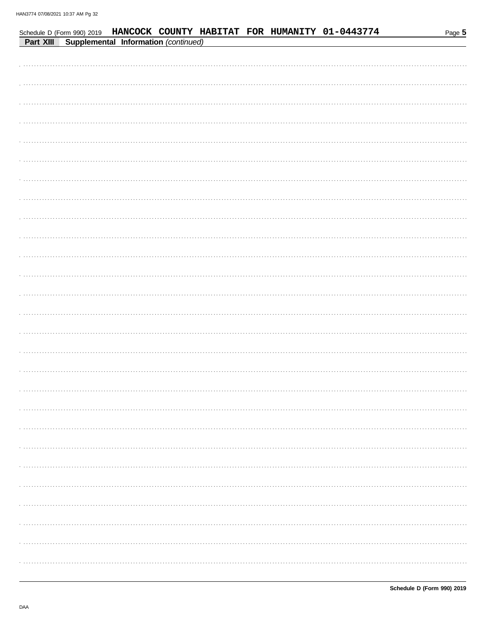Schedule D (Form 990) 2019

|  | <b>Part XIII Supplemental Information (continued)</b> |
|--|-------------------------------------------------------|
|  |                                                       |
|  |                                                       |
|  |                                                       |
|  |                                                       |
|  |                                                       |
|  |                                                       |
|  |                                                       |
|  |                                                       |
|  |                                                       |
|  |                                                       |
|  |                                                       |
|  |                                                       |
|  |                                                       |
|  |                                                       |
|  |                                                       |
|  |                                                       |
|  |                                                       |
|  |                                                       |
|  |                                                       |
|  |                                                       |
|  |                                                       |
|  |                                                       |
|  |                                                       |
|  |                                                       |
|  |                                                       |
|  |                                                       |
|  |                                                       |
|  |                                                       |
|  |                                                       |

HANCOCK COUNTY HABITAT FOR HUMANITY 01-0443774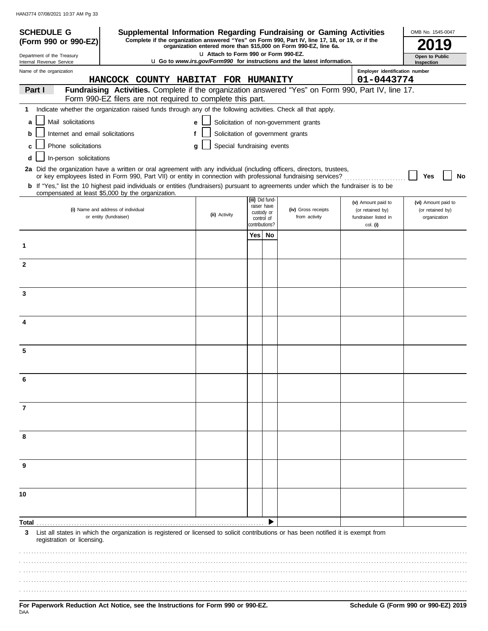HAN3774 07/08/2021 10:37 AM Pg 33

| <b>SCHEDULE G</b>                                      | Supplemental Information Regarding Fundraising or Gaming Activities                                                                                                                                                                                                                                                 |                                       |                              |                                                                           |                                              | OMB No. 1545-0047            |
|--------------------------------------------------------|---------------------------------------------------------------------------------------------------------------------------------------------------------------------------------------------------------------------------------------------------------------------------------------------------------------------|---------------------------------------|------------------------------|---------------------------------------------------------------------------|----------------------------------------------|------------------------------|
| (Form 990 or 990-EZ)                                   | Complete if the organization answered "Yes" on Form 990, Part IV, line 17, 18, or 19, or if the                                                                                                                                                                                                                     |                                       |                              | organization entered more than \$15,000 on Form 990-EZ, line 6a.          |                                              | 9                            |
| Department of the Treasury<br>Internal Revenue Service |                                                                                                                                                                                                                                                                                                                     | LI Attach to Form 990 or Form 990-EZ. |                              | La Go to www.irs.gov/Form990 for instructions and the latest information. |                                              | Open to Public<br>Inspection |
| Name of the organization                               | HANCOCK COUNTY HABITAT FOR HUMANITY                                                                                                                                                                                                                                                                                 |                                       |                              |                                                                           | Employer identification number<br>01-0443774 |                              |
| Part I                                                 | Fundraising Activities. Complete if the organization answered "Yes" on Form 990, Part IV, line 17.                                                                                                                                                                                                                  |                                       |                              |                                                                           |                                              |                              |
|                                                        | Form 990-EZ filers are not required to complete this part.                                                                                                                                                                                                                                                          |                                       |                              |                                                                           |                                              |                              |
| 1.                                                     | Indicate whether the organization raised funds through any of the following activities. Check all that apply.                                                                                                                                                                                                       |                                       |                              |                                                                           |                                              |                              |
| Mail solicitations<br>a                                |                                                                                                                                                                                                                                                                                                                     | е                                     |                              | Solicitation of non-government grants                                     |                                              |                              |
| Internet and email solicitations<br>b                  |                                                                                                                                                                                                                                                                                                                     | f                                     |                              | Solicitation of government grants                                         |                                              |                              |
| Phone solicitations<br>c                               |                                                                                                                                                                                                                                                                                                                     | Special fundraising events<br>g       |                              |                                                                           |                                              |                              |
| In-person solicitations<br>d                           |                                                                                                                                                                                                                                                                                                                     |                                       |                              |                                                                           |                                              |                              |
|                                                        | 2a Did the organization have a written or oral agreement with any individual (including officers, directors, trustees,                                                                                                                                                                                              |                                       |                              |                                                                           |                                              |                              |
|                                                        | or key employees listed in Form 990, Part VII) or entity in connection with professional fundraising services?<br><b>b</b> If "Yes," list the 10 highest paid individuals or entities (fundraisers) pursuant to agreements under which the fundraiser is to be<br>compensated at least \$5,000 by the organization. |                                       |                              |                                                                           |                                              | No<br>Yes                    |
|                                                        |                                                                                                                                                                                                                                                                                                                     |                                       | (iii) Did fund-              |                                                                           | (v) Amount paid to                           | (vi) Amount paid to          |
|                                                        | (i) Name and address of individual                                                                                                                                                                                                                                                                                  | (ii) Activity                         | raiser have<br>custody or    | (iv) Gross receipts                                                       | (or retained by)                             | (or retained by)             |
|                                                        | or entity (fundraiser)                                                                                                                                                                                                                                                                                              |                                       | control of<br>contributions? | from activity                                                             | fundraiser listed in<br>col. (i)             | organization                 |
|                                                        |                                                                                                                                                                                                                                                                                                                     |                                       | Yes   No                     |                                                                           |                                              |                              |
| 1                                                      |                                                                                                                                                                                                                                                                                                                     |                                       |                              |                                                                           |                                              |                              |
|                                                        |                                                                                                                                                                                                                                                                                                                     |                                       |                              |                                                                           |                                              |                              |
| $\mathbf{2}$                                           |                                                                                                                                                                                                                                                                                                                     |                                       |                              |                                                                           |                                              |                              |
|                                                        |                                                                                                                                                                                                                                                                                                                     |                                       |                              |                                                                           |                                              |                              |
| 3                                                      |                                                                                                                                                                                                                                                                                                                     |                                       |                              |                                                                           |                                              |                              |
|                                                        |                                                                                                                                                                                                                                                                                                                     |                                       |                              |                                                                           |                                              |                              |
|                                                        |                                                                                                                                                                                                                                                                                                                     |                                       |                              |                                                                           |                                              |                              |
| 4                                                      |                                                                                                                                                                                                                                                                                                                     |                                       |                              |                                                                           |                                              |                              |
|                                                        |                                                                                                                                                                                                                                                                                                                     |                                       |                              |                                                                           |                                              |                              |
| 5                                                      |                                                                                                                                                                                                                                                                                                                     |                                       |                              |                                                                           |                                              |                              |
|                                                        |                                                                                                                                                                                                                                                                                                                     |                                       |                              |                                                                           |                                              |                              |
| 6                                                      |                                                                                                                                                                                                                                                                                                                     |                                       |                              |                                                                           |                                              |                              |
|                                                        |                                                                                                                                                                                                                                                                                                                     |                                       |                              |                                                                           |                                              |                              |
|                                                        |                                                                                                                                                                                                                                                                                                                     |                                       |                              |                                                                           |                                              |                              |
| 7                                                      |                                                                                                                                                                                                                                                                                                                     |                                       |                              |                                                                           |                                              |                              |
|                                                        |                                                                                                                                                                                                                                                                                                                     |                                       |                              |                                                                           |                                              |                              |
| 8                                                      |                                                                                                                                                                                                                                                                                                                     |                                       |                              |                                                                           |                                              |                              |
|                                                        |                                                                                                                                                                                                                                                                                                                     |                                       |                              |                                                                           |                                              |                              |
|                                                        |                                                                                                                                                                                                                                                                                                                     |                                       |                              |                                                                           |                                              |                              |
| 9                                                      |                                                                                                                                                                                                                                                                                                                     |                                       |                              |                                                                           |                                              |                              |
|                                                        |                                                                                                                                                                                                                                                                                                                     |                                       |                              |                                                                           |                                              |                              |
| 10                                                     |                                                                                                                                                                                                                                                                                                                     |                                       |                              |                                                                           |                                              |                              |
|                                                        |                                                                                                                                                                                                                                                                                                                     |                                       |                              |                                                                           |                                              |                              |
|                                                        |                                                                                                                                                                                                                                                                                                                     |                                       |                              |                                                                           |                                              |                              |
| Total<br>3                                             | List all states in which the organization is registered or licensed to solicit contributions or has been notified it is exempt from                                                                                                                                                                                 |                                       |                              |                                                                           |                                              |                              |
| registration or licensing.                             |                                                                                                                                                                                                                                                                                                                     |                                       |                              |                                                                           |                                              |                              |
|                                                        |                                                                                                                                                                                                                                                                                                                     |                                       |                              |                                                                           |                                              |                              |
|                                                        |                                                                                                                                                                                                                                                                                                                     |                                       |                              |                                                                           |                                              |                              |
|                                                        |                                                                                                                                                                                                                                                                                                                     |                                       |                              |                                                                           |                                              |                              |
|                                                        |                                                                                                                                                                                                                                                                                                                     |                                       |                              |                                                                           |                                              |                              |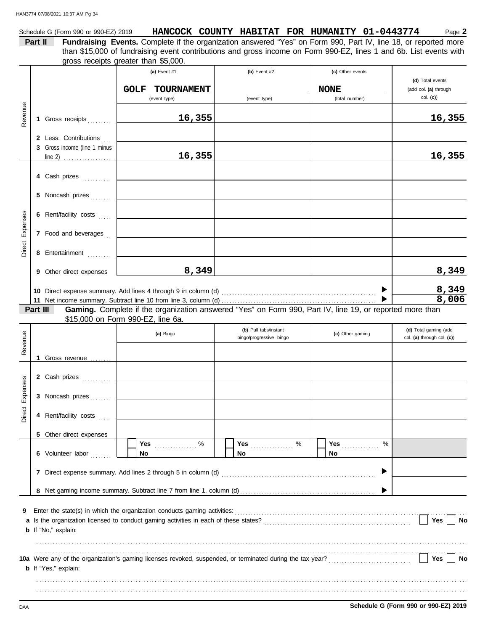| Schedule G (Form 990 or 990-EZ) 2019 |  |  | HANCOCK COUNTY HABITAT FOR HUMANITY 01-0443774 | $Page$ $\blacktriangle$ |
|--------------------------------------|--|--|------------------------------------------------|-------------------------|
|                                      |  |  |                                                |                         |

**Part II Fundraising Events.** Complete if the organization answered "Yes" on Form 990, Part IV, line 18, or reported more gross receipts greater than \$5,000. than \$15,000 of fundraising event contributions and gross income on Form 990-EZ, lines 1 and 6b. List events with

| Revenue         |          | 1 Gross receipts<br>2 Less: Contributions<br>3 Gross income (line 1 minus                                                        | (a) Event #1<br><b>GOLF</b><br>TOURNAMENT<br>(event type)<br>16,355                                                                                        | (b) Event $#2$<br>(event type)                   | (c) Other events<br><b>NONE</b><br>(total number) | (d) Total events<br>(add col. (a) through<br>$col.$ (c))<br>16,355 |
|-----------------|----------|----------------------------------------------------------------------------------------------------------------------------------|------------------------------------------------------------------------------------------------------------------------------------------------------------|--------------------------------------------------|---------------------------------------------------|--------------------------------------------------------------------|
|                 |          | 4 Cash prizes<br>5 Noncash prizes<br>6 Rent/facility costs                                                                       | 16,355                                                                                                                                                     |                                                  |                                                   | 16, 355                                                            |
| Direct Expenses |          | 7 Food and beverages<br>8 Entertainment<br>9 Other direct expenses                                                               | 8,349                                                                                                                                                      |                                                  |                                                   | 8,349<br>8,349<br>8,006                                            |
| Revenue         | Part III |                                                                                                                                  | Gaming. Complete if the organization answered "Yes" on Form 990, Part IV, line 19, or reported more than<br>\$15,000 on Form 990-EZ, line 6a.<br>(a) Bingo | (b) Pull tabs/instant<br>bingo/progressive bingo | (c) Other gaming                                  | (d) Total gaming (add<br>col. (a) through col. (c))                |
| Direct Expenses |          | 1 Gross revenue<br>2 Cash prizes<br>3 Noncash prizes<br>4 Rent/facility costs   <br>5 Other direct expenses<br>6 Volunteer labor | Yes<br>%<br>No                                                                                                                                             | %<br><b>Yes</b><br>No                            | $\%$<br>Yes<br>No                                 |                                                                    |
|                 |          |                                                                                                                                  | 7 Direct expense summary. Add lines 2 through 5 in column (d)                                                                                              |                                                  |                                                   |                                                                    |
| 9               |          | <b>b</b> If "No," explain:                                                                                                       |                                                                                                                                                            |                                                  |                                                   | Yes<br><b>No</b>                                                   |
|                 |          | <b>b</b> If "Yes," explain:                                                                                                      | 10a Were any of the organization's gaming licenses revoked, suspended, or terminated during the tax year?                                                  |                                                  |                                                   | Yes<br>No                                                          |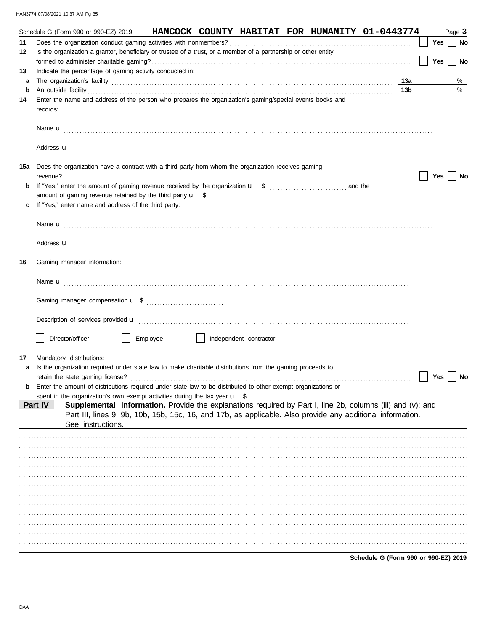HAN3774 07/08/2021 10:37 AM Pg 35

|     | Schedule G (Form 990 or 990-EZ) 2019<br>HANCOCK COUNTY HABITAT FOR HUMANITY 01-0443774                                                                                                                                                                   |     |            | Page 3    |  |
|-----|----------------------------------------------------------------------------------------------------------------------------------------------------------------------------------------------------------------------------------------------------------|-----|------------|-----------|--|
| 11  |                                                                                                                                                                                                                                                          |     | <b>Yes</b> | No        |  |
| 12  | Is the organization a grantor, beneficiary or trustee of a trust, or a member of a partnership or other entity                                                                                                                                           |     |            |           |  |
|     |                                                                                                                                                                                                                                                          |     | <b>Yes</b> | No        |  |
| 13  | Indicate the percentage of gaming activity conducted in:                                                                                                                                                                                                 |     |            |           |  |
| а   | The organization's facility contains and contains a series of the organization's facility contains a series of the series of the series of the series of the series of the series of the series of the series of the series of                           | 13a |            | %         |  |
| b   | An outside facility <b>contract and the contract of a contract of a contract of a contract of a contract of a contract of a contract of a contract of a contract of a contract of a contract of a contract of a contract of a co</b>                     | 13b |            | %         |  |
| 14  | Enter the name and address of the person who prepares the organization's gaming/special events books and<br>records:                                                                                                                                     |     |            |           |  |
|     |                                                                                                                                                                                                                                                          |     |            |           |  |
|     | Address <b>u</b>                                                                                                                                                                                                                                         |     |            |           |  |
| 15a | Does the organization have a contract with a third party from whom the organization receives gaming                                                                                                                                                      |     | Yes        | No        |  |
| b   |                                                                                                                                                                                                                                                          |     |            |           |  |
|     |                                                                                                                                                                                                                                                          |     |            |           |  |
| c   | If "Yes," enter name and address of the third party:                                                                                                                                                                                                     |     |            |           |  |
|     |                                                                                                                                                                                                                                                          |     |            |           |  |
|     |                                                                                                                                                                                                                                                          |     |            |           |  |
|     |                                                                                                                                                                                                                                                          |     |            |           |  |
| 16  | Gaming manager information:                                                                                                                                                                                                                              |     |            |           |  |
|     |                                                                                                                                                                                                                                                          |     |            |           |  |
|     |                                                                                                                                                                                                                                                          |     |            |           |  |
|     |                                                                                                                                                                                                                                                          |     |            |           |  |
|     |                                                                                                                                                                                                                                                          |     |            |           |  |
|     | Director/officer<br>Employee<br>Independent contractor                                                                                                                                                                                                   |     |            |           |  |
| 17  | Mandatory distributions:                                                                                                                                                                                                                                 |     |            |           |  |
| a   | Is the organization required under state law to make charitable distributions from the gaming proceeds to                                                                                                                                                |     |            |           |  |
|     |                                                                                                                                                                                                                                                          |     | Yes        | <b>No</b> |  |
| b   | Enter the amount of distributions required under state law to be distributed to other exempt organizations or                                                                                                                                            |     |            |           |  |
|     | spent in the organization's own exempt activities during the tax year $\mathbf{u}$ \$                                                                                                                                                                    |     |            |           |  |
|     | Supplemental Information. Provide the explanations required by Part I, line 2b, columns (iii) and (v); and<br>Part IV<br>Part III, lines 9, 9b, 10b, 15b, 15c, 16, and 17b, as applicable. Also provide any additional information.<br>See instructions. |     |            |           |  |
|     |                                                                                                                                                                                                                                                          |     |            |           |  |
|     |                                                                                                                                                                                                                                                          |     |            |           |  |
|     |                                                                                                                                                                                                                                                          |     |            |           |  |
|     |                                                                                                                                                                                                                                                          |     |            |           |  |
|     |                                                                                                                                                                                                                                                          |     |            |           |  |
|     |                                                                                                                                                                                                                                                          |     |            |           |  |
|     |                                                                                                                                                                                                                                                          |     |            |           |  |
|     |                                                                                                                                                                                                                                                          |     |            |           |  |
|     |                                                                                                                                                                                                                                                          |     |            |           |  |
|     |                                                                                                                                                                                                                                                          |     |            |           |  |
|     |                                                                                                                                                                                                                                                          |     |            |           |  |
|     |                                                                                                                                                                                                                                                          |     |            |           |  |
|     |                                                                                                                                                                                                                                                          |     |            |           |  |

Schedule G (Form 990 or 990-EZ) 2019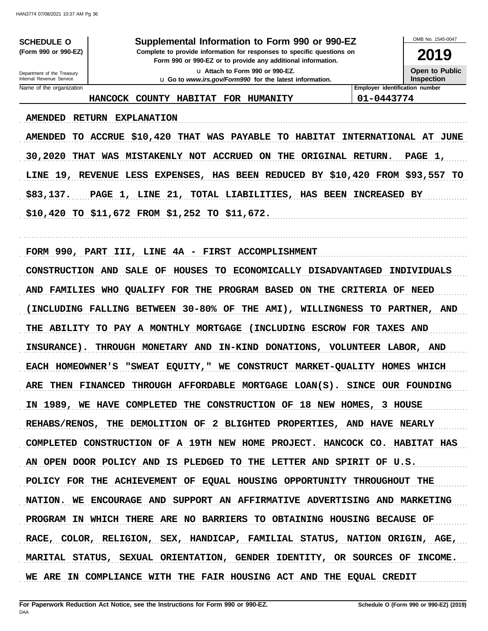#### **SCHEDULE O Supplemental Information to Form 990 or 990-EZ**

**Form 990 or 990-EZ or to provide any additional information. (Form 990 or 990-EZ) Complete to provide information for responses to specific questions on**

> u **Attach to Form 990 or 990-EZ.** u **Go to** *www.irs.gov/Form990* **for the latest information.**

**Open to Public Inspection**

OMB No. 1545-0047

**2019**

Name of the organization **Employer identification number Employer identification number** Internal Revenue Service Department of the Treasury

**HANCOCK COUNTY HABITAT FOR HUMANITY 01-0443774**

AMENDED RETURN EXPLANATION

AMENDED TO ACCRUE \$10,420 THAT WAS PAYABLE TO HABITAT INTERNATIONAL AT JUNE 30,2020 THAT WAS MISTAKENLY NOT ACCRUED ON THE ORIGINAL RETURN. PAGE 1, LINE 19, REVENUE LESS EXPENSES, HAS BEEN REDUCED BY \$10,420 FROM \$93,557 TO \$83,137. PAGE 1, LINE 21, TOTAL LIABILITIES, HAS BEEN INCREASED BY \$10,420 TO \$11,672 FROM \$1,252 TO \$11,672.

. . . . . . . . . . . . . . . . . . . . . . . . . . . . . . . . . . . . . . . . . . . . . . . . . . . . . . . . . . . . . . . . . . . . . . . . . . . . . . . . . . . . . . . . . . . . . . . . . . . . . . . . . . . . . . . . . . . . . . . . . . . . . . . . . . . . . . . . . . . . . . . . . . . . . . . . . . . . . . . . . . . . . . .

FORM 990, PART III, LINE 4A - FIRST ACCOMPLISHMENT

CONSTRUCTION AND SALE OF HOUSES TO ECONOMICALLY DISADVANTAGED INDIVIDUALS AND FAMILIES WHO QUALIFY FOR THE PROGRAM BASED ON THE CRITERIA OF NEED (INCLUDING FALLING BETWEEN 30-80% OF THE AMI), WILLINGNESS TO PARTNER, AND THE ABILITY TO PAY A MONTHLY MORTGAGE (INCLUDING ESCROW FOR TAXES AND INSURANCE). THROUGH MONETARY AND IN-KIND DONATIONS, VOLUNTEER LABOR, AND EACH HOMEOWNER'S "SWEAT EQUITY," WE CONSTRUCT MARKET-QUALITY HOMES WHICH ARE THEN FINANCED THROUGH AFFORDABLE MORTGAGE LOAN(S). SINCE OUR FOUNDING IN 1989, WE HAVE COMPLETED THE CONSTRUCTION OF 18 NEW HOMES, 3 HOUSE REHABS/RENOS, THE DEMOLITION OF 2 BLIGHTED PROPERTIES, AND HAVE NEARLY COMPLETED CONSTRUCTION OF A 19TH NEW HOME PROJECT. HANCOCK CO. HABITAT HAS AN OPEN DOOR POLICY AND IS PLEDGED TO THE LETTER AND SPIRIT OF U.S. POLICY FOR THE ACHIEVEMENT OF EQUAL HOUSING OPPORTUNITY THROUGHOUT THE NATION. WE ENCOURAGE AND SUPPORT AN AFFIRMATIVE ADVERTISING AND MARKETING PROGRAM IN WHICH THERE ARE NO BARRIERS TO OBTAINING HOUSING BECAUSE OF RACE, COLOR, RELIGION, SEX, HANDICAP, FAMILIAL STATUS, NATION ORIGIN, AGE, MARITAL STATUS, SEXUAL ORIENTATION, GENDER IDENTITY, OR SOURCES OF INCOME. WE ARE IN COMPLIANCE WITH THE FAIR HOUSING ACT AND THE EQUAL CREDIT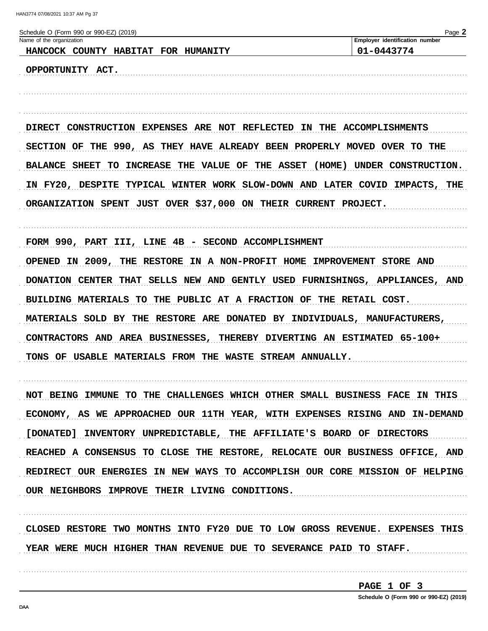| Schedule O (Form 990 or 990-EZ) (2019) | Page 2                                |
|----------------------------------------|---------------------------------------|
| Name of the organization               | <b>Employer identification number</b> |
| HANCOCK COUNTY HABITAT FOR HUMANITY    | 01-0443774                            |
| OPPORTUNITY ACT.                       |                                       |

DIRECT CONSTRUCTION EXPENSES ARE NOT REFLECTED IN THE ACCOMPLISHMENTS SECTION OF THE 990, AS THEY HAVE ALREADY BEEN PROPERLY MOVED OVER TO THE BALANCE SHEET TO INCREASE THE VALUE OF THE ASSET (HOME) UNDER CONSTRUCTION. IN FY20, DESPITE TYPICAL WINTER WORK SLOW-DOWN AND LATER COVID IMPACTS, THE ORGANIZATION SPENT JUST OVER \$37,000 ON THEIR CURRENT PROJECT.

FORM 990, PART III, LINE 4B - SECOND ACCOMPLISHMENT OPENED IN 2009, THE RESTORE IN A NON-PROFIT HOME IMPROVEMENT STORE AND DONATION CENTER THAT SELLS NEW AND GENTLY USED FURNISHINGS, APPLIANCES, AND BUILDING MATERIALS TO THE PUBLIC AT A FRACTION OF THE RETAIL COST. MATERIALS SOLD BY THE RESTORE ARE DONATED BY INDIVIDUALS, MANUFACTURERS, CONTRACTORS AND AREA BUSINESSES, THEREBY DIVERTING AN ESTIMATED 65-100+ TONS OF USABLE MATERIALS FROM THE WASTE STREAM ANNUALLY.

NOT BEING IMMUNE TO THE CHALLENGES WHICH OTHER SMALL BUSINESS FACE IN THIS ECONOMY, AS WE APPROACHED OUR 11TH YEAR, WITH EXPENSES RISING AND IN-DEMAND [DONATED] INVENTORY UNPREDICTABLE, THE AFFILIATE'S BOARD OF DIRECTORS REACHED A CONSENSUS TO CLOSE THE RESTORE, RELOCATE OUR BUSINESS OFFICE, AND REDIRECT OUR ENERGIES IN NEW WAYS TO ACCOMPLISH OUR CORE MISSION OF HELPING OUR NEIGHBORS IMPROVE THEIR LIVING CONDITIONS.

CLOSED RESTORE TWO MONTHS INTO FY20 DUE TO LOW GROSS REVENUE. EXPENSES THIS YEAR WERE MUCH HIGHER THAN REVENUE DUE TO SEVERANCE PAID TO STAFF.

PAGE 1 OF 3 Schedule O (Form 990 or 990-EZ) (2019)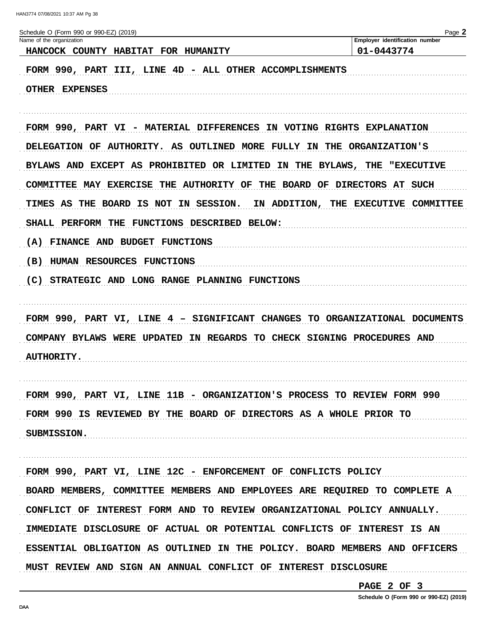HAN3774 07/08/2021 10:37 AM Pg 38

| Schedule O (Form 990 or 990-EZ) (2019)                                                                                                                                     | Page 2                                       |  |  |  |  |
|----------------------------------------------------------------------------------------------------------------------------------------------------------------------------|----------------------------------------------|--|--|--|--|
| Name of the organization<br>HANCOCK COUNTY HABITAT FOR HUMANITY                                                                                                            | Employer identification number<br>01-0443774 |  |  |  |  |
| FORM 990, PART III, LINE 4D - ALL OTHER ACCOMPLISHMENTS<br>OTHER EXPENSES                                                                                                  |                                              |  |  |  |  |
| FORM 990, PART VI - MATERIAL DIFFERENCES IN VOTING RIGHTS EXPLANATION                                                                                                      |                                              |  |  |  |  |
| DELEGATION OF AUTHORITY. AS OUTLINED MORE FULLY IN THE ORGANIZATION'S                                                                                                      |                                              |  |  |  |  |
| BYLAWS AND EXCEPT AS PROHIBITED OR LIMITED IN THE BYLAWS, THE "EXECUTIVE<br>COMMITTEE MAY EXERCISE THE AUTHORITY OF THE BOARD OF DIRECTORS AT SUCH                         |                                              |  |  |  |  |
| TIMES AS THE BOARD IS NOT IN SESSION. IN ADDITION, THE EXECUTIVE COMMITTEE                                                                                                 |                                              |  |  |  |  |
| SHALL PERFORM THE FUNCTIONS DESCRIBED BELOW:                                                                                                                               |                                              |  |  |  |  |
| (A) FINANCE AND BUDGET FUNCTIONS                                                                                                                                           |                                              |  |  |  |  |
| (B) HUMAN RESOURCES FUNCTIONS                                                                                                                                              |                                              |  |  |  |  |
| (C) STRATEGIC AND LONG RANGE PLANNING FUNCTIONS                                                                                                                            |                                              |  |  |  |  |
| FORM 990, PART VI, LINE 4 - SIGNIFICANT CHANGES TO ORGANIZATIONAL DOCUMENTS<br>COMPANY BYLAWS WERE UPDATED IN REGARDS TO CHECK SIGNING PROCEDURES AND<br><b>AUTHORITY.</b> |                                              |  |  |  |  |
| FORM 990, PART VI, LINE 11B - ORGANIZATION'S PROCESS TO REVIEW FORM 990                                                                                                    |                                              |  |  |  |  |
| FORM 990 IS REVIEWED BY THE BOARD OF DIRECTORS AS A WHOLE PRIOR TO                                                                                                         |                                              |  |  |  |  |
| SUBMISSION.                                                                                                                                                                |                                              |  |  |  |  |
| FORM 990, PART VI, LINE 12C - ENFORCEMENT OF CONFLICTS POLICY                                                                                                              |                                              |  |  |  |  |
| BOARD MEMBERS, COMMITTEE MEMBERS AND EMPLOYEES ARE REQUIRED TO COMPLETE A                                                                                                  |                                              |  |  |  |  |
| CONFLICT OF INTEREST FORM AND TO REVIEW ORGANIZATIONAL POLICY ANNUALLY.                                                                                                    |                                              |  |  |  |  |
| IMMEDIATE DISCLOSURE OF ACTUAL OR POTENTIAL CONFLICTS OF INTEREST IS AN                                                                                                    |                                              |  |  |  |  |
| ESSENTIAL OBLIGATION AS OUTLINED IN THE POLICY. BOARD MEMBERS AND OFFICERS                                                                                                 |                                              |  |  |  |  |
| MUST REVIEW AND SIGN AN ANNUAL CONFLICT OF INTEREST DISCLOSURE                                                                                                             |                                              |  |  |  |  |

PAGE 2 OF 3

Schedule O (Form 990 or 990-EZ) (2019)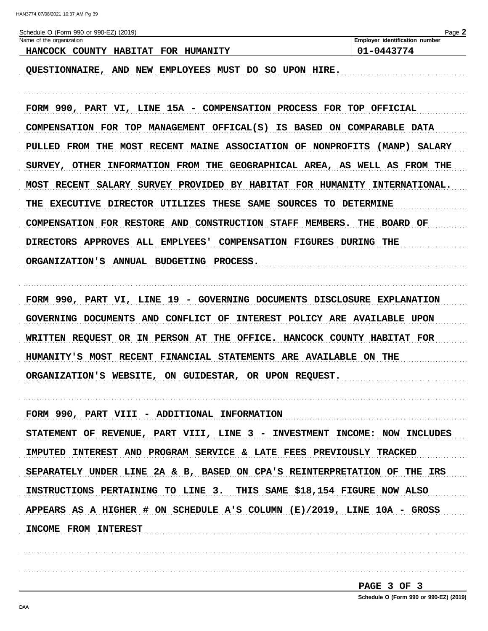| Schedule O (Form 990 or 990-EZ) (2019)<br>Name of the organization                     | Page 2<br>Employer identification number |  |  |  |
|----------------------------------------------------------------------------------------|------------------------------------------|--|--|--|
| HANCOCK COUNTY HABITAT<br>FOR HUMANITY                                                 | 01-0443774                               |  |  |  |
| QUESTIONNAIRE, AND NEW EMPLOYEES MUST DO SO UPON HIRE.                                 |                                          |  |  |  |
| FORM 990, PART VI, LINE 15A - COMPENSATION PROCESS FOR TOP OFFICIAL                    |                                          |  |  |  |
| COMPENSATION FOR TOP MANAGEMENT OFFICAL(S) IS BASED ON COMPARABLE DATA                 |                                          |  |  |  |
| PULLED FROM THE MOST RECENT MAINE ASSOCIATION OF NONPROFITS                            | (MANP)<br><b>SALARY</b>                  |  |  |  |
| OTHER INFORMATION FROM THE GEOGRAPHICAL AREA, AS WELL AS FROM THE<br><b>SURVEY,</b>    |                                          |  |  |  |
| RECENT<br>SALARY SURVEY PROVIDED BY HABITAT FOR HUMANITY INTERNATIONAL.<br><b>MOST</b> |                                          |  |  |  |
| <b>EXECUTIVE DIRECTOR UTILIZES</b><br>THESE SAME SOURCES<br>THE                        | TO DETERMINE                             |  |  |  |
| COMPENSATION FOR RESTORE AND CONSTRUCTION STAFF MEMBERS.                               | THE BOARD OF                             |  |  |  |
| DIRECTORS APPROVES ALL EMPLYEES'<br><b>COMPENSATION FIGURES</b>                        | DURING<br>THE                            |  |  |  |
| ORGANIZATION'S ANNUAL BUDGETING<br>PROCESS.                                            |                                          |  |  |  |
| FORM 990, PART VI, LINE 19 - GOVERNING DOCUMENTS DISCLOSURE EXPLANATION                |                                          |  |  |  |
| GOVERNING DOCUMENTS<br>AND CONFLICT OF                                                 | INTEREST POLICY ARE AVAILABLE UPON       |  |  |  |
| WRITTEN REQUEST OR IN PERSON AT<br>THE OFFICE.                                         | HANCOCK COUNTY HABITAT FOR               |  |  |  |
| HUMANITY'S MOST RECENT<br>FINANCIAL STATEMENTS ARE AVAILABLE ON                        | THE                                      |  |  |  |
| ORGANIZATION'S WEBSITE,<br>ON GUIDESTAR,<br>OR UPON REQUEST.                           |                                          |  |  |  |
| FORM 990, PART VIII - ADDITIONAL INFORMATION                                           |                                          |  |  |  |
| STATEMENT OF REVENUE, PART VIII, LINE 3 - INVESTMENT INCOME: NOW INCLUDES              |                                          |  |  |  |
| IMPUTED INTEREST AND PROGRAM SERVICE & LATE FEES PREVIOUSLY TRACKED                    |                                          |  |  |  |
| SEPARATELY UNDER LINE 2A & B, BASED ON CPA'S REINTERPRETATION OF THE IRS               |                                          |  |  |  |
| INSTRUCTIONS PERTAINING TO LINE 3. THIS SAME \$18,154 FIGURE NOW ALSO                  |                                          |  |  |  |

APPEARS AS A HIGHER # ON SCHEDULE A'S COLUMN (E)/2019, LINE 10A - GROSS

INCOME FROM INTEREST

PAGE 3 OF 3 Schedule O (Form 990 or 990-EZ) (2019)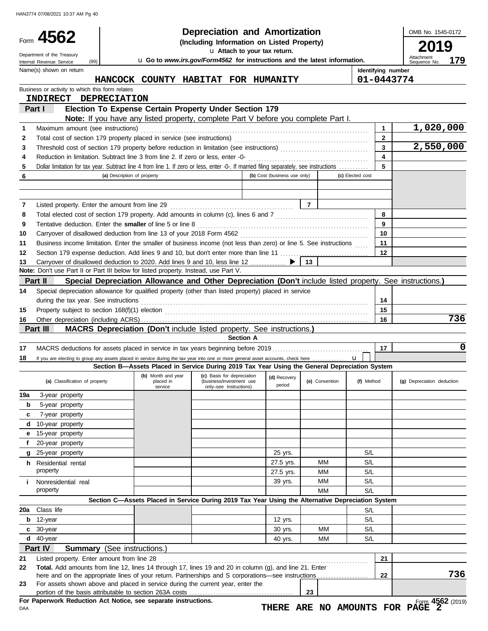HAN3774 07/08/2021 10:37 AM Pg 40

|                                                            |                                                                                                               |                                                                                     | Depreciation and Amortization                                                                                                           |                              |                |                     |                         | OMB No. 1545-0172          |  |
|------------------------------------------------------------|---------------------------------------------------------------------------------------------------------------|-------------------------------------------------------------------------------------|-----------------------------------------------------------------------------------------------------------------------------------------|------------------------------|----------------|---------------------|-------------------------|----------------------------|--|
|                                                            | Form 4562<br>(Including Information on Listed Property)                                                       |                                                                                     |                                                                                                                                         |                              |                | 19                  |                         |                            |  |
| u Attach to your tax return.<br>Department of the Treasury |                                                                                                               |                                                                                     |                                                                                                                                         |                              |                | Attachment          |                         |                            |  |
|                                                            | u Go to www.irs.gov/Form4562 for instructions and the latest information.<br>(99)<br>Internal Revenue Service |                                                                                     |                                                                                                                                         |                              |                | 179<br>Sequence No. |                         |                            |  |
|                                                            | Name(s) shown on return                                                                                       |                                                                                     |                                                                                                                                         |                              |                |                     | Identifying number      |                            |  |
|                                                            |                                                                                                               |                                                                                     | HANCOCK COUNTY HABITAT FOR HUMANITY                                                                                                     |                              |                |                     | 01-0443774              |                            |  |
|                                                            | Business or activity to which this form relates                                                               |                                                                                     |                                                                                                                                         |                              |                |                     |                         |                            |  |
|                                                            | INDIRECT DEPRECIATION<br>Part I                                                                               |                                                                                     | Election To Expense Certain Property Under Section 179                                                                                  |                              |                |                     |                         |                            |  |
|                                                            |                                                                                                               |                                                                                     | Note: If you have any listed property, complete Part V before you complete Part I.                                                      |                              |                |                     |                         |                            |  |
| 1                                                          | Maximum amount (see instructions)                                                                             |                                                                                     |                                                                                                                                         |                              |                |                     | $\mathbf{1}$            | 1,020,000                  |  |
| 2                                                          |                                                                                                               |                                                                                     |                                                                                                                                         |                              |                |                     | $\mathbf{2}$            |                            |  |
| 3                                                          |                                                                                                               |                                                                                     |                                                                                                                                         |                              |                |                     | $\overline{\mathbf{3}}$ | 2,550,000                  |  |
| 4                                                          |                                                                                                               |                                                                                     |                                                                                                                                         |                              |                |                     | $\overline{\mathbf{4}}$ |                            |  |
| 5                                                          |                                                                                                               |                                                                                     | Dollar limitation for tax year. Subtract line 4 from line 1. If zero or less, enter -0-. If married filing separately, see instructions |                              |                |                     | 5                       |                            |  |
| 6                                                          |                                                                                                               | (a) Description of property                                                         |                                                                                                                                         | (b) Cost (business use only) |                | (c) Elected cost    |                         |                            |  |
|                                                            |                                                                                                               |                                                                                     |                                                                                                                                         |                              |                |                     |                         |                            |  |
|                                                            |                                                                                                               |                                                                                     |                                                                                                                                         |                              |                |                     |                         |                            |  |
| 7                                                          |                                                                                                               |                                                                                     |                                                                                                                                         |                              |                |                     |                         |                            |  |
| 8                                                          |                                                                                                               |                                                                                     |                                                                                                                                         |                              |                |                     | 8                       |                            |  |
| 9                                                          |                                                                                                               |                                                                                     |                                                                                                                                         |                              |                |                     | 9                       |                            |  |
| 10                                                         |                                                                                                               |                                                                                     |                                                                                                                                         |                              |                |                     | 10                      |                            |  |
| 11                                                         |                                                                                                               |                                                                                     | Business income limitation. Enter the smaller of business income (not less than zero) or line 5. See instructions                       |                              |                |                     | 11                      |                            |  |
| 12                                                         |                                                                                                               |                                                                                     | Section 179 expense deduction. Add lines 9 and 10, but don't enter more than line 11                                                    |                              |                |                     | 12                      |                            |  |
| 13                                                         |                                                                                                               |                                                                                     | Carryover of disallowed deduction to 2020. Add lines 9 and 10, less line 12  ▶                                                          |                              | 13             |                     |                         |                            |  |
|                                                            |                                                                                                               | Note: Don't use Part II or Part III below for listed property. Instead, use Part V. |                                                                                                                                         |                              |                |                     |                         |                            |  |
|                                                            | Part II                                                                                                       |                                                                                     | Special Depreciation Allowance and Other Depreciation (Don't include listed property. See instructions.)                                |                              |                |                     |                         |                            |  |
| 14                                                         |                                                                                                               |                                                                                     | Special depreciation allowance for qualified property (other than listed property) placed in service                                    |                              |                |                     |                         |                            |  |
|                                                            |                                                                                                               |                                                                                     |                                                                                                                                         |                              |                |                     | 14                      |                            |  |
| 15                                                         |                                                                                                               |                                                                                     |                                                                                                                                         |                              |                |                     | 15                      |                            |  |
| 16                                                         |                                                                                                               |                                                                                     |                                                                                                                                         |                              |                |                     | 16                      | 736                        |  |
|                                                            | Part III                                                                                                      |                                                                                     | MACRS Depreciation (Don't include listed property. See instructions.)                                                                   |                              |                |                     |                         |                            |  |
|                                                            |                                                                                                               |                                                                                     | <b>Section A</b>                                                                                                                        |                              |                |                     |                         |                            |  |
| 17                                                         |                                                                                                               |                                                                                     |                                                                                                                                         |                              |                |                     | 17                      | $\mathbf 0$                |  |
| 18                                                         |                                                                                                               |                                                                                     | If you are electing to group any assets placed in service during the tax year into one or more general asset accounts, check here       |                              |                |                     |                         |                            |  |
|                                                            |                                                                                                               |                                                                                     | Section B-Assets Placed in Service During 2019 Tax Year Using the General Depreciation System                                           |                              |                |                     |                         |                            |  |
|                                                            | (a) Classification of property                                                                                | placed in<br>service                                                                | (business/investment use<br>only-see instructions)                                                                                      | (d) Recovery<br>period       | (e) Convention | (f) Method          |                         | (g) Depreciation deduction |  |
| 19a                                                        | 3-year property                                                                                               |                                                                                     |                                                                                                                                         |                              |                |                     |                         |                            |  |
| b                                                          | 5-year property                                                                                               |                                                                                     |                                                                                                                                         |                              |                |                     |                         |                            |  |
| с                                                          | 7-year property                                                                                               |                                                                                     |                                                                                                                                         |                              |                |                     |                         |                            |  |
| d                                                          | 10-year property                                                                                              |                                                                                     |                                                                                                                                         |                              |                |                     |                         |                            |  |
| е                                                          | 15-year property                                                                                              |                                                                                     |                                                                                                                                         |                              |                |                     |                         |                            |  |
|                                                            | 20-year property                                                                                              |                                                                                     |                                                                                                                                         |                              |                |                     |                         |                            |  |
| g                                                          | 25-year property                                                                                              |                                                                                     |                                                                                                                                         | 25 yrs.                      |                | S/L                 |                         |                            |  |
|                                                            | <b>h</b> Residential rental                                                                                   |                                                                                     |                                                                                                                                         | 27.5 yrs.                    | MМ             | S/L                 |                         |                            |  |
|                                                            |                                                                                                               |                                                                                     |                                                                                                                                         |                              |                |                     |                         |                            |  |
|                                                            | property                                                                                                      |                                                                                     |                                                                                                                                         | 27.5 yrs.                    | МM             | S/L                 |                         |                            |  |
| i.                                                         | Nonresidential real                                                                                           |                                                                                     |                                                                                                                                         | 39 yrs.                      | МM             | S/L                 |                         |                            |  |
|                                                            | property                                                                                                      |                                                                                     |                                                                                                                                         |                              | <b>MM</b>      | S/L                 |                         |                            |  |
|                                                            |                                                                                                               |                                                                                     | Section C-Assets Placed in Service During 2019 Tax Year Using the Alternative Depreciation System                                       |                              |                |                     |                         |                            |  |
| 20a                                                        | Class life                                                                                                    |                                                                                     |                                                                                                                                         |                              |                | S/L                 |                         |                            |  |
| b                                                          | 12-year                                                                                                       |                                                                                     |                                                                                                                                         | 12 yrs.                      |                | S/L                 |                         |                            |  |
| c                                                          | 30-year                                                                                                       |                                                                                     |                                                                                                                                         | 30 yrs.                      | MМ             | S/L                 |                         |                            |  |
|                                                            | d 40-year                                                                                                     |                                                                                     |                                                                                                                                         | 40 yrs.                      | MМ             | S/L                 |                         |                            |  |
|                                                            | Part IV                                                                                                       | <b>Summary</b> (See instructions.)                                                  |                                                                                                                                         |                              |                |                     |                         |                            |  |
| 21                                                         | Listed property. Enter amount from line 28                                                                    |                                                                                     |                                                                                                                                         |                              |                |                     | 21                      |                            |  |
| 22                                                         |                                                                                                               |                                                                                     | Total. Add amounts from line 12, lines 14 through 17, lines 19 and 20 in column (g), and line 21. Enter                                 |                              |                |                     |                         |                            |  |
|                                                            |                                                                                                               |                                                                                     |                                                                                                                                         |                              |                |                     | 22                      | 736                        |  |
| 23                                                         |                                                                                                               |                                                                                     | For assets shown above and placed in service during the current year, enter the                                                         |                              |                |                     |                         |                            |  |
|                                                            |                                                                                                               | For Paperwork Reduction Act Notice, see separate instructions.                      |                                                                                                                                         |                              | 23             |                     |                         | Form 4562 (2019)           |  |